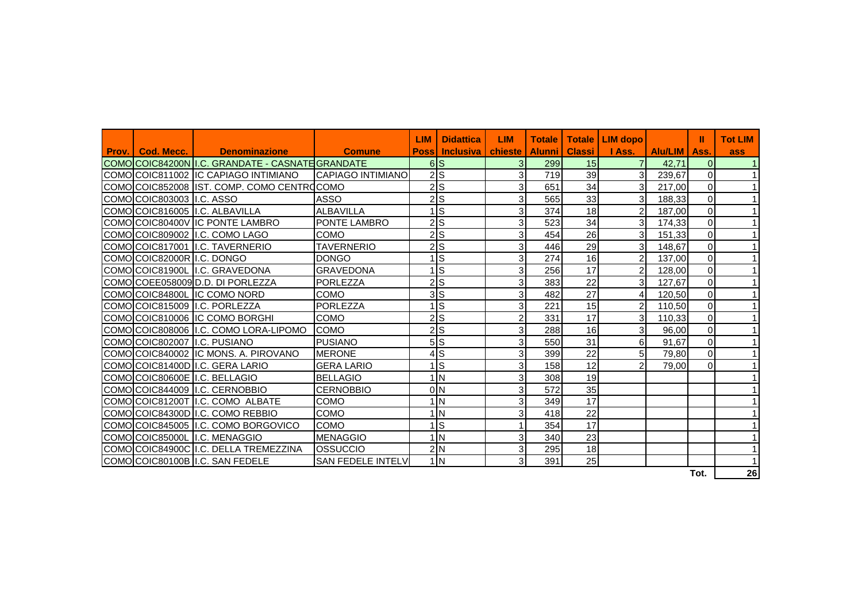|       |                               |                                                  |                          | <b>LIM</b>   | <b>Didattica</b> | <b>LIM</b>     | <b>Totale</b>   | <b>Totale</b> | <b>LIM</b> dopo |                | Ш              | <b>Tot LIM</b> |
|-------|-------------------------------|--------------------------------------------------|--------------------------|--------------|------------------|----------------|-----------------|---------------|-----------------|----------------|----------------|----------------|
| Prov. | Cod. Mecc.                    | <b>Denominazione</b>                             | <b>Comune</b>            | <b>Possi</b> | <b>Inclusiva</b> | chieste        | <b>Alunni</b> l | <b>Classi</b> | I Ass.          | <b>Alu/LIM</b> | Ass.           | ass            |
|       |                               | COMO COIC84200N I.C. GRANDATE - CASNATE GRANDATE |                          |              | 6 <sup>IS</sup>  | 3              | 299             | 15            | 71              | 42.71          | 0I             |                |
|       |                               | COMOICOIC811002 IIC CAPIAGO INTIMIANO            | <b>CAPIAGO INTIMIANO</b> |              | $2$ S            | 3              | 719             | 39            | 3               | 239.67         | $\Omega$       |                |
|       |                               | COMO COIC852008 IST. COMP. COMO CENTRO COMO      |                          |              | $2$ <sub>S</sub> | 3              | 651             | 34            | 3               | 217,00         | 0              |                |
|       | COMO COIC803003 II.C. ASSO    |                                                  | <b>ASSO</b>              |              | 2S               | 3              | 565             | 33            | 3               | 188,33         | $\overline{0}$ |                |
|       |                               | COMO COIC816005 I.C. ALBAVILLA                   | <b>ALBAVILLA</b>         |              | 1lS              | 3              | 374             | 18            | $\overline{2}$  | 187.00         | $\Omega$       |                |
|       |                               | COMOICOIC80400V IIC PONTE LAMBRO                 | PONTE LAMBRO             |              | 2 <sub>s</sub>   | 3              | 523             | 34            | 3 <sup>l</sup>  | 174.33         | $\Omega$       |                |
|       |                               | COMO COIC809002 I.C. COMO LAGO                   | COMO                     |              | $2$ <sub>S</sub> | 3              | 454             | 26            | 3 <sup>1</sup>  | 151,33         | 0              |                |
|       |                               | COMOICOIC817001 II.C. TAVERNERIO                 | <b>TAVERNERIO</b>        |              | 2S               | 3              | 446             | 29            | 3 <sup>l</sup>  | 148,67         | $\Omega$       |                |
|       | COMO COIC82000R I.C. DONGO    |                                                  | <b>DONGO</b>             |              | ∣ls              | $\overline{3}$ | 274             | 16            | $\overline{2}$  | 137.00         | $\mathsf{O}$   |                |
|       |                               | COMO COIC81900L I.C. GRAVEDONA                   | <b>GRAVEDONA</b>         |              | Is               | 3              | 256             | 17            | $\overline{2}$  | 128.00         | $\overline{0}$ |                |
|       |                               | COMOICOEE058009ID.D. DI PORLEZZA                 | PORLEZZA                 |              | 2S               | 3              | 383             | 22            | 3 <sup>1</sup>  | 127.67         | $\Omega$       |                |
|       |                               | COMO COIC84800L IC COMO NORD                     | <b>COMO</b>              |              | 3ls              | 3              | 482             | 27            | $\overline{4}$  | 120.50         | $\overline{0}$ |                |
|       |                               | COMOICOIC815009 II.C. PORLEZZA                   | PORLEZZA                 |              | $1$ S            | 3              | 221             | 15            | $\overline{2}$  | 110,50         | $\overline{0}$ |                |
|       |                               | COMO COIC810006 IC COMO BORGHI                   | <b>COMO</b>              |              | 2S               | $\overline{2}$ | 331             | 17            | 3               | 110.33         | $\overline{0}$ |                |
|       |                               | COMO COIC808006 I.C. COMO LORA-LIPOMO            | <b>COMO</b>              |              | 2S               | 3              | 288             | 16            | 3 <sup>l</sup>  | 96,00          | $\overline{0}$ |                |
|       | COMO COIC802007 II.C. PUSIANO |                                                  | <b>PUSIANO</b>           |              | 5S               | 3              | 550             | 31            | 6               | 91,67          | $\overline{0}$ |                |
|       |                               | COMOICOIC840002 IIC MONS. A. PIROVANO            | <b>MERONE</b>            |              | 4lS              | 3              | 399             | 22            | 5 <sub>l</sub>  | 79,80          | $\overline{0}$ |                |
|       |                               | COMO COIC81400D I.C. GERA LARIO                  | <b>GERA LARIO</b>        |              | Is               | 3              | 158             | 12            | $\mathcal{P}$   | 79,00          | $\Omega$       |                |
|       |                               | COMO COIC80600E I.C. BELLAGIO                    | <b>BELLAGIO</b>          |              | 1 <sub>N</sub>   | 3              | 308             | 19            |                 |                |                |                |
|       |                               | COMO COIC844009 I.C. CERNOBBIO                   | <b>CERNOBBIO</b>         |              | 0 <sub>N</sub>   | 3              | 572             | 35            |                 |                |                |                |
|       |                               | COMOICOIC81200T II.C. COMO ALBATE                | COMO                     |              | 1 <sub>N</sub>   | 3              | 349             | 17            |                 |                |                |                |
|       |                               | COMO COIC84300D I.C. COMO REBBIO                 | COMO                     |              | 1 <sup>IN</sup>  | $\overline{3}$ | 418             | 22            |                 |                |                |                |
|       |                               | COMOICOIC845005 II.C. COMO BORGOVICO             | <b>COMO</b>              |              | $1$ S            | 1              | 354             | 17            |                 |                |                |                |
|       |                               | COMOICOIC85000L II.C. MENAGGIO                   | <b>MENAGGIO</b>          |              | 1 <sub>N</sub>   | 3              | 340             | 23            |                 |                |                |                |
|       |                               | COMOICOIC84900C II.C. DELLA TREMEZZINA           | <b>OSSUCCIO</b>          |              | 2N               | 3              | 295             | 18            |                 |                |                |                |
|       |                               | COMOICOIC80100B II.C. SAN FEDELE                 | <b>SAN FEDELE INTELV</b> |              | 1 <sub>N</sub>   | 3              | 391             | 25            |                 |                |                |                |
|       |                               |                                                  |                          |              |                  |                |                 |               |                 |                | Tot.           | 26             |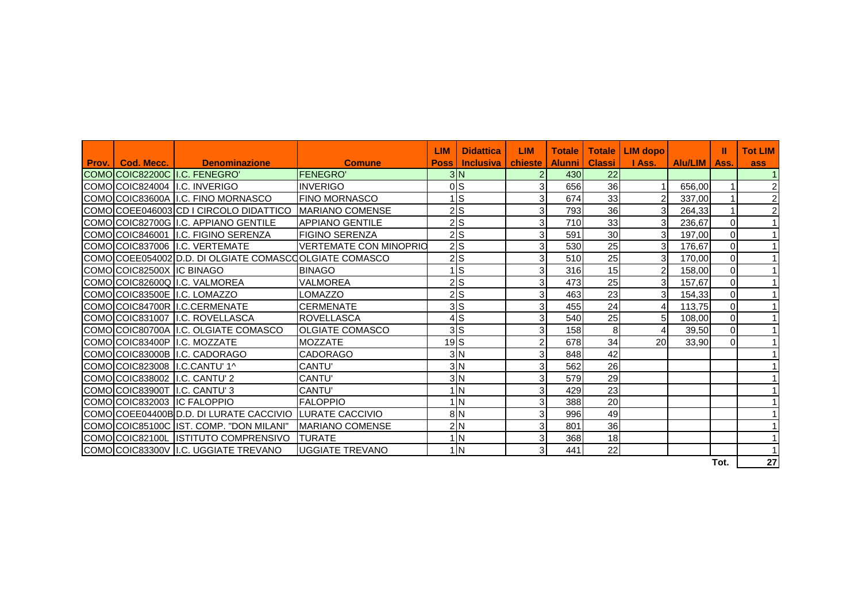| <b>Prov.   Cod. Mecc.  </b>   | <b>Example 19 Denominazione</b>                         | <b>Comune</b>                 | LIM<br><b>Poss</b> | <b>Didattica</b><br><b>Inclusiva</b> | <b>LIM</b><br>chieste | <b>Totale</b><br><b>Alunni</b> | <b>Totale I</b><br><b>Classi</b> | LIM dopo<br>I Ass. | <b>Alu/LIM</b> | ш<br>Ass.      | <b>Tot LIM</b><br><b>ass</b> |
|-------------------------------|---------------------------------------------------------|-------------------------------|--------------------|--------------------------------------|-----------------------|--------------------------------|----------------------------------|--------------------|----------------|----------------|------------------------------|
|                               | COMO COIC82200C I.C. FENEGRO'                           | <b>FENEGRO</b>                |                    | 3 N                                  |                       | 430                            | 22                               |                    |                |                |                              |
|                               | ICOMOICOIC824004 II.C. INVERIGO                         | <b>INVERIGO</b>               |                    | 0 <sub>S</sub>                       | 3                     | 656                            | 36                               |                    | 656,00         |                | 2 <sup>1</sup>               |
|                               | COMO COIC83600A I.C. FINO MORNASCO                      | <b>FINO MORNASCO</b>          |                    | ∣ls                                  | $\overline{3}$        | 674                            | 33                               | 2 <sub>1</sub>     | 337,00         |                | $\overline{a}$               |
|                               | COMO COEE046003 CD I CIRCOLO DIDATTICO                  | <b>IMARIANO COMENSE</b>       |                    | 2S                                   | 3                     | 793                            | 36                               | 3                  | 264,33         |                | $\overline{c}$               |
|                               | COMO COIC82700G I.C. APPIANO GENTILE                    | <b>APPIANO GENTILE</b>        |                    | 2S                                   | $\overline{3}$        | 710                            | 33                               | 3 <sup>l</sup>     | 236,67         | $\Omega$       |                              |
|                               | COMO COIC846001 I.C. FIGINO SERENZA                     | <b>FIGINO SERENZA</b>         |                    | 2S                                   | $\overline{3}$        | 591                            | 30                               | 3 <sub>l</sub>     | 197,00         | $\Omega$       |                              |
|                               | COMO COIC837006 I.C. VERTEMATE                          | <b>VERTEMATE CON MINOPRIO</b> |                    | 2S                                   | 3                     | 530                            | 25                               | 3 <sup>l</sup>     | 176,67         | $\Omega$       |                              |
|                               | COMO COEE054002 D.D. DI OLGIATE COMASCO OLGIATE COMASCO |                               |                    | 2S                                   | 3                     | 510                            | 25                               | 3 <sup>l</sup>     | 170,00         | $\Omega$       |                              |
| COMO COIC82500X IC BINAGO     |                                                         | <b>BINAGO</b>                 |                    | ls                                   | 3                     | 316                            | 15                               | $\overline{a}$     | 158,00         | $\Omega$       |                              |
|                               | COMO COIC82600Q I.C. VALMOREA                           | <b>VALMOREA</b>               |                    | 2S                                   |                       | 473                            | 25                               | 3 <sup>l</sup>     | 157,67         | $\Omega$       |                              |
|                               | COMO COIC83500E I.C. LOMAZZO                            | LOMAZZO                       |                    | 2S                                   | 3                     | 463                            | 23                               | 3 <sub>l</sub>     | 154,33         | $\Omega$       |                              |
|                               | COMO COIC84700R I.C.CERMENATE                           | <b>CERMENATE</b>              |                    | 3S                                   | $\overline{3}$        | 455                            | 24                               | $\overline{4}$     | 113.75         | $\Omega$       |                              |
|                               | COMO COIC831007 I.C. ROVELLASCA                         | <b>ROVELLASCA</b>             |                    | 4S                                   | $\overline{3}$        | 540                            | 25                               | 5 <sub>l</sub>     | 108,00         | $\Omega$       |                              |
|                               | COMO COIC80700A I.C. OLGIATE COMASCO                    | <b>IOLGIATE COMASCO</b>       |                    | 3S                                   | 31                    | 158                            | 8 <sup>1</sup>                   | $\overline{4}$     | 39,50          | $\overline{0}$ |                              |
|                               | COMO COIC83400P I.C. MOZZATE                            | <b>MOZZATE</b>                | $19$ $S$           |                                      |                       | 678                            | 34                               | 20 <sup>1</sup>    | 33,90          | $\Omega$       |                              |
|                               | COMO COIC83000B I.C. CADORAGO                           | <b>CADORAGO</b>               |                    | 3 <sub>N</sub>                       | 3                     | 848                            | 42                               |                    |                |                |                              |
|                               | COMO COIC823008 I.C.CANTU' 1^                           | CANTU'                        |                    | 3N                                   | 3                     | 562                            | 26                               |                    |                |                |                              |
| COMO COIC838002 I.C. CANTU' 2 |                                                         | CANTU'                        |                    | 3 <sub>N</sub>                       | $\overline{3}$        | 579                            | 29                               |                    |                |                |                              |
| COMO COIC83900T I.C. CANTU' 3 |                                                         | <b>CANTU'</b>                 |                    | 1 <sub>N</sub>                       | 3 <sub>l</sub>        | 429                            | 23                               |                    |                |                |                              |
| COMO COIC832003 IC FALOPPIO   |                                                         | <b>IFALOPPIO</b>              |                    | 1 <sub>N</sub>                       | 31                    | 388                            | 20                               |                    |                |                |                              |
|                               | COMO COEE04400B D.D. DI LURATE CACCIVIO                 | <b>LURATE CACCIVIO</b>        |                    | 8N                                   | 3                     | 996                            | 49                               |                    |                |                |                              |
|                               | COMO COIC85100C IST. COMP. "DON MILANI"                 | MARIANO COMENSE               |                    | 2N                                   | 3                     | 801                            | 36                               |                    |                |                |                              |
|                               | COMO COIC82100L ISTITUTO COMPRENSIVO                    | <b>TURATE</b>                 |                    | $1\overline{\mathrm{N}}$             | 3                     | 368                            | 18                               |                    |                |                |                              |
|                               | COMO COIC83300V II.C. UGGIATE TREVANO                   | <b>UGGIATE TREVANO</b>        |                    | 1 <sub>N</sub>                       | 3                     | 441                            | 22                               |                    |                |                |                              |

**Tot. 27**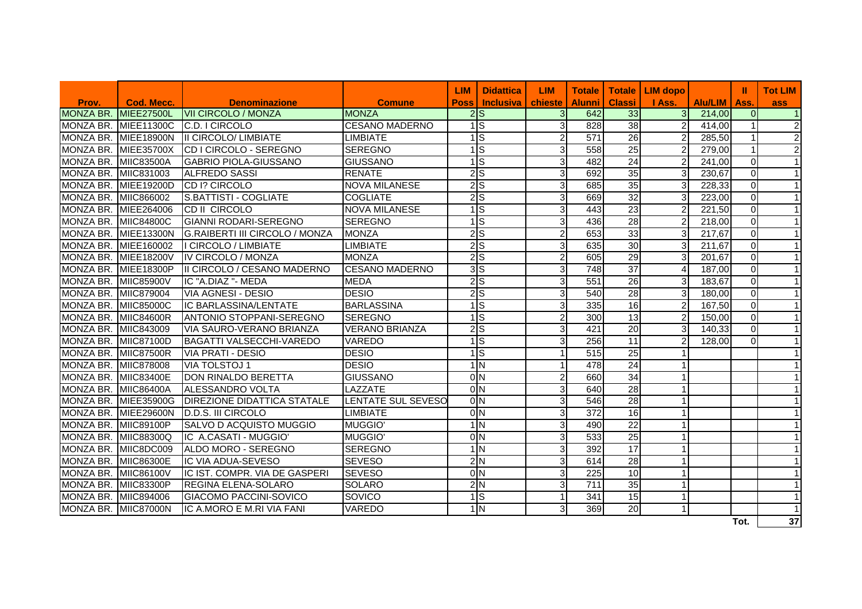|                      |                      |                                       |                       | <b>LIM</b>       | <b>Didattica</b> | <b>LIM</b>     | <b>Totale I</b>  |                 | Totale   LIM dopo |         | Ш              | <b>Tot LIM</b> |
|----------------------|----------------------|---------------------------------------|-----------------------|------------------|------------------|----------------|------------------|-----------------|-------------------|---------|----------------|----------------|
| Prov.                | Cod. Mecc.           | <b>Denominazione</b>                  | <b>Comune</b>         | <b>Poss</b>      | <b>Inclusiva</b> | chieste        | <b>Alunni</b>    | <b>Classi</b>   | I Ass.            | Alu/LIM | Ass.           | ass            |
| <b>MONZA BR.</b>     | <b>MIEE27500L</b>    | <b>VII CIRCOLO / MONZA</b>            | <b>MONZA</b>          | 2S               |                  | $\overline{3}$ | 642              | 33              | 3 <sup>1</sup>    | 214,00  | $\overline{0}$ | $\vert$ 1      |
| MONZA BR.            | <b>MIEE11300C</b>    | C.D. I CIRCOLO                        | <b>CESANO MADERNO</b> | $\overline{1}$ S |                  | G              | 828              | $\overline{38}$ | 2 <sub>l</sub>    | 414,00  |                | $\overline{2}$ |
| MONZA BR.            | <b>MIEE18900N</b>    | <b>II CIRCOLO/ LIMBIATE</b>           | <b>LIMBIATE</b>       | $\overline{1}$ S |                  | $\overline{c}$ | 571              | $\overline{26}$ | $\overline{2}$    | 285,50  |                | $\overline{2}$ |
| MONZA BR.            | <b>MIEE35700X</b>    | CD I CIRCOLO - SEREGNO                | <b>SEREGNO</b>        | $\overline{1}$ S |                  | 3              | 558              | $\overline{25}$ | $\overline{2}$    | 279,00  |                | $\overline{2}$ |
| MONZA BR.            | <b>MIIC83500A</b>    | <b>GABRIO PIOLA-GIUSSANO</b>          | <b>GIUSSANO</b>       | $\overline{1}$ S |                  | 3              | 482              | $\overline{24}$ | $\mathcal{P}$     | 241,00  | $\Omega$       | $\mathbf{1}$   |
| MONZA BR.            | MIIC831003           | <b>ALFREDO SASSI</b>                  | <b>RENATE</b>         | 2S               |                  | $\overline{3}$ | 692              | 35              | $\overline{3}$    | 230,67  | $\Omega$       | $\overline{1}$ |
| MONZA BR.            | MIEE19200D           | CD I? CIRCOLO                         | <b>NOVA MILANESE</b>  | 2S               |                  | $\overline{3}$ | 685              | 35              | 31                | 228,33  | $\overline{0}$ | $\mathbf{1}$   |
| MONZA BR.            | MIIC866002           | S.BATTISTI - COGLIATE                 | <b>COGLIATE</b>       | 2S               |                  | $\overline{3}$ | 669              | 32              | 31                | 223,00  | $\Omega$       | $\mathbf{1}$   |
| MONZA BR.            | MIEE264006           | <b>CD II CIRCOLO</b>                  | <b>NOVA MILANESE</b>  | 1S               |                  | $\overline{3}$ | 443              | 23              | $\overline{2}$    | 221,50  | $\Omega$       | $\overline{1}$ |
| MONZA BR.            | <b>MIIC84800C</b>    | GIANNI RODARI-SEREGNO                 | <b>SEREGNO</b>        | $\overline{1}$ s |                  | $\overline{3}$ | 436              | 28              | $\overline{2}$    | 218,00  | $\Omega$       | $\mathbf{1}$   |
| MONZA BR.            | <b>MIEE13300N</b>    | <b>G.RAIBERTI III CIRCOLO / MONZA</b> | <b>MONZA</b>          | $2\overline{S}$  |                  | $\overline{2}$ | 653              | 33              | $\mathbf{3}$      | 217,67  | $\Omega$       | $\mathbf{1}$   |
| MONZA BR.            | MIEE160002           | I CIRCOLO / LIMBIATE                  | <b>LIMBIATE</b>       | 2S               |                  | 3              | 635              | 30              | $\overline{3}$    | 211,67  | $\Omega$       | $\mathbf{1}$   |
| MONZA BR.            | <b>MIEE18200V</b>    | IV CIRCOLO / MONZA                    | <b>MONZA</b>          | 2S               |                  | $\overline{c}$ | 605              | $\overline{29}$ | $\mathbf{3}$      | 201,67  | $\Omega$       | $\overline{1}$ |
| MONZA BR. MIEE18300P |                      | II CIRCOLO / CESANO MADERNO           | <b>CESANO MADERNO</b> | 3S               |                  | $\overline{3}$ | 748              | $\overline{37}$ | 4                 | 187,00  | $\Omega$       | $\mathbf{1}$   |
| MONZA BR. MIIC85900V |                      | IC "A.DIAZ "- MEDA                    | <b>MEDA</b>           | 2S               |                  | $\overline{3}$ | 551              | $\overline{26}$ | $\overline{3}$    | 183,67  | $\Omega$       | $\mathbf{1}$   |
| MONZA BR.            | MIIC879004           | <b>VIA AGNESI - DESIO</b>             | <b>DESIO</b>          | 2S               |                  | G              | 540              | 28              | $\mathbf{3}$      | 180,00  | $\Omega$       | $\overline{1}$ |
| MONZA BR.            | <b>MIIC85000C</b>    | IC BARLASSINA/LENTATE                 | <b>BARLASSINA</b>     | $\overline{1}$ S |                  | G              | 335              | $\overline{16}$ | $\overline{2}$    | 167,50  | $\Omega$       | $\overline{1}$ |
| MONZA BR. MIIC84600R |                      | <b>ANTONIO STOPPANI-SEREGNO</b>       | <b>SEREGNO</b>        | 1S               |                  | $\overline{2}$ | 300              | $\overline{13}$ | $\overline{2}$    | 150,00  | $\Omega$       | $\overline{1}$ |
| MONZA BR. MIIC843009 |                      | <b>VIA SAURO-VERANO BRIANZA</b>       | <b>VERANO BRIANZA</b> | 2S               |                  | 3              | 421              | $\overline{20}$ | $\overline{3}$    | 140,33  | $\Omega$       | $\mathbf{1}$   |
| MONZA BR. MIIC87100D |                      | <b>BAGATTI VALSECCHI-VAREDO</b>       | <b>VAREDO</b>         | 1S               |                  | G              | 256              | 11              | $\overline{2}$    | 128,00  | $\Omega$       | $\overline{1}$ |
| MONZA BR. MIIC87500R |                      | <b>VIA PRATI - DESIO</b>              | <b>DESIO</b>          | 1S               |                  | $\overline{1}$ | 515              | $\overline{25}$ |                   |         |                |                |
| MONZA BR. MIIC878008 |                      | <b>VIA TOLSTOJ1</b>                   | <b>DESIO</b>          | 1 <sub>N</sub>   |                  | $\mathbf{1}$   | 478              | $\overline{24}$ |                   |         |                |                |
| MONZA BR. MIIC83400E |                      | <b>DON RINALDO BERETTA</b>            | <b>GIUSSANO</b>       | $\overline{0}$ N |                  | $\overline{2}$ | 660              | $\overline{34}$ |                   |         |                |                |
| MONZA BR. MIIC86400A |                      | <b>ALESSANDRO VOLTA</b>               | <b>LAZZATE</b>        | 0 <sub>N</sub>   |                  | G              | 640              | $\overline{28}$ |                   |         |                |                |
|                      | MONZA BR. MIEE35900G | <b>DIREZIONE DIDATTICA STATALE</b>    | LENTATE SUL SEVESO    |                  | 0 <sub>N</sub>   | G              | 546              | $\overline{28}$ |                   |         |                |                |
|                      | MONZA BR. MIEE29600N | D.D.S. III CIRCOLO                    | <b>LIMBIATE</b>       | 0 <sub>N</sub>   |                  | G              | $\overline{372}$ | 16              |                   |         |                |                |
| MONZA BR. MIIC89100P |                      | SALVO D ACQUISTO MUGGIO               | <b>MUGGIO</b>         | 1 <sub>N</sub>   |                  | G              | 490              | $\overline{22}$ |                   |         |                |                |
| MONZA BR.            | MIIC88300Q           | IC A.CASATI - MUGGIO'                 | <b>MUGGIO'</b>        | 0 <sub>N</sub>   |                  | G              | 533              | $\overline{25}$ |                   |         |                |                |
| MONZA BR. MIIC8DC009 |                      | ALDO MORO - SEREGNO                   | <b>SEREGNO</b>        | 1 <sub>N</sub>   |                  | $\overline{3}$ | 392              | 17              |                   |         |                |                |
| MONZA BR. MIIC86300E |                      | <b>IC VIA ADUA-SEVESO</b>             | <b>SEVESO</b>         | 2N               |                  | G              | 614              | $\overline{28}$ |                   |         |                |                |
| MONZA BR. MIIC86100V |                      | IC IST. COMPR. VIA DE GASPERI         | <b>SEVESO</b>         | 0 <sub>N</sub>   |                  | دی             | 225              | 10              |                   |         |                |                |
| MONZA BR. MIIC83300P |                      | <b>REGINA ELENA-SOLARO</b>            | <b>SOLARO</b>         | 2N               |                  | 3              | $\overline{711}$ | 35              |                   |         |                |                |
| MONZA BR. MIIC894006 |                      | <b>GIACOMO PACCINI-SOVICO</b>         | SOVICO                | 1S               |                  | $\mathbf{1}$   | 341              | 15              |                   |         |                | $\overline{1}$ |
| MONZA BR. MIIC87000N |                      | IC A.MORO E M.RI VIA FANI             | <b>VAREDO</b>         | 1 <sub>N</sub>   |                  | 3              | 369              | $\overline{20}$ |                   |         |                |                |
|                      |                      |                                       |                       |                  |                  |                |                  |                 |                   |         | Tot.           | 37             |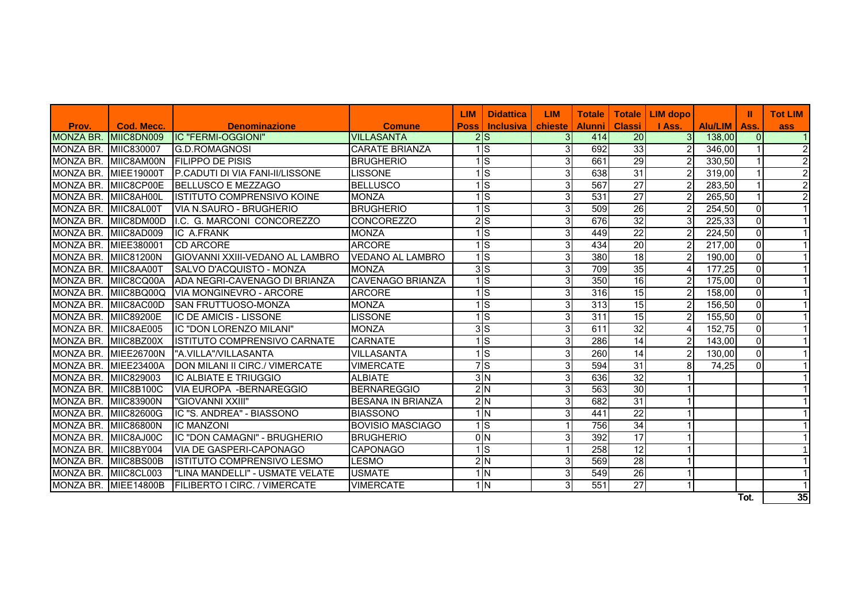|                      |                   |                                         |                          | <b>LIM</b>  | <b>Didattica</b>           | <b>LIM</b>     | <b>Totale</b> | <b>Totale</b>   | <b>LIM</b> dopo |         | ш              | <b>Tot LIM</b>   |
|----------------------|-------------------|-----------------------------------------|--------------------------|-------------|----------------------------|----------------|---------------|-----------------|-----------------|---------|----------------|------------------|
| Prov.                | Cod. Mecc.        | <b>Denominazione</b>                    | <b>Comune</b>            | <b>Poss</b> | <b>Inclusiva</b> I         | chieste I      | <b>Alunni</b> | <b>Classi</b>   | I Ass.          | Alu/LIM | Ass.           | ass              |
| <b>MONZA BR.</b>     | MIC8DN009         | <b>IC "FERMI-OGGIONI"</b>               | <b>VILLASANTA</b>        |             | 2S                         | 3 <sup>l</sup> | 414           | 20              | 3 <sup>l</sup>  | 138.00  | $\Omega$       | $\mathbf 1$      |
| MONZA BR.            | <b>MIC830007</b>  | <b>IG.D.ROMAGNOSI</b>                   | <b>CARATE BRIANZA</b>    |             | $1\vert S \vert$           | 3I             | 692           | 33              | $\overline{2}$  | 346.00  | 1              | $\boldsymbol{2}$ |
| <b>MONZA BR.</b>     | MIIC8AM00N        | <b>FILIPPO DE PISIS</b>                 | <b>BRUGHERIO</b>         |             | $1\vert S \vert$           | 3              | 661           | 29              | $\overline{2}$  | 330,50  | 1              | $\overline{2}$   |
| <b>MONZA BR.</b>     | <b>MIEE19000T</b> | <b>IP.CADUTI DI VIA FANI-II/LISSONE</b> | <b>LISSONE</b>           |             | ls                         | 3I             | 638           | 31              | $\overline{2}$  | 319,00  |                | $\overline{2}$   |
| MONZA BR.            | MIIC8CP00E        | <b>IBELLUSCO E MEZZAGO</b>              | <b>BELLUSCO</b>          |             | 1ls.                       | 3 <sup>l</sup> | 567           | $\overline{27}$ | $\overline{c}$  | 283,50  | 1              | $\overline{2}$   |
| MONZA BR.            | MIIC8AH00L        | <b>IISTITUTO COMPRENSIVO KOINE</b>      | <b>MONZA</b>             |             | $\overline{S}$             | 3 <sup>l</sup> | 531           | $\overline{27}$ | $\overline{2}$  | 265,50  | 1              | $\overline{2}$   |
| MONZA BR.            | MIIC8AL00T        | IVIA N.SAURO - BRUGHERIO                | <b>BRUGHERIO</b>         |             | 1ls                        | 3 <sup>l</sup> | 509           | $\overline{26}$ | $\overline{c}$  | 254,50  | 0              |                  |
| MONZA BR.            | MIIC8DM00D        | I.C. G. MARCONI CONCOREZZO              | <b>CONCOREZZO</b>        |             | $2\overline{S}$            | 31             | 676           | 32              | 3               | 225,33  | 0              |                  |
| MONZA BR.            | MIC8AD009         | <b>IC A.FRANK</b>                       | <b>MONZA</b>             |             | $\overline{1}\overline{s}$ | 3I             | 449           | $\overline{22}$ | $\overline{2}$  | 224,50  | $\overline{0}$ |                  |
| MONZA BR.            | MIEE380001        | <b>CD ARCORE</b>                        | <b>ARCORE</b>            |             | ाड                         | зI             | 434           | $\overline{20}$ | $\overline{2}$  | 217,00  | 0              |                  |
| MONZA BR.            | <b>MIIC81200N</b> | <b>GIOVANNI XXIII-VEDANO AL LAMBRO</b>  | <b>VEDANO AL LAMBRO</b>  |             | $\overline{1}\overline{s}$ | 3              | 380           | $\frac{1}{8}$   | $\overline{2}$  | 190,00  | $\overline{0}$ |                  |
| MONZA BR.            | MIIC8AA00T        | ISALVO D'ACQUISTO - MONZA               | <b>MONZA</b>             |             | 3S                         | 3 <sup>l</sup> | 709           | 35              | $\overline{4}$  | 177,25  | $\Omega$       |                  |
| MONZA BR.            | MIIC8CQ00A        | IADA NEGRI-CAVENAGO DI BRIANZA          | <b>CAVENAGO BRIANZA</b>  |             | Is.                        | 3 <sup>l</sup> | 350           | $\overline{16}$ | $\overline{2}$  | 175,00  | 0              |                  |
| MONZA BR.            | MIIC8BQ00Q        | IVIA MONGINEVRO - ARCORE                | <b>ARCORE</b>            |             | $\overline{1}\overline{s}$ | 3 <sup>l</sup> | 316           | $\overline{15}$ | $\overline{2}$  | 158,00  | $\overline{0}$ |                  |
| MONZA BR.            | MIIC8AC00D        | <b>SAN FRUTTUOSO-MONZA</b>              | <b>MONZA</b>             |             | $\overline{S}$             | зI             | 313           | $\overline{15}$ | 2               | 156,50  | $\overline{0}$ |                  |
| MONZA BR.            | <b>MIC89200E</b>  | IIC DE AMICIS - LISSONE                 | <b>LISSONE</b>           |             | 1ls                        | 3 <sup>l</sup> | 311           | $\overline{15}$ | $\overline{c}$  | 155,50  | 0              |                  |
| <b>MONZA BR.</b>     | MIIC8AE005        | IIC "DON LORENZO MILANI"                | <b>MONZA</b>             |             | $3\overline{S}$            | зI             | 611           | $\overline{32}$ | $\overline{4}$  | 152,75  | $\overline{0}$ |                  |
| MONZA BR.            | MIC8BZ00X         | IISTITUTO COMPRENSIVO CARNATE           | <b>CARNATF</b>           |             | 1ls                        | 3 <sup>l</sup> | 286           | $\overline{14}$ | 2               | 143,00  | $\overline{0}$ |                  |
| MONZA BR.            | <b>MIEE26700N</b> | "A.VILLA"/VILLASANTA                    | <b>VILLASANTA</b>        |             | ls.                        | $\overline{3}$ | 260           | 14              | $\overline{2}$  | 130,00  | $\mathbf 0$    |                  |
| MONZA BR.            | <b>MIEE23400A</b> | <b>DON MILANI II CIRC./ VIMERCATE</b>   | <b>VIMERCATE</b>         |             | 7s                         | 3I             | 594           | $\overline{31}$ | 8               | 74,25   | $\Omega$       |                  |
| <b>MONZA BR.</b>     | MIIC829003        | <b>IC ALBIATE E TRIUGGIO</b>            | <b>ALBIATE</b>           |             | 3N                         | 31             | 636           | 32              |                 |         |                |                  |
| MONZA BR.            | MIC8B100C         | IVIA EUROPA -BERNAREGGIO                | <b>BERNAREGGIO</b>       |             | 2N                         | 3I             | 563           | 30              |                 |         |                |                  |
| MONZA BR.            | <b>MIIC83900N</b> | "GIOVANNI XXIII"                        | <b>BESANA IN BRIANZA</b> |             | 2N                         | зI             | 682           | 31              |                 |         |                |                  |
| MONZA BR. MIIC82600G |                   | IC "S. ANDREA" - BIASSONO               | <b>BIASSONO</b>          |             | $1\vert N$                 | 3 <sup>l</sup> | 441           | $\overline{22}$ |                 |         |                |                  |
| <b>MONZA BR.</b>     | <b>MIC86800N</b>  | <b>IC MANZONI</b>                       | <b>BOVISIO MASCIAGO</b>  |             | $1\overline{s}$            |                | 756           | 34              |                 |         |                |                  |
| <b>MONZA BR.</b>     | MIIC8AJ00C        | lIC "DON CAMAGNI" - BRUGHERIO           | <b>BRUGHERIO</b>         |             | 0 <sub>N</sub>             | 3I             | 392           | $\overline{17}$ |                 |         |                |                  |
| <b>MONZA BR.</b>     | MIIC8BY004        | <b>VIA DE GASPERI-CAPONAGO</b>          | <b>CAPONAGO</b>          |             | $\overline{1}\overline{S}$ | 1              | 258           | 12              |                 |         |                |                  |
| MONZA BR.            | MIIC8BS00B        | IISTITUTO COMPRENSIVO LESMO             | <b>LESMO</b>             |             | $\frac{2}{N}$              | 3I             | 569           | $\overline{28}$ |                 |         |                |                  |
| MONZA BR. MIIC8CL003 |                   | "LINA MANDELLI" - USMATE VELATE         | <b>USMATE</b>            |             | $1\overline{\text{N}}$     | 3 <sup>l</sup> | 549           | $\overline{26}$ |                 |         |                |                  |
| MONZA BR. MIEE14800B |                   | <b>FILIBERTO I CIRC. / VIMERCATE</b>    | <b>VIMERCATE</b>         |             | $\frac{1}{N}$              | 3              | 551           | $\overline{27}$ |                 |         |                |                  |
|                      |                   |                                         |                          |             |                            |                |               |                 |                 |         | Tot.           | $\overline{35}$  |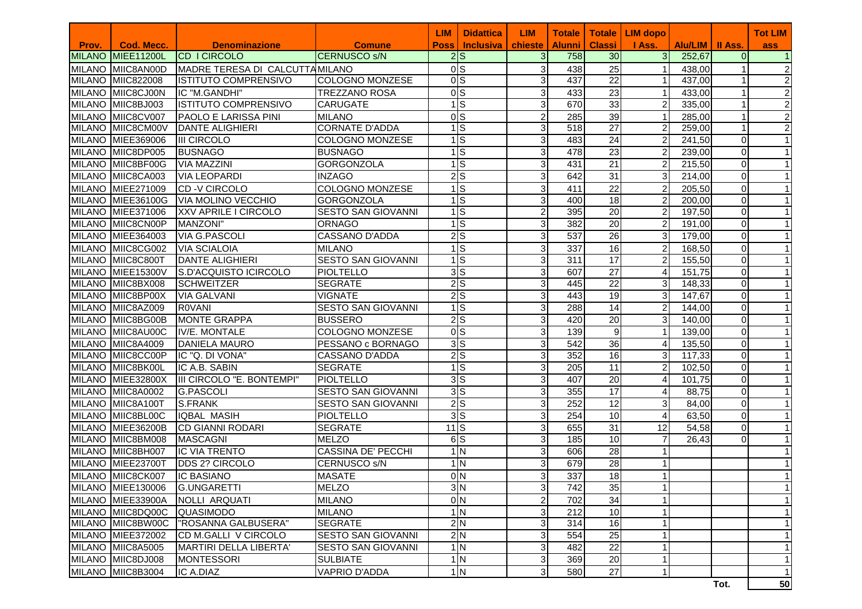|       |                   |                                 |                           | <b>LIM</b>  | <b>Didattica</b>         | <b>LIM</b>     | <b>Totale</b>    | <b>Totale</b>    | <b>LIM dopo</b> |                   |                | <b>Tot LIM</b>          |
|-------|-------------------|---------------------------------|---------------------------|-------------|--------------------------|----------------|------------------|------------------|-----------------|-------------------|----------------|-------------------------|
| Prov. | <b>Cod. Mecc.</b> | <b>Denominazione</b>            | <b>Comune</b>             | <b>Poss</b> | <b>Inclusiva</b>         | chieste        | <b>Alunni</b>    | <b>Classi</b>    | I Ass.          | Alu/LIM   II Ass. |                | ass                     |
|       | MILANO MIEE11200L | <b>CD I CIRCOLO</b>             | <b>CERNUSCO S/N</b>       |             | 2S                       | 3 <sup>l</sup> | 758              | 30               | 3 <sup>l</sup>  | 252,67            | $\Omega$       | $\overline{1}$          |
|       | MILANO MIIC8AN00D | MADRE TERESA DI CALCUTTA MILANO |                           |             | 0 <sub>S</sub>           | 3              | 438              | 25               | $\mathbf{1}$    | 438,00            |                | $\overline{\mathbf{c}}$ |
|       | MILANO MIIC822008 | <b>ISTITUTO COMPRENSIVO</b>     | <b>COLOGNO MONZESE</b>    |             | $\overline{0}$           | 3              | 437              | $\overline{22}$  |                 | 437,00            | $\mathbf{1}$   | $\overline{2}$          |
|       | MILANO MIIC8CJ00N | IC "M.GANDHI"                   | <b>TREZZANO ROSA</b>      |             | 0 <sub>S</sub>           | 3              | 433              | 23               | 1               | 433,00            | 1              | $\overline{c}$          |
|       | MILANO MIIC8BJ003 | <b>ISTITUTO COMPRENSIVO</b>     | <b>CARUGATE</b>           |             | ls                       | 3              | 670              | 33               | 2               | 335,00            | 1              | $\overline{2}$          |
|       | MILANO MIIC8CV007 | PAOLO E LARISSA PINI            | <b>MILANO</b>             |             | $\overline{\circ}$       | $\overline{2}$ | 285              | 39               | $\mathbf{1}$    | 285,00            | $\mathbf{1}$   | $\overline{c}$          |
|       | MILANO MIIC8CM00V | DANTE ALIGHIERI                 | <b>CORNATE D'ADDA</b>     |             | ls                       | 3              | 518              | $\overline{27}$  | 2               | 259,00            | 1              | $\overline{2}$          |
|       | MILANO MIEE369006 | <b>III CIRCOLO</b>              | <b>COLOGNO MONZESE</b>    |             | ls                       | 3              | 483              | $\overline{24}$  | $\overline{2}$  | 241,50            | $\mathbf 0$    |                         |
|       | MILANO MIIC8DP005 | <b>BUSNAGO</b>                  | <b>BUSNAGO</b>            |             | $1\overline{\text{S}}$   | 3              | 478              | $\overline{23}$  | 2               | 239,00            | $\mathbf 0$    |                         |
|       | MILANO MIIC8BF00G | <b>VIA MAZZINI</b>              | <b>GORGONZOLA</b>         |             | $\overline{1}\vert S$    | 3              | 431              | 21               | $\overline{2}$  | 215,50            | $\mathbf 0$    |                         |
|       | MILANO MIIC8CA003 | <b>VIA LEOPARDI</b>             | <b>INZAGO</b>             |             | 2S                       | 3              | 642              | 31               | 3               | 214,00            | $\mathbf 0$    |                         |
|       | MILANO MIEE271009 | <b>CD-V CIRCOLO</b>             | COLOGNO MONZESE           |             | $1$ $S$                  | 3              | 411              | 22               | 2               | 205,50            | 0              |                         |
|       | MILANO MIEE36100G | <b>VIA MOLINO VECCHIO</b>       | <b>GORGONZOLA</b>         |             | 1S                       | 3              | 400              | 18               | 2               | 200,00            | $\mathbf 0$    |                         |
|       | MILANO MIEE371006 | XXV APRILE I CIRCOLO            | <b>SESTO SAN GIOVANNI</b> |             | $\overline{1}$ S         | $\overline{2}$ | 395              | 20               | $\overline{2}$  | 197,50            | 0              |                         |
|       | MILANO MIIC8CN00P | MANZONI"                        | <b>ORNAGO</b>             |             | $\overline{1}\vert S$    | 3              | 382              | 20               | $\overline{c}$  | 191,00            | 0              |                         |
|       | MILANO MIEE364003 | <b>VIA G.PASCOLI</b>            | <b>CASSANO D'ADDA</b>     |             | 2S                       | 3              | $\overline{537}$ | 26               | 3               | 179,00            | $\Omega$       |                         |
|       | MILANO MIIC8CG002 | <b>VIA SCIALOIA</b>             | <b>MILANO</b>             |             | ls                       | 3              | 337              | 16               | $\overline{c}$  | 168,50            | 0              |                         |
|       | MILANO MIIC8C800T | <b>DANTE ALIGHIERI</b>          | <b>SESTO SAN GIOVANNI</b> |             | $1\overline{\text{S}}$   | 3              | 311              | 17               | $\overline{2}$  | 155,50            | 0              |                         |
|       | MILANO MIEE15300V | S.D'ACQUISTO ICIRCOLO           | <b>PIOLTELLO</b>          |             | 3S                       | 3              | 607              | $\overline{27}$  | 4               | 151,75            | $\overline{0}$ |                         |
|       | MILANO MIIC8BX008 | <b>SCHWEITZER</b>               | <b>SEGRATE</b>            |             | 2S                       | 3              | 445              | $\overline{22}$  | 3               | 148,33            | $\overline{0}$ |                         |
|       | MILANO MIIC8BP00X | <b>VIA GALVANI</b>              | <b>VIGNATE</b>            |             | 2S                       | 3              | 443              | 19               | 3               | 147,67            | $\overline{0}$ |                         |
|       | MILANO MIIC8AZ009 | <b>ROVANI</b>                   | <b>SESTO SAN GIOVANNI</b> |             | $\overline{1}$ S         | 3              | 288              | 14               | 2               | 144,00            | 0              |                         |
|       | MILANO MIIC8BG00B | <b>MONTE GRAPPA</b>             | <b>BUSSERO</b>            |             | $2\overline{s}$          | 3              | 420              | 20               | 3               | 140,00            | $\overline{0}$ |                         |
|       | MILANO MIIC8AU00C | IV/E. MONTALE                   | <b>COLOGNO MONZESE</b>    |             | 0S                       | 3              | 139              | $\boldsymbol{9}$ |                 | 139,00            | $\Omega$       |                         |
|       | MILANO MIIC8A4009 | <b>DANIELA MAURO</b>            | PESSANO c BORNAGO         |             | 3S                       | 3              | 542              | 36               | 4               | 135,50            | $\overline{0}$ |                         |
|       | MILANO MIIC8CC00P | IC "Q. DI VONA"                 | CASSANO D'ADDA            |             | 2S                       | 3              | 352              | 16               | 3               | 117,33            | $\overline{0}$ |                         |
|       | MILANO MIIC8BK00L | IC A.B. SABIN                   | <b>SEGRATE</b>            |             | $\overline{1}$ S         | 3              | 205              | 11               | 2               | 102,50            | 0              |                         |
|       | MILANO MIEE32800X | III CIRCOLO "E. BONTEMPI"       | PIOLTELLO                 |             | 3S                       | 3 <sup>1</sup> | 407              | 20               | 4               | 101,75            | $\mathbf 0$    |                         |
|       | MILANO MIIC8A0002 | <b>G.PASCOLI</b>                | <b>SESTO SAN GIOVANNI</b> |             | 3S                       | 3              | 355              | 17               | 4               | 88,75             | $\Omega$       |                         |
|       | MILANO MIIC8A100T | <b>S.FRANK</b>                  | <b>SESTO SAN GIOVANNI</b> |             | 2S                       | 3              | 252              | $\overline{12}$  | 3               | 84,00             | $\mathbf 0$    |                         |
|       | MILANO MIIC8BL00C | <b>IQBAL MASIH</b>              | <b>PIOLTELLO</b>          |             | 3S                       | 3              | 254              | 10               | 4               | 63,50             | $\mathbf 0$    |                         |
|       | MILANO MIEE36200B | <b>CD GIANNI RODARI</b>         | <b>SEGRATE</b>            | 11S         |                          | 3              | 655              | $\overline{31}$  | 12              | 54,58             | $\mathbf 0$    |                         |
|       | MILANO MIIC8BM008 | <b>MASCAGNI</b>                 | <b>MELZO</b>              |             | $\overline{6}$           | 3              | 185              | 10               | $\overline{7}$  | 26,43             | $\mathbf 0$    |                         |
|       | MILANO MIIC8BH007 | <b>IC VIA TRENTO</b>            | <b>CASSINA DE' PECCHI</b> |             | $\frac{1}{N}$            | 3              | 606              | $\overline{28}$  |                 |                   |                |                         |
|       | MILANO MIEE23700T | <b>DDS 2? CIRCOLO</b>           | CERNUSCO <sub>S/N</sub>   |             | $1\overline{\text{N}}$   | 3              | 679              | $\overline{28}$  |                 |                   |                |                         |
|       | MILANO MIIC8CK007 | <b>IC BASIANO</b>               | <b>MASATE</b>             |             | 0 <sub>N</sub>           | 3              | 337              | 18               |                 |                   |                |                         |
|       | MILANO MIEE130006 | <b>G.UNGARETTI</b>              | <b>MELZO</b>              |             | 3N                       | $\overline{3}$ | 742              | 35               | $\mathbf{1}$    |                   |                | 1                       |
|       | MILANO MIEE33900A | NOLLI ARQUATI                   | <b>MILANO</b>             |             | 0 <sub>N</sub>           | $\overline{a}$ | 702              | 34               | $\mathbf{1}$    |                   |                |                         |
|       | MILANO MIIC8DQ00C | <b>QUASIMODO</b>                | <b>MILANO</b>             |             | $1\overline{\mathrm{N}}$ | 3              | 212              | 10               |                 |                   |                | 1                       |
|       | MILANO MIIC8BW00C | "ROSANNA GALBUSERA"             | <b>SEGRATE</b>            |             | 2N                       | 3              | 314              | 16               |                 |                   |                | 1                       |
|       | MILANO MIEE372002 | CD M.GALLI V CIRCOLO            | <b>SESTO SAN GIOVANNI</b> |             | 2N                       | 3              | 554              | $\overline{25}$  |                 |                   |                | 1                       |
|       | MILANO MIIC8A5005 | MARTIRI DELLA LIBERTA'          | <b>SESTO SAN GIOVANNI</b> |             | $\frac{1}{N}$            | 3              | 482              | $\overline{22}$  | 1               |                   |                | 1                       |
|       | MILANO MIIC8DJ008 | <b>MONTESSORI</b>               | <b>SULBIATE</b>           |             | $\frac{1}{N}$            | 3              | 369              | 20               |                 |                   |                | $\mathbf 1$             |
|       | MILANO MIIC8B3004 | IC A.DIAZ                       | <b>VAPRIO D'ADDA</b>      |             | 1 <sub>N</sub>           | 31             | 580              | 27               | $\mathbf{1}$    |                   |                | 1                       |
|       |                   |                                 |                           |             |                          |                |                  |                  |                 |                   | Tot.           | 50                      |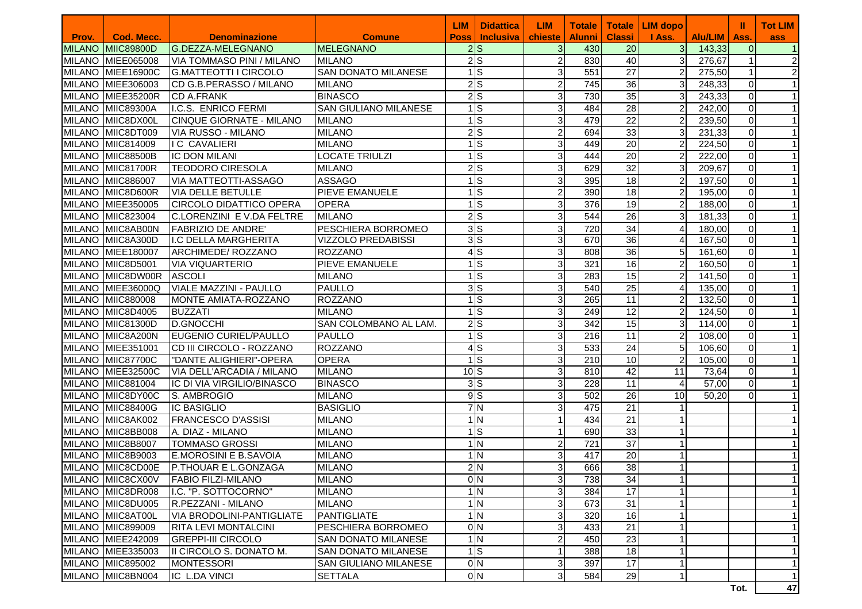|               |                   |                                  |                            | <b>LIM</b> | <b>Didattica</b>                  | <b>LIM</b>     | <b>Totale</b>    | <b>Totale</b>   | <b>LIM dopo</b> |                | Ш        | <b>Tot LIM</b> |
|---------------|-------------------|----------------------------------|----------------------------|------------|-----------------------------------|----------------|------------------|-----------------|-----------------|----------------|----------|----------------|
| Prov.         | <b>Cod. Mecc.</b> | <b>Denominazione</b>             | <b>Comune</b>              | Poss       | Inclusiva                         | chieste        | <b>Alunni</b>    | <b>Classi</b>   | I Ass.          | <b>Alu/LIM</b> | Ass.     | <b>ass</b>     |
| <b>MILANO</b> | <b>MIIC89800D</b> | G.DEZZA-MELEGNANO                | <b>MELEGNANO</b>           |            | 2S                                | 3 <sup>1</sup> | 430              | 20              | $\overline{3}$  | 143,33         | $\Omega$ | $\vert$ 1      |
|               | MILANO MIEE065008 | <b>VIA TOMMASO PINI / MILANO</b> | <b>MILANO</b>              |            | $2$ <sub>S</sub>                  | $\mathbf{2}$   | 830              | 40              | 3               | 276,67         |          | 2              |
|               | MILANO MIEE16900C | <b>G.MATTEOTTI I CIRCOLO</b>     | <b>SAN DONATO MILANESE</b> |            | $\frac{1}{s}$                     | 3 <sup>l</sup> | 551              | $\overline{27}$ | $\overline{2}$  | 275,50         |          | $\overline{2}$ |
|               | MILANO MIEE306003 | CD G.B.PERASSO / MILANO          | <b>MILANO</b>              |            | 2S                                | $\overline{2}$ | 745              | 36              | 3               | 248,33         | $\Omega$ | $\mathbf{1}$   |
| <b>MILANO</b> | MIEE35200R        | <b>CD A.FRANK</b>                | <b>BINASCO</b>             |            | $2\overline{S}$                   | $\overline{3}$ | 730              | 35              | 3               | 243,33         | $\Omega$ | $\mathbf{1}$   |
| <b>MILANO</b> | <b>MIIC89300A</b> | I.C.S. ENRICO FERMI              | SAN GIULIANO MILANESE      |            | $\overline{1}$ S                  | $\overline{3}$ | 484              | 28              | $\overline{2}$  | 242,00         | $\Omega$ | $\mathbf{1}$   |
|               | MILANO MIIC8DX00L | CINQUE GIORNATE - MILANO         | <b>MILANO</b>              |            | $1\overline{\text{S}}$            | $\overline{3}$ | 479              | $\overline{22}$ | $\overline{2}$  | 239,50         | $\Omega$ | $\mathbf{1}$   |
|               | MILANO MIIC8DT009 | VIA RUSSO - MILANO               | <b>MILANO</b>              |            | $2$ $S$                           | $\mathbf{2}$   | 694              | 33              | 3               | 231,33         | $\Omega$ | $\mathbf{1}$   |
|               | MILANO MIIC814009 | <b>I C CAVALIERI</b>             | <b>MILANO</b>              |            | 1S                                | $\overline{3}$ | 449              | $\overline{20}$ | $\overline{2}$  | 224,50         | $\Omega$ | $\mathbf{1}$   |
|               | MILANO MIIC88500B | <b>IC DON MILANI</b>             | <b>LOCATE TRIULZI</b>      |            | $1 \overline{\text{S}}$           | $\overline{3}$ | 444              | $\overline{20}$ | $\overline{2}$  | 222,00         | $\Omega$ | $\mathbf{1}$   |
|               | MILANO MIIC81700R | <b>TEODORO CIRESOLA</b>          | <b>MILANO</b>              |            | $2\overline{\smash{)}\mathsf{S}}$ | $\overline{3}$ | 629              | 32              | 3               | 209,67         | $\Omega$ | $\mathbf{1}$   |
|               | MILANO MIIC886007 | VIA MATTEOTTI-ASSAGO             | <b>ASSAGO</b>              |            | $1$ S                             | $\overline{3}$ | 395              | 18              | $\overline{2}$  | 197,50         | $\Omega$ | $\mathbf{1}$   |
|               | MILANO MIIC8D600R | <b>VIA DELLE BETULLE</b>         | PIEVE EMANUELE             |            | $1 \overline{\text{S}}$           | $\mathbf{2}$   | 390              | 18              | $\overline{2}$  | 195,00         | $\Omega$ | $\mathbf{1}$   |
|               | MILANO MIEE350005 | <b>CIRCOLO DIDATTICO OPERA</b>   | <b>OPERA</b>               |            | $\overline{1}$ S                  | 3              | 376              | 19              | $\overline{2}$  | 188,00         | $\Omega$ | $\mathbf{1}$   |
|               | MILANO MIIC823004 | C.LORENZINI E V.DA FELTRE        | <b>MILANO</b>              |            | $2\overline{\smash{)}\mathsf{S}}$ | $\overline{3}$ | 544              | 26              | 3               | 181,33         | $\Omega$ | $\mathbf{1}$   |
|               | MILANO MIIC8AB00N | <b>FABRIZIO DE ANDRE'</b>        | PESCHIERA BORROMEO         |            | 3 <sub>S</sub>                    | $\overline{3}$ | 720              | 34              | 4               | 180,00         | $\Omega$ | $\mathbf{1}$   |
|               | MILANO MIIC8A300D | I.C DELLA MARGHERITA             | VIZZOLO PREDABISSI         |            | 3S                                | 3              | 670              | 36              | $\Delta$        | 167,50         | $\Omega$ | $\mathbf{1}$   |
|               | MILANO MIEE180007 | ARCHIMEDE/ ROZZANO               | <b>ROZZANO</b>             |            | 4S                                | $\overline{3}$ | 808              | 36              | 5               | 161,60         | $\Omega$ | $\mathbf{1}$   |
|               | MILANO MIIC8D5001 | <b>VIA VIQUARTERIO</b>           | <b>PIEVE EMANUELE</b>      |            | $1 \overline{\text{S}}$           | 3              | 321              | 16              | $\overline{2}$  | 160,50         | $\Omega$ | $\mathbf{1}$   |
|               | MILANO MIIC8DW00R | <b>ASCOLI</b>                    | <b>MILANO</b>              |            | $\overline{1}$ S                  | 3 <sup>1</sup> | 283              | 15              | $\overline{2}$  | 141,50         | $\Omega$ | $\mathbf{1}$   |
|               | MILANO MIEE36000Q | <b>VIALE MAZZINI - PAULLO</b>    | <b>PAULLO</b>              |            | 3S                                | $\overline{3}$ | 540              | $\overline{25}$ | 4               | 135,00         | $\Omega$ | $\mathbf{1}$   |
|               | MILANO MIIC880008 | MONTE AMIATA-ROZZANO             | <b>ROZZANO</b>             |            | $1$ S                             | $\overline{3}$ | 265              | $\overline{11}$ | $\overline{2}$  | 132,50         | $\Omega$ | $\mathbf{1}$   |
|               | MILANO MIIC8D4005 | <b>BUZZATI</b>                   | <b>MILANO</b>              |            | $1\overline{\text{S}}$            | $\overline{3}$ | 249              | $\overline{12}$ | $\overline{2}$  | 124,50         | $\Omega$ | $\mathbf{1}$   |
|               | MILANO MIIC81300D | <b>D.GNOCCHI</b>                 | SAN COLOMBANO AL LAM.      |            | $2\overline{S}$                   | $\overline{3}$ | 342              | 15              | 3               | 114,00         | $\Omega$ | $\mathbf{1}$   |
|               | MILANO MIIC8A200N | EUGENIO CURIEL/PAULLO            | PAULLO                     |            | $\overline{1}$ S                  | 3              | 216              | 11              | $\overline{2}$  | 108,00         | $\Omega$ | $\mathbf{1}$   |
|               | MILANO MIEE351001 | CD III CIRCOLO - ROZZANO         | <b>ROZZANO</b>             |            | $\overline{4}$ S                  | $\overline{3}$ | 533              | 24              | 5               | 106,60         | $\Omega$ | $\mathbf{1}$   |
|               | MILANO MIIC87700C | "DANTE ALIGHIERI"-OPERA          | <b>OPERA</b>               |            | $1\overline{\text{S}}$            | 3 <sup>l</sup> | 210              | 10              | $\overline{2}$  | 105,00         | $\Omega$ | $\mathbf{1}$   |
|               | MILANO MIEE32500C | VIA DELL'ARCADIA / MILANO        | <b>MILANO</b>              | 10S        |                                   | 3 <sup>l</sup> | 810              | $\overline{42}$ | 11              | 73,64          | $\Omega$ | $\mathbf{1}$   |
|               | MILANO MIIC881004 | IC DI VIA VIRGILIO/BINASCO       | <b>BINASCO</b>             |            | 3S                                | 3 <sup>l</sup> | 228              | $\overline{11}$ | $\overline{4}$  | 57,00          | $\Omega$ | $\mathbf{1}$   |
|               | MILANO MIIC8DY00C | S. AMBROGIO                      | <b>MILANO</b>              |            | 9S                                | 3 <sup>1</sup> | 502              | $\overline{26}$ | 10              | 50,20          | $\Omega$ | $\mathbf{1}$   |
|               | MILANO MIIC88400G | <b>IC BASIGLIO</b>               | <b>BASIGLIO</b>            |            | 7N                                | $\overline{3}$ | 475              | $\overline{21}$ |                 |                |          |                |
|               | MILANO MIIC8AK002 | <b>FRANCESCO D'ASSISI</b>        | <b>MILANO</b>              |            | 1 <sub>N</sub>                    | $\mathbf{1}$   | 434              | $\overline{21}$ |                 |                |          |                |
| <b>MILANO</b> | MIIC8BB008        | A. DIAZ - MILANO                 | <b>MILANO</b>              |            | $1$ S                             | $\mathbf{1}$   | 690              | 33              |                 |                |          |                |
| <b>MILANO</b> | <b>MIIC8B8007</b> | <b>TOMMASO GROSSI</b>            | <b>MILANO</b>              |            | 1 <sub>N</sub>                    | $\mathbf{2}$   | $\overline{721}$ | $\overline{37}$ |                 |                |          |                |
| <b>MILANO</b> | <b>MIC8B9003</b>  | <b>E.MOROSINI E B.SAVOIA</b>     | <b>MILANO</b>              |            | 1 <sub>N</sub>                    | $\mathbf{3}$   | 417              | 20              |                 |                |          |                |
|               | MILANO MIIC8CD00E | P.THOUAR E L.GONZAGA             | <b>MILANO</b>              |            | 2N                                | 3 <sup>1</sup> | 666              | 38              |                 |                |          | $\mathbf{1}$   |
|               | MILANO MIIC8CX00V | <b>FABIO FILZI-MILANO</b>        | <b>MILANO</b>              |            | 0 <sub>N</sub>                    | 3 <sub>l</sub> | 738              | 34              |                 |                |          | $\vert$        |
|               | MILANO MIIC8DR008 | I.C. "P. SOTTOCORNO"             | <b>MILANO</b>              |            | 1N                                | $\overline{3}$ | 384              | $\overline{17}$ |                 |                |          | $\overline{1}$ |
|               | MILANO MIIC8DU005 | R.PEZZANI - MILANO               | <b>MILANO</b>              |            | 1N                                | $\overline{3}$ | 673              | 31              |                 |                |          | $\mathbf{1}$   |
|               | MILANO MIIC8AT00L | <b>VIA BRODOLINI-PANTIGLIATE</b> | PANTIGLIATE                |            | 1N                                | 3 <sup>1</sup> | 320              | 16              | 1               |                |          | $\mathbf{1}$   |
|               | MILANO MIIC899009 | <b>RITA LEVI MONTALCINI</b>      | PESCHIERA BORROMEO         |            | 0 <sub>N</sub>                    | $\mathbf{3}$   | 433              | 21              |                 |                |          | $\mathbf{1}$   |
|               | MILANO MIEE242009 | <b>GREPPI-III CIRCOLO</b>        | SAN DONATO MILANESE        |            | 1N                                | $\mathbf{2}$   | 450              | 23              |                 |                |          | 1              |
|               | MILANO MIEE335003 | II CIRCOLO S. DONATO M.          | SAN DONATO MILANESE        |            | $1 \,$ S                          | 1              | 388              | 18              |                 |                |          | $\mathbf{1}$   |
|               | MILANO MIIC895002 | <b>MONTESSORI</b>                | SAN GIULIANO MILANESE      |            | 0 <sub>N</sub>                    | 3 <sup>1</sup> | 397              | $\overline{17}$ |                 |                |          | $\mathbf{1}$   |
|               | MILANO MIIC8BN004 | IC L.DA VINCI                    | <b>SETTALA</b>             |            | 0 <sub>N</sub>                    | 3 <sup>l</sup> | 584              | 29              | 1               |                |          | $\mathbf{1}$   |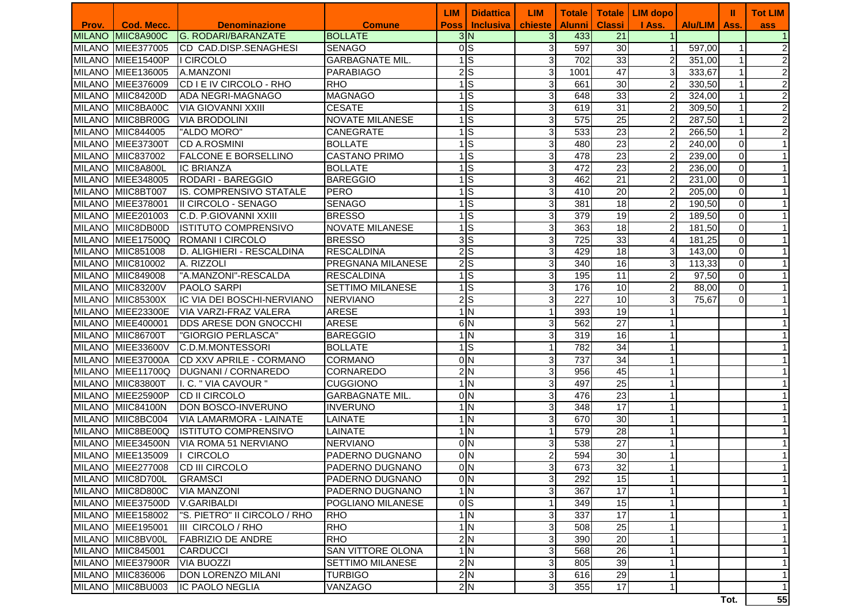|       |                   |                                    |                          | LIM                      | <b>Didattica</b> | <b>LIM</b>              | <b>Totale</b>    | <b>Totale</b>   | <b>LIM</b> dopo |                       |             | <b>Tot LIM</b> |
|-------|-------------------|------------------------------------|--------------------------|--------------------------|------------------|-------------------------|------------------|-----------------|-----------------|-----------------------|-------------|----------------|
| Prov. | Cod. Mecc.        | <b>Denominazione</b>               | <b>Comune</b>            | <b>Poss</b>              | <b>Inclusiva</b> | chieste                 | <b>Alunni</b>    | <b>Classi</b>   | I Ass.          | <b>Alu/LIM   Ass.</b> |             | ass            |
|       | MILANO MIIC8A900C | <b>G. RODARI/BARANZATE</b>         | <b>BOLLATE</b>           | 3N                       |                  | 3                       | 433              | 21              |                 |                       |             | $\mathbf{1}$   |
|       | MILANO MIEE377005 | <b>CD CAD.DISP.SENAGHESI</b>       | <b>SENAGO</b>            | $\overline{0 S}$         |                  | 3                       | 597              | $\overline{30}$ | $\mathbf{1}$    | 597,00                | 1           | $\overline{c}$ |
|       | MILANO MIEE15400P | <b>I</b> CIRCOLO                   | <b>GARBAGNATE MIL.</b>   | $\frac{1}{s}$            |                  | 31                      | 702              | $\overline{33}$ | $\overline{a}$  | 351,00                | $\mathbf 1$ | $\overline{c}$ |
|       | MILANO MIEE136005 | A.MANZONI                          | <b>PARABIAGO</b>         | $2\overline{S}$          |                  | $\mathbf{3}$            | 1001             | $\overline{47}$ | 3               | 333,67                |             | $\overline{2}$ |
|       | MILANO MIEE376009 | CD I E IV CIRCOLO - RHO            | <b>RHO</b>               | $\overline{1}$ S         |                  | $\mathbf{3}$            | 661              | 30              | $\overline{c}$  | 330,50                | 1           | $\overline{2}$ |
|       | MILANO MIIC84200D | <b>ADA NEGRI-MAGNAGO</b>           | <b>MAGNAGO</b>           | $\frac{1}{s}$            |                  | $\mathbf{3}$            | 648              | 33              | $\overline{c}$  | 324,00                | 1           | $\overline{2}$ |
|       | MILANO MIIC8BA00C | VIA GIOVANNI XXIII                 | <b>CESATE</b>            | $\frac{1}{s}$            |                  | $\overline{3}$          | 619              | $\overline{31}$ | $\overline{a}$  | 309,50                | 1           | $\overline{2}$ |
|       | MILANO MIIC8BR00G | <b>VIA BRODOLINI</b>               | <b>NOVATE MILANESE</b>   | $\frac{1}{s}$            |                  | 3                       | 575              | 25              | $\overline{a}$  | 287,50                | 1           | $\overline{2}$ |
|       | MILANO MIIC844005 | "ALDO MORO"                        | <b>CANEGRATE</b>         | $\frac{1}{s}$            |                  | 3                       | 533              | $\overline{23}$ | $\overline{a}$  | 266,50                | 1           | $\overline{2}$ |
|       | MILANO MIEE37300T | <b>CD A.ROSMINI</b>                | <b>BOLLATE</b>           | $\frac{1}{s}$            |                  | $\overline{3}$          | 480              | $\overline{23}$ | $\overline{2}$  | 240,00                | $\mathbf 0$ | 1 <sup>1</sup> |
|       | MILANO MIIC837002 | <b>FALCONE E BORSELLINO</b>        | <b>CASTANO PRIMO</b>     | $\frac{1}{s}$            |                  | 3                       | 478              | 23              | $\overline{2}$  | 239,00                | $\mathbf 0$ | 1 <sup>1</sup> |
|       | MILANO MIIC8A800L | <b>IC BRIANZA</b>                  | <b>BOLLATE</b>           | $\frac{1}{s}$            |                  | $\overline{\mathbf{3}}$ | 472              | $\overline{23}$ | $\overline{2}$  | 236,00                | $\mathbf 0$ | $\mathbf{1}$   |
|       | MILANO MIEE348005 | <b>RODARI - BAREGGIO</b>           | <b>BAREGGIO</b>          | $\overline{1}$ S         |                  | 3                       | 462              | $\overline{21}$ | $\overline{2}$  | 231,00                | 0           | $\mathbf{1}$   |
|       | MILANO MIIC8BT007 | <b>IS. COMPRENSIVO STATALE</b>     | <b>PERO</b>              | $\overline{1}$ S         |                  | 3                       | 410              | 20              | $\overline{2}$  | 205,00                | $\mathbf 0$ | $\mathbf{1}$   |
|       | MILANO MIEE378001 | II CIRCOLO - SENAGO                | <b>SENAGO</b>            | $\frac{1}{s}$            |                  | $\mathbf{3}$            | 381              | 18              | $\overline{2}$  | 190,50                | $\mathbf 0$ |                |
|       | MILANO MIEE201003 | C.D. P.GIOVANNI XXIII              | <b>BRESSO</b>            | $\frac{1}{s}$            |                  | $\mathbf{3}$            | 379              | $\overline{19}$ | $\overline{2}$  | 189,50                | $\mathbf 0$ |                |
|       | MILANO MIIC8DB00D | <b>IISTITUTO COMPRENSIVO</b>       | <b>NOVATE MILANESE</b>   | $\frac{1}{s}$            |                  | 3 <sup>l</sup>          | 363              | $\overline{18}$ | $\overline{2}$  | 181,50                | $\mathbf 0$ |                |
|       | MILANO MIEE17500Q | <b>ROMANI I CIRCOLO</b>            | <b>BRESSO</b>            | $\overline{\frac{3}{5}}$ |                  | 3 <sup>l</sup>          | $\overline{725}$ | 33              | $\overline{4}$  | 181,25                | $\mathbf 0$ |                |
|       | MILANO MIIC851008 | D. ALIGHIERI - RESCALDINA          | <b>RESCALDINA</b>        | 2S                       |                  | 3                       | 429              | $\overline{18}$ | $\overline{3}$  | 143,00                | $\mathbf 0$ |                |
|       | MILANO MIIC810002 | A. RIZZOLI                         | PREGNANA MILANESE        | 2S                       |                  | $\overline{3}$          | 340              | 16              | 3               | 113,33                | $\mathbf 0$ | 1              |
|       | MILANO MIIC849008 | "A.MANZONI"-RESCALDA               | <b>RESCALDINA</b>        | $\overline{1}$ S         |                  | 3                       | 195              | $\overline{11}$ | $\overline{2}$  | 97,50                 | $\mathbf 0$ | $\mathbf 1$    |
|       | MILANO MIIC83200V | <b>PAOLO SARPI</b>                 | <b>SETTIMO MILANESE</b>  | $\frac{1}{s}$            |                  | $\mathbf{3}$            | 176              | 10              | $\overline{a}$  | 88,00                 | $\mathbf 0$ |                |
|       | MILANO MIIC85300X | <b>IIC VIA DEI BOSCHI-NERVIANO</b> | <b>NERVIANO</b>          | $\overline{2 S}$         |                  | 3                       | 227              | 10              | $\overline{3}$  | 75,67                 | 0           |                |
|       | MILANO MIEE23300E | <b>VIA VARZI-FRAZ VALERA</b>       | <b>ARESE</b>             | 1 <sub>N</sub>           |                  |                         | 393              | $\overline{19}$ |                 |                       |             |                |
|       | MILANO MIEE400001 | <b>DDS ARESE DON GNOCCHI</b>       | <b>ARESE</b>             | 6N                       |                  | $\mathbf{3}$            | 562              | $\overline{27}$ |                 |                       |             |                |
|       | MILANO MIIC86700T | "GIORGIO PERLASCA"                 | <b>BAREGGIO</b>          | 1 <sub>N</sub>           |                  | $\overline{3}$          | 319              | 16              |                 |                       |             |                |
|       | MILANO MIEE33600V | C.D.M.MONTESSORI                   | <b>BOLLATE</b>           | $\frac{1}{s}$            |                  | 11                      | 782              | $\overline{34}$ |                 |                       |             |                |
|       | MILANO MIEE37000A | ICD XXV APRILE - CORMANO           | <b>CORMANO</b>           | 0 <sub>N</sub>           |                  | $\overline{3}$          | 737              | 34              |                 |                       |             |                |
|       | MILANO MIEE11700Q | <b>IDUGNANI / CORNAREDO</b>        | <b>CORNAREDO</b>         | $\overline{2}$           |                  | $\overline{3}$          | 956              | 45              |                 |                       |             |                |
|       | MILANO MIIC83800T | I. C. " VIA CAVOUR "               | <b>CUGGIONO</b>          | 1N                       |                  | $\overline{3}$          | 497              | $\overline{25}$ |                 |                       |             | 1              |
|       | MILANO MIEE25900P | <b>CD II CIRCOLO</b>               | <b>GARBAGNATE MIL.</b>   | $\overline{0}$ N         |                  | 3                       | 476              | 23              |                 |                       |             | 1              |
|       | MILANO MIIC84100N | DON BOSCO-INVERUNO                 | <b>INVERUNO</b>          | 1N                       |                  | $\overline{\mathbf{3}}$ | 348              | $\overline{17}$ |                 |                       |             |                |
|       | MILANO MIIC8BC004 | VIA LAMARMORA - LAINATE            | <b>LAINATE</b>           | 1 <sub>N</sub>           |                  | 3                       | 670              | 30              |                 |                       |             | 1              |
|       | MILANO MIIC8BE00Q | <b>IISTITUTO COMPRENSIVO</b>       | LAINATE                  | 1 <sub>N</sub>           |                  |                         | 579              | 28              |                 |                       |             |                |
|       | MILANO MIEE34500N | VIA ROMA 51 NERVIANO               | <b>NERVIANO</b>          | 0 <sub>N</sub>           |                  | 3                       | 538              | $\overline{27}$ |                 |                       |             |                |
|       | MILANO MIEE135009 | <b>CIRCOLO</b>                     | PADERNO DUGNANO          | 0 <sub>N</sub>           |                  | $\mathsf{2}$            | 594              | 30              |                 |                       |             |                |
|       | MILANO MIEE277008 | <b>CD III CIRCOLO</b>              | <b>PADERNO DUGNANO</b>   |                          | 0 N              | 3                       | 673              | 32              |                 |                       |             |                |
|       | MILANO MIIC8D700L | <b>GRAMSCI</b>                     | PADERNO DUGNANO          |                          | 0 <sub>N</sub>   | 3                       | 292              | 15              |                 |                       |             | $\mathbf{1}$   |
|       | MILANO MIIC8D800C | <b>VIA MANZONI</b>                 | PADERNO DUGNANO          |                          | 1 <sub>N</sub>   | 31                      | 367              | 17              |                 |                       |             | $\mathbf{1}$   |
|       | MILANO MIEE37500D | V.GARIBALDI                        | POGLIANO MILANESE        | 0S                       |                  |                         | 349              | 15              |                 |                       |             | $\mathbf{1}$   |
|       | MILANO MIEE158002 | "S. PIETRO" II CIRCOLO / RHO       | <b>RHO</b>               |                          | 1 <sub>N</sub>   | $\overline{\mathbf{3}}$ | 337              | $\overline{17}$ |                 |                       |             | $\mathbf 1$    |
|       | MILANO MIEE195001 | <b>IIII CIRCOLO / RHO</b>          | <b>RHO</b>               |                          | $\overline{1}$ N | $\overline{\mathbf{3}}$ | 508              | $\overline{25}$ |                 |                       |             | $\mathbf 1$    |
|       | MILANO MIIC8BV00L | <b>FABRIZIO DE ANDRE</b>           | <b>RHO</b>               |                          | 2N               | $\overline{\mathbf{3}}$ | 390              | $\overline{20}$ |                 |                       |             | 1              |
|       | MILANO MIIC845001 | <b>CARDUCCI</b>                    | <b>SAN VITTORE OLONA</b> |                          | $\overline{1}$ N | 3                       | 568              | $\overline{26}$ |                 |                       |             | $\mathbf{1}$   |
|       | MILANO MIEE37900R | <b>VIA BUOZZI</b>                  | <b>SETTIMO MILANESE</b>  |                          | 2N               | $\mathbf{3}$            | 805              | 39              |                 |                       |             | $\mathbf{1}$   |
|       | MILANO MIIC836006 | <b>DON LORENZO MILANI</b>          | <b>TURBIGO</b>           |                          | 2N               | 3                       | 616              | 29              |                 |                       |             | $\mathbf{1}$   |
|       | MILANO MIIC8BU003 | <b>IC PAOLO NEGLIA</b>             | VANZAGO                  |                          | 2N               | 3 <sup>l</sup>          | 355              | 17              |                 |                       |             | $\mathbf 1$    |
|       |                   |                                    |                          |                          |                  |                         |                  |                 |                 |                       | Tot.        | 55             |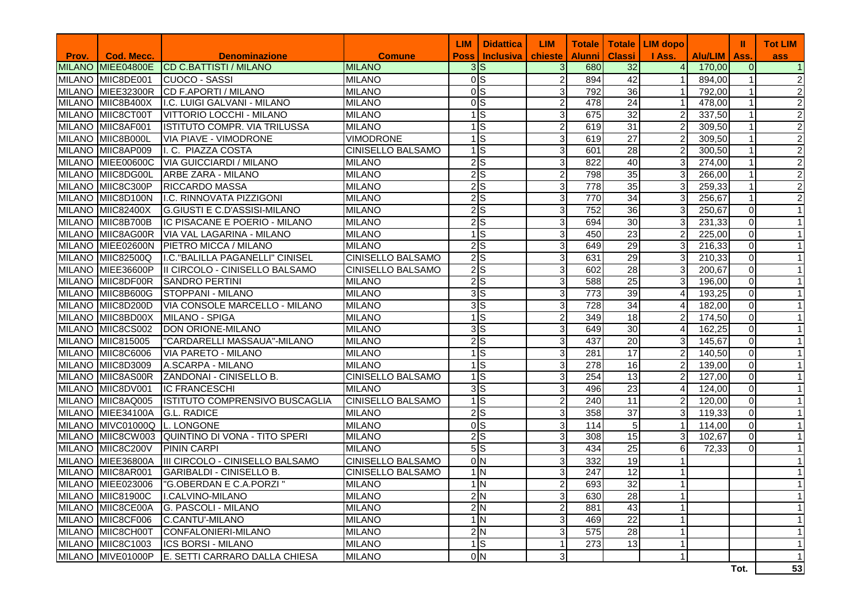|       |                   |                                                 |                   | <b>LIM</b>  | <b>Didattica</b>                  | <b>LIM</b>     | <b>Totale</b>    |                 | Totale   LIM dopo |         | Ш              | <b>Tot LIM</b>   |
|-------|-------------------|-------------------------------------------------|-------------------|-------------|-----------------------------------|----------------|------------------|-----------------|-------------------|---------|----------------|------------------|
| Prov. | Cod. Mecc.        | <b>Denominazione</b>                            | <b>Comune</b>     | <b>Poss</b> | <b>Inclusiva</b>                  | chieste        | <b>Alunni</b>    | <b>Classi</b>   | I Ass.            | Alu/LIM | Ass.           | ass              |
|       |                   | MILANO MIEE04800E CD C.BATTISTI / MILANO        | <b>MILANO</b>     |             | 3S                                | 3 <sup>l</sup> | 680              | 32              | $\overline{4}$    | 170,00  | $\overline{0}$ |                  |
|       | MILANO MIIC8DE001 | CUOCO - SASSI                                   | <b>MILANO</b>     |             | 0 <sub>S</sub>                    | $\overline{2}$ | 894              | 42              | $\mathbf{1}$      | 894,00  |                |                  |
|       | MILANO MIEE32300R | CD F.APORTI / MILANO                            | <b>MILANO</b>     |             | 0 <sub>S</sub><br>$\overline{0}$  | 3 <sup>1</sup> | 792              | 36              | 1 <sup>1</sup>    | 792,00  |                | 2                |
|       | MILANO MIIC8B400X | I.C. LUIGI GALVANI - MILANO                     | <b>MILANO</b>     |             |                                   | $\overline{2}$ | 478              | $\overline{24}$ | $\mathbf{1}$      | 478,00  |                | $\overline{c}$   |
|       | MILANO MIIC8CT00T | VITTORIO LOCCHI - MILANO                        | <b>MILANO</b>     |             | $\frac{1}{s}$                     | 3 <sup>1</sup> | 675              | $\overline{32}$ | $\overline{2}$    | 337,50  | $\mathbf{1}$   | $\boldsymbol{2}$ |
|       | MILANO MIIC8AF001 | <b>ISTITUTO COMPR. VIA TRILUSSA</b>             | <b>MILANO</b>     |             | $1 \text{S}$                      | 2 <sub>l</sub> | 619              | $\overline{31}$ | $\overline{2}$    | 309,50  |                | $\overline{c}$   |
|       | MILANO MIIC8B000L | <b>VIA PIAVE - VIMODRONE</b>                    | <b>VIMODRONE</b>  |             | $1 \text{S}$                      | 3 <sup>l</sup> | 619              | $\overline{27}$ | $\overline{2}$    | 309,50  |                | $\overline{c}$   |
|       | MILANO MIIC8AP009 | I. C. PIAZZA COSTA                              | CINISELLO BALSAMO |             | 1S                                | 3 <sup>l</sup> | 601              | 28              | $\overline{2}$    | 300,50  |                | $\overline{c}$   |
|       | MILANO MIEE00600C | <b>VIA GUICCIARDI / MILANO</b>                  | <b>MILANO</b>     |             | 2S                                | 3 <sup>1</sup> | 822              | 40              | 3                 | 274,00  |                | $\overline{c}$   |
|       | MILANO MIIC8DG00L | <b>ARBE ZARA - MILANO</b>                       | <b>MILANO</b>     |             | 2S                                | $\overline{2}$ | 798              | $\overline{35}$ | 3 <sup>1</sup>    | 266,00  |                | $\overline{c}$   |
|       | MILANO MIIC8C300P | <b>RICCARDO MASSA</b>                           | <b>MILANO</b>     |             | 2S                                | 3 <sup>1</sup> | $\overline{778}$ | 35              | 3 <sup>1</sup>    | 259,33  |                |                  |
|       | MILANO MIIC8D100N | I.C. RINNOVATA PIZZIGONI                        | <b>MILANO</b>     |             | 2S                                | $\overline{3}$ | 770              | 34              | $\overline{3}$    | 256,67  | $\mathbf{1}$   |                  |
|       | MILANO MIIC82400X | G.GIUSTI E C.D'ASSISI-MILANO                    | <b>MILANO</b>     |             | $2\overline{S}$                   | 3 <sup>1</sup> | 752              | $\overline{36}$ | 3 <sup>1</sup>    | 250,67  | $\overline{0}$ |                  |
|       | MILANO MIIC8B700B | IC PISACANE E POERIO - MILANO                   | <b>MILANO</b>     |             | $2\overline{S}$                   | 3 <sup>1</sup> | 694              | 30              | 3 <sup>1</sup>    | 231,33  | $\overline{0}$ |                  |
|       | MILANO MIIC8AG00R | VIA VAL LAGARINA - MILANO                       | <b>MILANO</b>     |             | 1S                                | $\overline{3}$ | 450              | 23              | 2 <sub>l</sub>    | 225,00  | $\overline{0}$ |                  |
|       | MILANO MIEE02600N | PIETRO MICCA / MILANO                           | <b>MILANO</b>     |             | 2S                                | 3 <sub>l</sub> | 649              | 29              | 3 <sup>l</sup>    | 216,33  | $\overline{0}$ |                  |
|       | MILANO MIIC82500Q | I.C. "BALILLA PAGANELLI" CINISEL                | CINISELLO BALSAMO |             | $2\overline{\text{S}}$            | $\overline{3}$ | 631              | 29              | $\overline{3}$    | 210,33  | $\Omega$       |                  |
|       | MILANO MIEE36600P | II CIRCOLO - CINISELLO BALSAMO                  | CINISELLO BALSAMO |             | $2\overline{\smash{)}\mathsf{S}}$ | 3 <sub>l</sub> | 602              | 28              | 3 <sub>l</sub>    | 200,67  | $\overline{0}$ |                  |
|       | MILANO MIIC8DF00R | <b>SANDRO PERTINI</b>                           | <b>MILANO</b>     |             | $2\overline{S}$                   | 3 <sup>1</sup> | 588              | $\overline{25}$ | 3 <sup>l</sup>    | 196,00  | $\overline{0}$ |                  |
|       | MILANO MIIC8B600G | <b>ISTOPPANI - MILANO</b>                       | <b>MILANO</b>     |             | 3S                                | 3 <sup>l</sup> | 773              | 39              | $\overline{4}$    | 193,25  | $\overline{0}$ |                  |
|       | MILANO MIIC8D200D | VIA CONSOLE MARCELLO - MILANO                   | <b>MILANO</b>     |             | 3S                                | $\overline{3}$ | 728              | 34              | $\overline{4}$    | 182,00  | $\overline{0}$ |                  |
|       | MILANO MIIC8BD00X | <b>IMILANO - SPIGA</b>                          | <b>MILANO</b>     |             | $\frac{1}{s}$                     | $\overline{2}$ | 349              | $\overline{18}$ | $\overline{2}$    | 174,50  | $\overline{0}$ |                  |
|       | MILANO MIIC8CS002 | DON ORIONE-MILANO                               | <b>MILANO</b>     |             | 3S                                | 3 <sup>1</sup> | 649              | 30              | $\overline{4}$    | 162,25  | $\overline{0}$ |                  |
|       | MILANO MIIC815005 | "CARDARELLI MASSAUA"-MILANO                     | <b>MILANO</b>     |             | 2S                                | 3 <sup>l</sup> | 437              | $\overline{20}$ | 3 <sup>l</sup>    | 145,67  | $\overline{0}$ |                  |
|       | MILANO MIIC8C6006 | VIA PARETO - MILANO                             | <b>MILANO</b>     |             | 1S                                | 3 <sup>1</sup> | 281              | 17              | $\overline{2}$    | 140,50  | $\overline{0}$ |                  |
|       | MILANO MIIC8D3009 | A.SCARPA - MILANO                               | <b>MILANO</b>     |             | $1 \text{S}$                      | 3 <sub>l</sub> | 278              | 16              | 2 <sub>l</sub>    | 139,00  | $\overline{0}$ |                  |
|       | MILANO MIIC8AS00R | ZANDONAI - CINISELLO B.                         | CINISELLO BALSAMO |             | $1 \overline{\text{S}}$           | 3 <sup>1</sup> | 254              | $\overline{13}$ | 2 <sub>l</sub>    | 127,00  | $\overline{0}$ |                  |
|       | MILANO MIIC8DV001 | <b>IC FRANCESCHI</b>                            | <b>MILANO</b>     |             | 3S                                | 3 <sup>1</sup> | 496              | $\overline{23}$ | $\overline{4}$    | 124,00  | $\overline{0}$ |                  |
|       | MILANO MIIC8AQ005 | ISTITUTO COMPRENSIVO BUSCAGLIA                  | CINISELLO BALSAMO |             | 1S                                | $\overline{2}$ | 240              | 11              | $\overline{2}$    | 120,00  | $\overline{0}$ |                  |
|       | MILANO MIEE34100A | <b>G.L. RADICE</b>                              | <b>MILANO</b>     |             | $2\overline{S}$                   | 3 <sup>1</sup> | 358              | $\overline{37}$ | 3 <sup>l</sup>    | 119,33  | $\overline{0}$ |                  |
|       | MILANO MIVC01000Q | <b>IL. LONGONE</b>                              | <b>MILANO</b>     |             | <sub>0</sub> S                    | 3 <sup>l</sup> | 114              | 5               | $\mathbf{1}$      | 114,00  | $\overline{0}$ |                  |
|       |                   | MILANO MIIC8CW003 QUINTINO DI VONA - TITO SPERI | <b>MILANO</b>     |             | $2\overline{\smash{)}\mathsf{S}}$ | 3 <sup>l</sup> | 308              | 15              | 3 <sup>l</sup>    | 102,67  | $\overline{0}$ |                  |
|       | MILANO MIIC8C200V | <b>PININ CARPI</b>                              | <b>MILANO</b>     |             | 5S                                | 3 <sup>1</sup> | 434              | $\overline{25}$ | 6                 | 72,33   | $\Omega$       |                  |
|       | MILANO MIEE36800A | III CIRCOLO - CINISELLO BALSAMO                 | CINISELLO BALSAMO |             | 0 <sub>N</sub>                    | 3 <sup>1</sup> | 332              | 19              | $\mathbf{1}$      |         |                |                  |
|       | MILANO MIIC8AR001 | <b>GARIBALDI - CINISELLO B.</b>                 | CINISELLO BALSAMO |             | 1 <sub>N</sub>                    | 3 <sub>l</sub> | 247              | 12              | 1                 |         |                |                  |
|       | MILANO MIEE023006 | "G.OBERDAN E C.A.PORZI"                         | <b>MILANO</b>     |             | 1 <sub>N</sub>                    | $\overline{2}$ | 693              | $\overline{32}$ |                   |         |                |                  |
|       | MILANO MIIC81900C | I.CALVINO-MILANO                                | <b>MILANO</b>     |             | 2N                                | 3 <sup>1</sup> | 630              | 28              | <u> 11</u>        |         |                | 1                |
|       | MILANO MIIC8CE00A | <b>G. PASCOLI - MILANO</b>                      | <b>MILANO</b>     |             | 2N                                | $\overline{2}$ | 881              | 43              | $\mathbf{1}$      |         |                | 1                |
|       | MILANO MIIC8CF006 | C.CANTU'-MILANO                                 | <b>MILANO</b>     |             | 1 <sub>N</sub>                    | $\overline{3}$ | 469              | $\overline{22}$ | $\mathbf{1}$      |         |                | 1                |
|       | MILANO MIIC8CH00T | CONFALONIERI-MILANO                             | <b>MILANO</b>     |             | 2N                                | $\overline{3}$ | 575              | $\overline{28}$ | $\mathbf{1}$      |         |                | 1                |
|       | MILANO MIIC8C1003 | <b>ICS BORSI - MILANO</b>                       | <b>MILANO</b>     |             | $\overline{1}$ S                  | 1 <sup>1</sup> | 273              | 13              | $\mathbf{1}$      |         |                | $\mathbf 1$      |
|       | MILANO MIVE01000P | E. SETTI CARRARO DALLA CHIESA                   | <b>MILANO</b>     |             | 0 <sub>N</sub>                    | 3 <sup>1</sup> |                  |                 | $\mathbf{1}$      |         |                | 1                |
|       |                   |                                                 |                   |             |                                   |                |                  |                 |                   |         | Tot.           | 53               |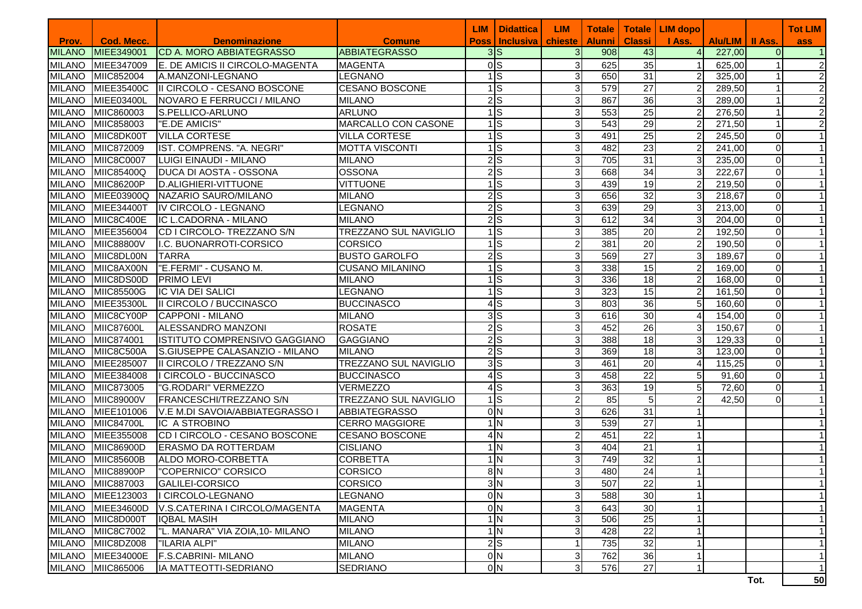|               |                   |                                  |                        | LIM         | <b>Didattica</b>        | <b>LIM</b>                | <b>Totale</b>    |                 | Totale   LIM dopo |                   |                | <b>Tot LIM</b> |
|---------------|-------------------|----------------------------------|------------------------|-------------|-------------------------|---------------------------|------------------|-----------------|-------------------|-------------------|----------------|----------------|
| Prov.         | <b>Cod. Mecc.</b> | <b>Denominazione</b>             | <b>Comune</b>          | <b>Poss</b> | <b>Inclusiva</b>        | chieste                   | <b>Alunni</b>    | <b>Classi</b>   | I Ass.            | Alu/LIM   II Ass. |                | ass            |
| <b>MILANO</b> | MIEE349001        | <b>CD A. MORO ABBIATEGRASSO</b>  | <b>ABBIATEGRASSO</b>   |             | 3S                      | 3                         | 908              | 43              | $\overline{4}$    | 227,00            | $\Omega$       |                |
| <b>MILANO</b> | MIEE347009        | E. DE AMICIS II CIRCOLO-MAGENTA  | <b>MAGENTA</b>         |             | 0 <sub>S</sub>          | $\sqrt{3}$                | 625              | 35              | 1                 | 625,00            |                | $\overline{2}$ |
| <b>MILANO</b> | MIIC852004        | <b>A.MANZONI-LEGNANO</b>         | LEGNANO                |             | $1$ $S$                 | 3                         | 650              | 31              | $\overline{2}$    | 325,00            |                | $\overline{2}$ |
| <b>MILANO</b> | <b>MIEE35400C</b> | II CIRCOLO - CESANO BOSCONE      | <b>CESANO BOSCONE</b>  |             | $1\overline{s}$         | $\sqrt{3}$                | 579              | $\overline{27}$ | $\overline{2}$    | 289,50            |                | $\overline{2}$ |
| <b>MILANO</b> | MIEE03400L        | NOVARO E FERRUCCI / MILANO       | <b>MILANO</b>          |             | 2S                      | 3                         | 867              | $\overline{36}$ | 3                 | 289,00            |                | $\overline{2}$ |
| <b>MILANO</b> | MIIC860003        | S.PELLICO-ARLUNO                 | <b>ARLUNO</b>          |             | <b>IS</b>               | 3                         | 553              | $\overline{25}$ | 2                 | 276,50            |                | $\overline{2}$ |
| <b>MILANO</b> | MIIC858003        | "E.DE AMICIS"                    | MARCALLO CON CASONE    |             | $\overline{\mathsf{s}}$ | 3                         | 543              | 29              | 2                 | 271,50            |                | $\overline{2}$ |
| <b>MILANO</b> | MIIC8DK00T        | <b>VILLA CORTESE</b>             | <b>VILLA CORTESE</b>   |             | $\overline{\mathsf{s}}$ | 3                         | 491              | $\overline{25}$ | $\overline{2}$    | 245,50            | $\Omega$       |                |
| <b>MILANO</b> | MIIC872009        | IST. COMPRENS. "A. NEGRI"        | <b>MOTTA VISCONTI</b>  |             | $\overline{1}$ S        | $\sqrt{3}$                | 482              | 23              | $\overline{c}$    | 241,00            | $\Omega$       |                |
| <b>MILANO</b> | <b>MIIC8C0007</b> | LUIGI EINAUDI - MILANO           | <b>MILANO</b>          |             | $2$ <sub>S</sub>        | $\sqrt{3}$                | 705              | $\overline{31}$ | 3                 | 235,00            | $\Omega$       |                |
| <b>MILANO</b> | <b>MIIC85400Q</b> | <b>DUCA DI AOSTA - OSSONA</b>    | <b>OSSONA</b>          |             | $2$ <sub>S</sub>        | $\overline{3}$            | 668              | 34              | 3                 | 222,67            | $\overline{0}$ |                |
| <b>MILANO</b> | <b>MIIC86200P</b> | D.ALIGHIERI-VITTUONE             | <b>VITTUONE</b>        |             | $1$ S                   | 3                         | 439              | 19              | $\overline{a}$    | 219,50            | $\overline{0}$ |                |
| <b>MILANO</b> | <b>MIEE03900Q</b> | NAZARIO SAURO/MILANO             | <b>MILANO</b>          |             | 2S                      | $\sqrt{3}$                | 656              | $\overline{32}$ | $\mathbf{3}$      | 218,67            | $\overline{0}$ |                |
| <b>MILANO</b> | <b>MIEE34400T</b> | IV CIRCOLO - LEGNANO             | <b>LEGNANO</b>         |             | $2\overline{s}$         | $\sqrt{3}$                | 639              | 29              | 3 <sup>l</sup>    | 213,00            | $\Omega$       |                |
| <b>MILANO</b> | MIIC8C400E        | IC L.CADORNA - MILANO            | <b>MILANO</b>          |             | 2S                      | $\sqrt{3}$                | 612              | 34              | 3                 | 204,00            | $\Omega$       |                |
| <b>MILANO</b> | MIEE356004        | CD I CIRCOLO- TREZZANO S/N       | TREZZANO SUL NAVIGLIO  |             | $1\overline{s}$         | $\sqrt{3}$                | 385              | $\overline{20}$ | 2                 | 192,50            | $\Omega$       |                |
| <b>MILANO</b> | <b>MIIC88800V</b> | I.C. BUONARROTI-CORSICO          | <b>CORSICO</b>         | 1           | $\overline{\mathsf{s}}$ | $\overline{2}$            | 381              | 20              | 2                 | 190,50            | $\Omega$       |                |
| <b>MILANO</b> | MIIC8DL00N        | <b>TARRA</b>                     | <b>BUSTO GAROLFO</b>   |             | $2$ <sub>S</sub>        | 3                         | 569              | 27              | 3                 | 189,67            | $\Omega$       |                |
| <b>MILANO</b> | MIIC8AX00N        | "E.FERMI" - CUSANO M.            | <b>CUSANO MILANINO</b> |             | ls                      | 3                         | 338              | 15              | 2                 | 169,00            | $\Omega$       |                |
| <b>MILANO</b> | MIIC8DS00D        | <b>PRIMO LEVI</b>                | <b>MILANO</b>          |             | Is                      | $\sqrt{3}$                | 336              | 18              | $\overline{2}$    | 168,00            | $\Omega$       |                |
| <b>MILANO</b> | <b>MIIC85500G</b> | <b>IC VIA DEI SALICI</b>         | <b>LEGNANO</b>         |             | Is                      | $\sqrt{3}$                | $\overline{323}$ | $\overline{15}$ | $\overline{2}$    | 161,50            | $\Omega$       |                |
| <b>MILANO</b> | <b>MIEE35300L</b> | <b>III CIRCOLO / BUCCINASCO</b>  | <b>BUCCINASCO</b>      |             | 4S                      | 3                         | 803              | 36              | 5                 | 160,60            | $\Omega$       |                |
| <b>MILANO</b> | MIIC8CY00P        | CAPPONI - MILANO                 | <b>MILANO</b>          |             | 3S                      | 3                         | 616              | 30              | 4                 | 154,00            | $\Omega$       |                |
| <b>MILANO</b> | <b>MIIC87600L</b> | ALESSANDRO MANZONI               | <b>ROSATE</b>          |             | 2S                      | 3                         | 452              | $\overline{26}$ | 3 <sup>l</sup>    | 150,67            | $\Omega$       |                |
| <b>MILANO</b> | MIIC874001        | ISTITUTO COMPRENSIVO GAGGIANO    | <b>GAGGIANO</b>        |             | 2S                      | 3                         | 388              | $\overline{18}$ | 3                 | 129,33            | $\Omega$       |                |
| <b>MILANO</b> | MIIC8C500A        | S.GIUSEPPE CALASANZIO - MILANO   | <b>MILANO</b>          |             | $2\overline{s}$         | $\sqrt{3}$                | 369              | 18              | 3                 | 123,00            | $\Omega$       |                |
| <b>MILANO</b> | MIEE285007        | II CIRCOLO / TREZZANO S/N        | TREZZANO SUL NAVIGLIO  |             | 3S                      | 3                         | 461              | $\overline{20}$ | 4                 | 115,25            | $\overline{0}$ |                |
| <b>MILANO</b> | MIEE384008        | I CIRCOLO - BUCCINASCO           | <b>BUCCINASCO</b>      |             | $\overline{4}$ S        | 3                         | 458              | 22              | $5\overline{)}$   | 91,60             | $\overline{0}$ |                |
| <b>MILANO</b> | MIIC873005        | "G.RODARI" VERMEZZO              | <b>VERMEZZO</b>        |             | $\overline{4}$ S        | $\sqrt{3}$                | 363              | $\overline{19}$ | 5 <sub>l</sub>    | 72,60             | $\Omega$       |                |
| <b>MILANO</b> | <b>MIIC89000V</b> | FRANCESCHI/TREZZANO S/N          | TREZZANO SUL NAVIGLIO  |             | $1\textsf{S}$           | $\overline{c}$            | 85               | 5               |                   | 42,50             | $\Omega$       |                |
| <b>MILANO</b> | MIEE101006        | V.E M.DI SAVOIA/ABBIATEGRASSO I  | <b>ABBIATEGRASSO</b>   |             | 0 <sub>N</sub>          | $\sqrt{3}$                | 626              | $\overline{31}$ |                   |                   |                |                |
| <b>MILANO</b> | <b>MIIC84700L</b> | <b>IC A STROBINO</b>             | <b>CERRO MAGGIORE</b>  |             | 1 <sub>N</sub>          | 3                         | 539              | 27              |                   |                   |                |                |
| <b>MILANO</b> | MIEE355008        | CD I CIRCOLO - CESANO BOSCONE    | <b>CESANO BOSCONE</b>  |             | 4N                      | $\sqrt{2}$                | 451              | 22              |                   |                   |                |                |
| <b>MILANO</b> | <b>MIIC86900D</b> | <b>ERASMO DA ROTTERDAM</b>       | <b>CISLIANO</b>        |             | 1 <sub>N</sub>          | $\sqrt{3}$                | 404              | 21              |                   |                   |                |                |
| <b>MILANO</b> | <b>MIIC85600B</b> | <b>ALDO MORO-CORBETTA</b>        | <b>CORBETTA</b>        |             | 1 <sub>N</sub>          | 3                         | 749              | 32              |                   |                   |                |                |
| <b>MILANO</b> | <b>MIIC88900P</b> | "COPERNICO" CORSICO              | <b>CORSICO</b>         |             | 8N                      | $\overline{3}$            | 480              | $\overline{24}$ |                   |                   |                |                |
|               | MILANO MIIC887003 | GALILEI-CORSICO                  | <b>CORSICO</b>         |             | 3N                      | $\mathbf{3}$              | 507              | 22              | $\mathbf{1}$      |                   |                | 1              |
| <b>MILANO</b> | MIEE123003        | I CIRCOLO-LEGNANO                | <b>LEGNANO</b>         |             | $\overline{0}N$         | $\sqrt{3}$                | 588              | 30              | $\overline{1}$    |                   |                | $\mathbf{1}$   |
| <b>MILANO</b> | MIEE34600D        | V.S.CATERINA I CIRCOLO/MAGENTA   | <b>MAGENTA</b>         |             | 0 <sub>N</sub>          | $\ensuremath{\mathsf{3}}$ | 643              | 30              | 1                 |                   |                | 1              |
|               | MILANO MIIC8D000T | <b>IQBAL MASIH</b>               | <b>MILANO</b>          |             | 1 <sub>N</sub>          | 3                         | 506              | 25              |                   |                   |                |                |
| <b>MILANO</b> | <b>MIIC8C7002</b> | "L. MANARA" VIA ZOIA, 10- MILANO | <b>MILANO</b>          |             | 1 <sub>N</sub>          | $\overline{3}$            | 428              | $\overline{22}$ |                   |                   |                | 1              |
| <b>MILANO</b> | MIIC8DZ008        | "ILARIA ALPI"                    | <b>MILANO</b>          |             | $2\overline{S}$         | $\mathbf{1}$              | 735              | 32              |                   |                   |                | 1              |
| <b>MILANO</b> | MIEE34000E        | <b>F.S.CABRINI- MILANO</b>       | <b>MILANO</b>          |             | 0 <sub>N</sub>          | 3                         | 762              | 36              |                   |                   |                | 1              |
| <b>MILANO</b> | MIIC865006        | IA MATTEOTTI-SEDRIANO            | SEDRIANO               |             | 0 <sub>N</sub>          | 3                         | 576              | 27              | 1                 |                   |                |                |
|               |                   |                                  |                        |             |                         |                           |                  |                 |                   |                   | Tot.           | 50             |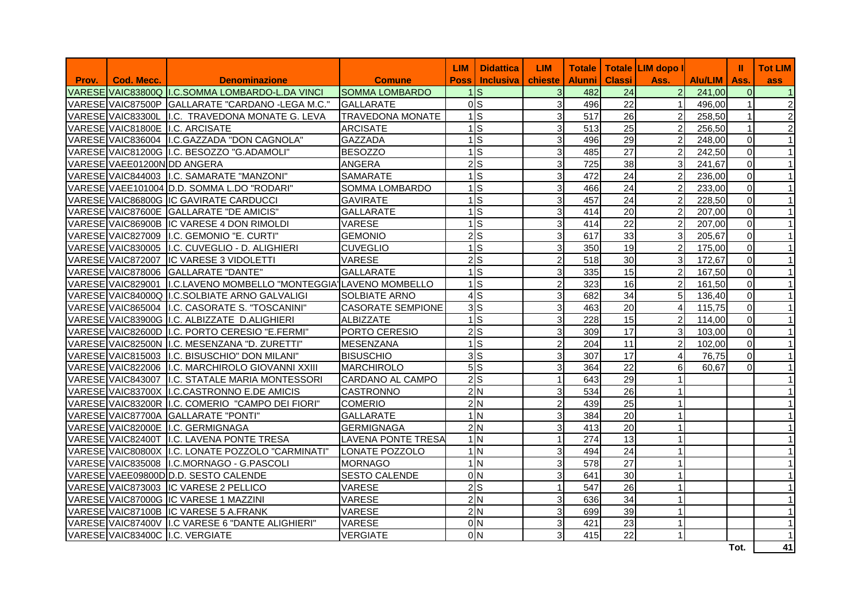|       |                             |                                                                  |                           | <b>LIM</b>  | <b>Didattica</b>                  | <b>LIM</b>     |               |                 | Totale   Totale LIM dopo I |                | Ш              | <b>Tot LIM</b>       |
|-------|-----------------------------|------------------------------------------------------------------|---------------------------|-------------|-----------------------------------|----------------|---------------|-----------------|----------------------------|----------------|----------------|----------------------|
| Prov. | Cod. Mecc.                  | <b>Denominazione</b>                                             | <b>Comune</b>             | <b>Poss</b> | <b>Inclusiva</b> I                | chieste        | <b>Alunni</b> | <b>Classi</b>   | Ass.                       | <b>Alu/LIM</b> | Ass.           | ass                  |
|       |                             | VARESE VAIC83800Q I.C.SOMMA LOMBARDO-L.DA VINCI                  | <b>SOMMA LOMBARDO</b>     |             | $1\textsf{IS}$                    | $\overline{3}$ | 482           | 24              | $\overline{2}$             | 241.00         | $\overline{0}$ | $\blacktriangleleft$ |
|       |                             | VARESE VAIC87500P GALLARATE "CARDANO -LEGA M.C."                 | <b>GALLARATE</b>          |             | <sub>0</sub> <sub>s</sub>         | 3              | 496           | 22              |                            | 496,00         | $\mathbf{1}$   | $\overline{c}$       |
|       |                             | VARESE VAIC83300L I.C. TRAVEDONA MONATE G. LEVA                  | <b>TRAVEDONA MONATE</b>   |             | $\overline{1}$ S                  | 3              | 517           | 26              | $\overline{2}$             | 258,50         | $\mathbf{1}$   | $\overline{2}$       |
|       |                             | VARESE VAIC81800E I.C. ARCISATE                                  | <b>ARCISATE</b>           |             | $1$ S                             | 3              | 513           | 25              | $\overline{2}$             | 256,50         | $\mathbf{1}$   | $\overline{2}$       |
|       |                             | VARESE VAIC836004 I.C.GAZZADA "DON CAGNOLA"                      | <b>GAZZADA</b>            |             | $1\textsf{ls}$                    | 3              | 496           | 29              | $\overline{2}$             | 248,00         | $\Omega$       | $\blacktriangleleft$ |
|       |                             | VARESE VAIC81200G I.C. BESOZZO "G.ADAMOLI"                       | <b>BESOZZO</b>            |             | $1$ S                             | 3              | 485           | 27              | $\overline{a}$             | 242,50         | $\Omega$       |                      |
|       | VARESE VAEE01200N DD ANGERA |                                                                  | <b>ANGERA</b>             |             | 2s                                | 3              | 725           | 38              | 3                          | 241,67         | $\overline{O}$ | $\mathbf{1}$         |
|       |                             | VARESE VAIC844003   I.C. SAMARATE "MANZONI"                      | <b>SAMARATE</b>           |             | $\overline{1}$ s                  | 3              | 472           | $\overline{24}$ | $\overline{2}$             | 236,00         | $\Omega$       |                      |
|       |                             | VARESE VAEE101004 D.D. SOMMA L.DO "RODARI"                       | <b>SOMMA LOMBARDO</b>     |             | $1$ s                             | 3              | 466           | 24              | 2                          | 233,00         | $\Omega$       | 1                    |
|       |                             | VARESE VAIC86800G IC GAVIRATE CARDUCCI                           | <b>GAVIRATE</b>           |             | $1$ S                             | 3              | 457           | 24              | $\overline{a}$             | 228,50         | $\overline{O}$ |                      |
|       |                             | VARESE VAIC87600E GALLARATE "DE AMICIS"                          | <b>GALLARATE</b>          |             | $\overline{1}$ s                  | 3              | 414           | 20              | $\overline{2}$             | 207,00         | $\overline{O}$ |                      |
|       |                             | VARESE VAIC86900B IC VARESE 4 DON RIMOLDI                        | <b>VARESE</b>             |             | $1\text{ls}$                      | 3              | 414           | 22              | $\overline{2}$             | 207,00         | $\overline{O}$ |                      |
|       |                             | VARESE VAIC827009 I.C. GEMONIO "E. CURTI"                        | <b>GEMONIO</b>            |             | $2$ <sub>S</sub>                  | 3              | 617           | 33              | 3                          | 205,67         | $\Omega$       |                      |
|       |                             | VARESE VAIC830005 I.C. CUVEGLIO - D. ALIGHIERI                   | <b>CUVEGLIO</b>           |             | $\overline{1}$                    | 3              | 350           | 19              | $\overline{2}$             | 175,00         | $\overline{0}$ |                      |
|       |                             | VARESE VAIC872007 IC VARESE 3 VIDOLETTI                          | <b>VARESE</b>             |             | $2\overline{\smash{)}\mathsf{S}}$ | $\overline{c}$ | 518           | 30              | 3 <sup>1</sup>             | 172,67         | $\overline{O}$ |                      |
|       |                             | VARESE VAIC878006 GALLARATE "DANTE"                              | <b>GALLARATE</b>          |             | $1$ S                             | 3              | 335           | 15              | $\overline{2}$             | 167,50         | $\Omega$       |                      |
|       |                             | VARESE VAIC829001 I.C.LAVENO MOMBELLO "MONTEGGIA LAVENO MOMBELLO |                           |             | $\overline{1}$                    | $\overline{c}$ | 323           | 16              | $\overline{2}$             | 161.50         | $\overline{0}$ |                      |
|       |                             | VARESE VAIC84000Q I.C.SOLBIATE ARNO GALVALIGI                    | <b>SOLBIATE ARNO</b>      |             | $4\overline{S}$                   | 3              | 682           | 34              | 5                          | 136,40         | $\overline{O}$ |                      |
|       |                             | VARESE VAIC865004 I.C. CASORATE S. "TOSCANINI"                   | <b>CASORATE SEMPIONE</b>  |             | 3S                                | 3              | 463           | 20              | 4                          | 115,75         | $\overline{O}$ |                      |
|       |                             | VARESE VAIC83900G I.C. ALBIZZATE D.ALIGHIERI                     | ALBIZZATE                 |             | $1$ S                             | 3              | 228           | 15              | $\overline{a}$             | 114,00         | $\overline{0}$ |                      |
|       |                             | VARESE VAIC82600D I.C. PORTO CERESIO "E.FERMI"                   | PORTO CERESIO             |             | 2S                                | 3              | 309           | 17              | 3                          | 103,00         | $\overline{0}$ |                      |
|       |                             | VARESE VAIC82500N I.C. MESENZANA "D. ZURETTI"                    | <b>MESENZANA</b>          |             | $1\overline{\text{s}}$            | $\overline{2}$ | 204           | 11              | $\overline{2}$             | 102,00         | $\Omega$       | 1                    |
|       |                             | VARESE VAIC815003 I.C. BISUSCHIO" DON MILANI"                    | <b>BISUSCHIO</b>          |             | 3 <sub>S</sub>                    | 3              | 307           | 17              | $\overline{4}$             | 76,75          | $\overline{O}$ |                      |
|       |                             | VARESE VAIC822006 I.C. MARCHIROLO GIOVANNI XXIII                 | MARCHIROLO                |             | 5S                                | 3              | 364           | 22              | 6                          | 60,67          | $\mathbf 0$    |                      |
|       |                             | VARESE VAIC843007 I.C. STATALE MARIA MONTESSORI                  | CARDANO AL CAMPO          |             | $2\overline{S}$                   | $\mathbf{1}$   | 643           | 29              |                            |                |                |                      |
|       |                             | VARESE VAIC83700X I.C.CASTRONNO E.DE AMICIS                      | <b>CASTRONNO</b>          |             | 2N                                | 3              | 534           | 26              |                            |                |                |                      |
|       |                             | VARESE VAIC83200R I.C. COMERIO "CAMPO DEI FIORI"                 | <b>COMERIO</b>            |             | 2N                                | $\overline{c}$ | 439           | 25              |                            |                |                |                      |
|       |                             | VARESE VAIC87700A GALLARATE "PONTI"                              | <b>GALLARATE</b>          |             | 1 <sub>N</sub>                    | 3              | 384           | 20              |                            |                |                |                      |
|       |                             | VARESE VAIC82000E I.C. GERMIGNAGA                                | <b>GERMIGNAGA</b>         |             | 2N                                | 3              | 413           | 20              |                            |                |                |                      |
|       |                             | VARESE VAIC82400T I.C. LAVENA PONTE TRESA                        | <b>LAVENA PONTE TRESA</b> |             | 1 <sub>N</sub>                    | $\mathbf{1}$   | 274           | 13              |                            |                |                |                      |
|       |                             | VARESE VAIC80800X I.C. LONATE POZZOLO "CARMINATI"                | LONATE POZZOLO            |             | 1 <sub>N</sub>                    | 3              | 494           | 24              |                            |                |                |                      |
|       |                             | VARESE VAIC835008   I.C.MORNAGO - G.PASCOLI                      | <b>MORNAGO</b>            |             | 1N                                | 3              | 578           | 27              |                            |                |                |                      |
|       |                             | VARESE VAEE09800D D.D. SESTO CALENDE                             | <b>SESTO CALENDE</b>      |             | 0 <sub>N</sub>                    | 3              | 641           | 30              |                            |                |                |                      |
|       |                             | VARESE VAIC873003 IC VARESE 2 PELLICO                            | <b>VARESE</b>             |             | $2\overline{\text{S}}$            | $\overline{1}$ | 547           | 26              |                            |                |                |                      |
|       |                             | VARESE VAIC87000G IC VARESE 1 MAZZINI                            | <b>VARESE</b>             |             | 2N                                | 3              | 636           | 34              |                            |                |                |                      |
|       |                             | VARESE VAIC87100B IC VARESE 5 A.FRANK                            | <b>VARESE</b>             |             | 2N                                | 3              | 699           | 39              |                            |                |                |                      |
|       |                             | VARESE VAIC87400V I.C VARESE 6 "DANTE ALIGHIERI"                 | <b>VARESE</b>             |             | 0 <sub>N</sub>                    | 3              | 421           | 23              |                            |                |                |                      |
|       |                             | VARESE VAIC83400C I.C. VERGIATE                                  | <b>VERGIATE</b>           |             | 0 <sub>N</sub>                    | 3              | 415           | 22              |                            |                |                |                      |
|       |                             |                                                                  |                           |             |                                   |                |               |                 |                            |                | Tot.           | 41                   |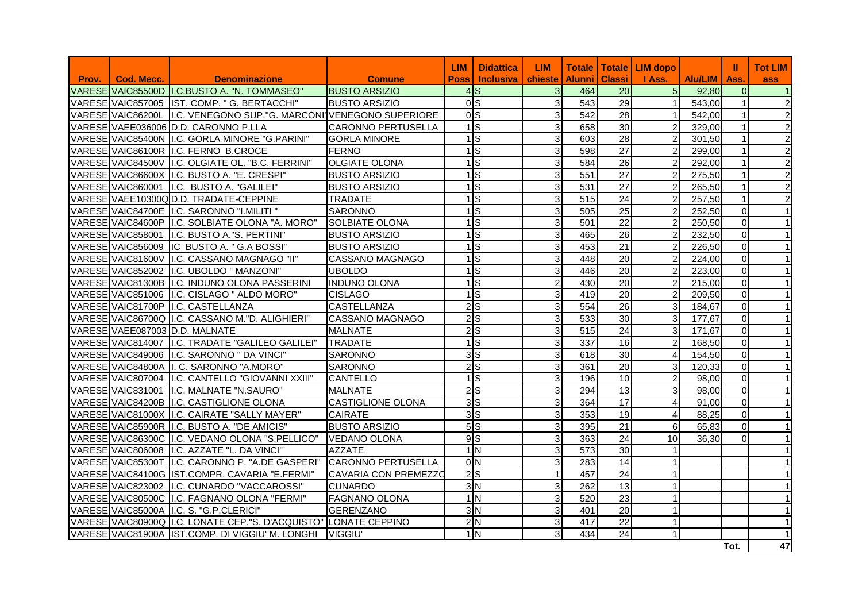|       |            |                                                                     |                             | <b>LIM</b>       | <b>Didattica</b> | <b>LIM</b>     | <b>Totale</b> |                 | Totale   LIM dopo |         | ш              | <b>Tot LIM</b>  |
|-------|------------|---------------------------------------------------------------------|-----------------------------|------------------|------------------|----------------|---------------|-----------------|-------------------|---------|----------------|-----------------|
| Prov. | Cod. Mecc. | <b>Denominazione</b>                                                | <b>Comune</b>               | <b>Poss</b>      | <b>Inclusiva</b> | <b>chieste</b> | <b>Alunni</b> | <b>Classi</b>   | I Ass.            | Alu/LIM | Ass.           | ass             |
|       |            | VARESE VAIC85500D I.C.BUSTO A. "N. TOMMASEO"                        | <b>BUSTO ARSIZIO</b>        |                  | $4$ S            | 3              | 464           | 20              | 5 <sub>1</sub>    | 92,80   | $\Omega$       |                 |
|       |            | VARESE VAIC857005 IST. COMP. " G. BERTACCHI"                        | <b>BUSTO ARSIZIO</b>        | 0 <sub>S</sub>   |                  | $\overline{3}$ | 543           | 29              | $\mathbf{1}$      | 543,00  | $\mathbf{1}$   | $\overline{c}$  |
|       |            | VARESE VAIC86200L II.C. VENEGONO SUP."G. MARCONI VENEGONO SUPERIORE |                             | 0 <sub>s</sub>   |                  | $\overline{3}$ | 542           | 28              | $\overline{1}$    | 542,00  | $\mathbf{1}$   | $\overline{2}$  |
|       |            | VARESE VAEE036006 D.D. CARONNO P.LLA                                | <b>CARONNO PERTUSELLA</b>   |                  | $1$ $S$          | $\overline{3}$ | 658           | 30              | $\overline{2}$    | 329,00  | $\mathbf{1}$   | $\overline{c}$  |
|       |            | VARESE VAIC85400N I.C. GORLA MINORE "G.PARINI"                      | <b>GORLA MINORE</b>         | $1$ S            |                  | $\overline{3}$ | 603           | 28              | $\overline{2}$    | 301,50  | $\mathbf{1}$   | $\overline{c}$  |
|       |            | VARESE VAIC86100R I.C. FERNO B.CROCE                                | <b>FERNO</b>                | 1                | ls.              | $\overline{3}$ | 598           | 27              | $\overline{2}$    | 299,00  | $\mathbf{1}$   | $\overline{c}$  |
|       |            | VARESE VAIC84500V I.C. OLGIATE OL. "B.C. FERRINI"                   | <b>OLGIATE OLONA</b>        | $1$ S            |                  | $\overline{3}$ | 584           | 26              | $\overline{2}$    | 292,00  | 1              | $\overline{c}$  |
|       |            | VARESE VAIC86600X I.C. BUSTO A. "E. CRESPI"                         | <b>BUSTO ARSIZIO</b>        |                  | $\overline{1}$ S | $\overline{3}$ | 551           | 27              | $\overline{a}$    | 275,50  | $\mathbf{1}$   | $\overline{2}$  |
|       |            | VARESE VAIC860001 I.C. BUSTO A. "GALILEI"                           | <b>BUSTO ARSIZIO</b>        |                  | $1$ <sub>S</sub> | $\overline{3}$ | 531           | 27              | $\overline{a}$    | 265,50  | $\overline{1}$ | $\overline{2}$  |
|       |            | VARESE VAEE10300Q D.D. TRADATE-CEPPINE                              | <b>TRADATE</b>              |                  | $1$ $S$          | $\overline{3}$ | 515           | 24              | $\overline{c}$    | 257,50  | $\mathbf{1}$   | $\overline{c}$  |
|       |            | VARESE VAIC84700E I.C. SARONNO "I.MILITI"                           | <b>SARONNO</b>              |                  | $1$ $S$          | $\overline{3}$ | 505           | 25              | $\overline{2}$    | 252,50  | $\mathbf 0$    |                 |
|       |            | VARESE VAIC84600P II.C. SOLBIATE OLONA "A. MORO"                    | <b>SOLBIATE OLONA</b>       | $1$ s            |                  | $\overline{3}$ | 501           | 22              | $\overline{2}$    | 250,50  | $\Omega$       |                 |
|       |            | VARESE VAIC858001   I.C. BUSTO A. "S. PERTINI"                      | <b>BUSTO ARSIZIO</b>        |                  | $1$ $S$          | $\overline{3}$ | 465           | 26              | $\overline{a}$    | 232,50  | $\mathbf 0$    |                 |
|       |            | VARESE VAIC856009 IC BUSTO A. " G.A BOSSI"                          | <b>BUSTO ARSIZIO</b>        |                  | $\overline{1}$ S | $\overline{3}$ | 453           | $\overline{21}$ | $\overline{a}$    | 226,50  | $\mathbf 0$    |                 |
|       |            | VARESE VAIC81600V I.C. CASSANO MAGNAGO "II"                         | <b>CASSANO MAGNAGO</b>      | $1$ S            |                  | $\overline{3}$ | 448           | 20              | $\overline{c}$    | 224,00  | 0              |                 |
|       |            | VARESE VAIC852002 I.C. UBOLDO " MANZONI"                            | <b>UBOLDO</b>               | $1$ s            |                  | $\overline{3}$ | 446           | 20              | $\overline{a}$    | 223,00  | $\mathbf 0$    |                 |
|       |            | VARESE VAIC81300B II.C. INDUNO OLONA PASSERINI                      | <b>INDUNO OLONA</b>         | $1$ S            |                  | $\overline{2}$ | 430           | 20              | $\overline{2}$    | 215,00  | $\Omega$       |                 |
|       |            | VARESE VAIC851006 I.C. CISLAGO " ALDO MORO"                         | <b>CISLAGO</b>              | $1$ S            |                  | $\overline{3}$ | 419           | 20              | $\overline{a}$    | 209,50  | $\mathbf 0$    |                 |
|       |            | VARESE VAIC81700P I.C. CASTELLANZA                                  | <b>CASTELLANZA</b>          |                  | 2S               | $\overline{3}$ | 554           | 26              | 3                 | 184,67  | $\mathbf 0$    |                 |
|       |            | VARESE VAIC86700Q I.C. CASSANO M."D. ALIGHIERI"                     | <b>CASSANO MAGNAGO</b>      | $2$ <sub>S</sub> |                  | $\overline{3}$ | 533           | 30              | $\mathbf{3}$      | 177,67  | $\mathbf 0$    | 1               |
|       |            | VARESE VAEE087003 D.D. MALNATE                                      | <b>MALNATE</b>              |                  | 2S               | $\overline{3}$ | 515           | 24              | $\overline{3}$    | 171,67  | $\mathbf 0$    |                 |
|       |            | VARESE VAIC814007 I.C. TRADATE "GALILEO GALILEI"                    | <b>TRADATE</b>              | $\frac{1}{s}$    |                  | $\overline{3}$ | 337           | 16              | $\overline{2}$    | 168,50  | $\overline{0}$ |                 |
|       |            | VARESE VAIC849006 I.C. SARONNO " DA VINCI"                          | <b>SARONNO</b>              |                  | 3S               | $\overline{3}$ | 618           | 30              | $\overline{4}$    | 154,50  | $\mathbf 0$    |                 |
|       |            | VARESE VAIC84800A I. C. SARONNO "A.MORO"                            | <b>SARONNO</b>              |                  | $2\overline{S}$  | $\overline{3}$ | 361           | $\overline{20}$ | $\mathbf{3}$      | 120,33  | $\mathbf 0$    |                 |
|       |            | VARESE VAIC807004 I.C. CANTELLO "GIOVANNI XXIII"                    | <b>CANTELLO</b>             | $1$ S            |                  | $\overline{3}$ | 196           | 10              | $\overline{2}$    | 98.00   | $\mathbf 0$    |                 |
|       |            | VARESE VAIC831001 I.C. MALNATE "N.SAURO"                            | <b>MALNATE</b>              |                  | $2\textsf{S}$    | $\overline{3}$ | 294           | 13              | 3 <sup>1</sup>    | 98,00   | $\overline{0}$ |                 |
|       |            | VARESE VAIC84200B I.C. CASTIGLIONE OLONA                            | <b>CASTIGLIONE OLONA</b>    | 3S               |                  | $\overline{3}$ | 364           | 17              | 4                 | 91.00   | $\mathbf 0$    |                 |
|       |            | VARESE VAIC81000X I.C. CAIRATE "SALLY MAYER"                        | <b>CAIRATE</b>              | $3\overline{S}$  |                  | $\overline{3}$ | 353           | 19              | $\overline{4}$    | 88,25   | $\mathbf 0$    |                 |
|       |            | VARESE VAIC85900R I.C. BUSTO A. "DE AMICIS"                         | <b>BUSTO ARSIZIO</b>        |                  | 5S               | $\overline{3}$ | 395           | 21              | 6                 | 65,83   | 0              |                 |
|       |            | VARESE VAIC86300C I.C. VEDANO OLONA "S.PELLICO"                     | <b>VEDANO OLONA</b>         | 9S               |                  | $\overline{3}$ | 363           | 24              | 10                | 36.30   | $\mathbf 0$    |                 |
|       |            | VARESE VAIC806008 I.C. AZZATE "L. DA VINCI"                         | <b>AZZATE</b>               |                  | 1 <sub>N</sub>   | $\overline{3}$ | 573           | 30              | $\mathbf{1}$      |         |                |                 |
|       |            | VARESE VAIC85300T I.C. CARONNO P. "A.DE GASPERI"                    | CARONNO PERTUSELLA          |                  | 0 <sub>N</sub>   | $\overline{3}$ | 283           | 14              | $\mathbf{1}$      |         |                |                 |
|       |            | VARESE VAIC84100G IST.COMPR. CAVARIA "E.FERMI"                      | <b>CAVARIA CON PREMEZZO</b> | $\overline{2 S}$ |                  | $\vert$ 1      | 457           | 24              | $\mathbf{1}$      |         |                |                 |
|       |            | VARESE VAIC823002 I.C. CUNARDO "VACCAROSSI"                         | <b>CUNARDO</b>              |                  | 3 <sub>N</sub>   | $\overline{3}$ | 262           | 13              | $\overline{1}$    |         |                |                 |
|       |            | VARESE VAIC80500C I.C. FAGNANO OLONA "FERMI"                        | <b>FAGNANO OLONA</b>        | 1 <sub>N</sub>   |                  | $\overline{3}$ | 520           | 23              | $\mathbf{1}$      |         |                |                 |
|       |            | VARESE VAIC85000A I.C. S. "G.P.CLERICI"                             | <b>GERENZANO</b>            |                  | 3 <sub>N</sub>   | $\overline{3}$ | 401           | 20              | $\mathbf{1}$      |         |                |                 |
|       |            | VARESE VAIC80900Q I.C. LONATE CEP."S. D'ACQUISTO" LONATE CEPPINO    |                             |                  | 2N               | $\overline{3}$ | 417           | 22              | $\mathbf{1}$      |         |                |                 |
|       |            | VARESE VAIC81900A IST.COMP. DI VIGGIU' M. LONGHI                    | VIGGIU'                     |                  | 1 <sub>N</sub>   | $\overline{3}$ | 434           | 24              | $\mathbf{1}$      |         |                |                 |
|       |            |                                                                     |                             |                  |                  |                |               |                 |                   |         | Tot.           | $\overline{47}$ |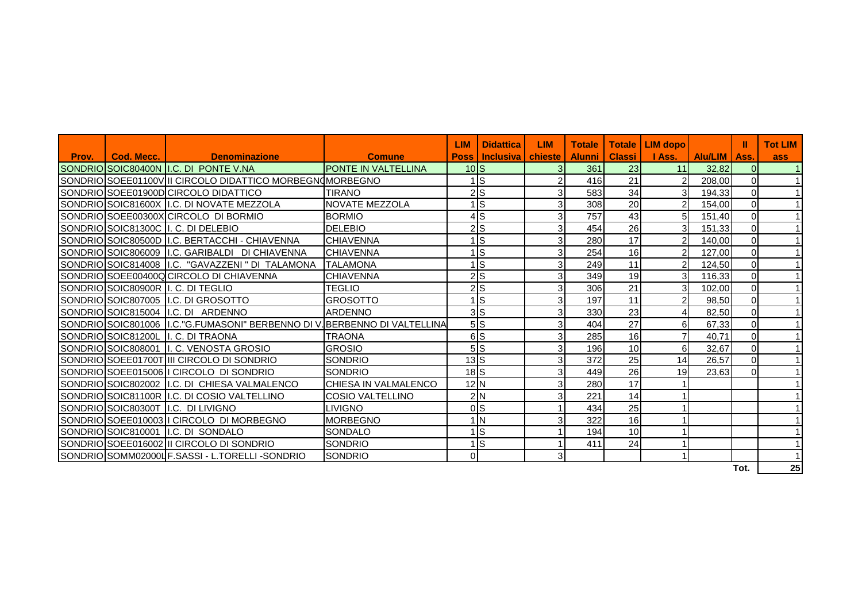|       |            |                                                                            |                            | <b>LIM</b>      | <b>Didattica</b> | <b>LIM</b>     | <b>Totale</b> | <b>Totale</b> | <b>LIM</b> dopo |         |             | <b>Tot LIM</b> |
|-------|------------|----------------------------------------------------------------------------|----------------------------|-----------------|------------------|----------------|---------------|---------------|-----------------|---------|-------------|----------------|
| Prov. | Cod. Mecc. | <b>Denominazione</b>                                                       | <b>Comune</b>              | <b>Poss</b>     | <b>Inclusiva</b> | chieste        | <b>Alunni</b> | <b>Classi</b> | I Ass.          | Alu/LIM | Ass.        | ass            |
|       |            | SONDRIO SOIC80400N I.C. DI PONTE V.NA                                      | <b>PONTE IN VALTELLINA</b> | 10 <sub>l</sub> |                  | 3              | 361           | 23            | 11              | 32.82   | $\Omega$    |                |
|       |            | SONDRIO SOEE01100V II CIRCOLO DIDATTICO MORBEGNOMORBEGNO                   |                            |                 | 1İS              | $\overline{2}$ | 416           | 21            | $\overline{2}$  | 208,00  | $\Omega$    |                |
|       |            | SONDRIO SOEE01900D CIRCOLO DIDATTICO                                       | TIRANO                     | 2lS             |                  | 3              | 583           | 34            | 3               | 194,33  | $\Omega$    |                |
|       |            | SONDRIO SOIC81600X I.C. DI NOVATE MEZZOLA                                  | <b>NOVATE MEZZOLA</b>      |                 | ∣ls              | 3              | 308           | 20            | $\overline{2}$  | 154,00  | $\Omega$    |                |
|       |            | SONDRIO SOEE00300X CIRCOLO DI BORMIO                                       | <b>BORMIO</b>              |                 | 4ls              | 3              | 757           | 43            | 5               | 151,40  | $\mathbf 0$ |                |
|       |            | SONDRIO SOIC81300C II. C. DI DELEBIO                                       | <b>DELEBIO</b>             |                 | $2$ $S$          | 3 <sub>l</sub> | 454           | 26            | 3               | 151,33  | $\Omega$    |                |
|       |            | SONDRIO SOIC80500D I.C. BERTACCHI - CHIAVENNA                              | <b>CHIAVENNA</b>           |                 | ı∣s              | 3              | 280           | 17            | $\overline{2}$  | 140,00  | $\mathbf 0$ |                |
|       |            | SONDRIOISOIC806009 II.C. GARIBALDI DI CHIAVENNA                            | <b>CHIAVENNA</b>           |                 | ls.              | 3              | 254           | 16            | $\overline{2}$  | 127,00  | $\Omega$    |                |
|       |            | SONDRIO SOIC814008 I.C. "GAVAZZENI" DI TALAMONA                            | <b>TALAMONA</b>            |                 | ∣ls              | 3 <sub>l</sub> | 249           | 11            | $\overline{c}$  | 124,50  | $\mathbf 0$ |                |
|       |            | SONDRIO SOEE00400Q CIRCOLO DI CHIAVENNA                                    | <b>CHIAVENNA</b>           |                 | 2S               | 3              | 349           | 19            | 3               | 116,33  | $\Omega$    |                |
|       |            | SONDRIOISOIC80900R II. C. DI TEGLIO                                        | TEGLIO                     |                 | $2$ $S$          | 3 <sup>1</sup> | 306           | 21            | 3               | 102,00  | $\Omega$    |                |
|       |            | SONDRIO SOIC807005 I.C. DI GROSOTTO                                        | GROSOTTO                   |                 | 1İS              | 3              | 197           | 11            | $\overline{a}$  | 98,50   | $\mathbf 0$ |                |
|       |            | SONDRIOISOIC815004 II.C. DI ARDENNO                                        | <b>ARDENNO</b>             | 3 <sub>S</sub>  |                  | 3 <sub>l</sub> | 330           | 23            | $\overline{4}$  | 82,50   | $\Omega$    |                |
|       |            | SONDRIO SOIC801006 II.C."G.FUMASONI" BERBENNO DI V. BERBENNO DI VALTELLINA |                            | 5S              |                  | 3              | 404           | 27            | 6               | 67,33   | $\Omega$    |                |
|       |            | SONDRIO SOIC81200L II. C. DI TRAONA                                        | <b>TRAONA</b>              |                 | 6lS              | 3 <sub>l</sub> | 285           | 16            | $\overline{7}$  | 40.71   | $\mathbf 0$ |                |
|       |            | SONDRIO SOIC808001 II. C. VENOSTA GROSIO                                   | <b>GROSIO</b>              |                 | 5S               | 3              | 196           | 10            | 6               | 32,67   | $\mathbf 0$ |                |
|       |            | SONDRIO SOEE01700T III CIRCOLO DI SONDRIO                                  | <b>SONDRIO</b>             | $13$ $S$        |                  | 3              | 372           | 25            | 14              | 26,57   | $\Omega$    |                |
|       |            | SONDRIOISOEE015006 II CIRCOLO DI SONDRIO                                   | <b>SONDRIO</b>             | $18$ $S$        |                  | $\overline{3}$ | 449           | 26            | 19              | 23,63   | $\Omega$    |                |
|       |            | SONDRIO SOIC802002 II.C. DI CHIESA VALMALENCO                              | CHIESA IN VALMALENCO       | 12N             |                  | 3              | 280           | 17            |                 |         |             |                |
|       |            | SONDRIO SOIC81100R I.C. DI COSIO VALTELLINO                                | COSIO VALTELLINO           | 2N              |                  | 3              | 221           | 14            |                 |         |             |                |
|       |            | SONDRIO SOIC80300T I.C. DI LIVIGNO                                         | LIVIGNO                    |                 | 0 <sub>S</sub>   |                | 434           | 25            |                 |         |             |                |
|       |            | SONDRIOISOEE010003 II CIRCOLO DI MORBEGNO                                  | <b>MORBEGNO</b>            |                 | 1 IN             | 3              | 322           | 16            |                 |         |             |                |
|       |            | SONDRIO SOIC810001   I.C. DI SONDALO                                       | SONDALO                    |                 | 1İS              |                | 194           | 10            |                 |         |             |                |
|       |            | SONDRIO SOEE016002 III CIRCOLO DI SONDRIO                                  | <b>SONDRIO</b>             |                 | 1İS              |                | 411           | 24            |                 |         |             |                |
|       |            | SONDRIO SOMM02000L F. SASSI - L. TORELLI-SONDRIO                           | <b>SONDRIO</b>             | $\Omega$        |                  | $\mathbf{3}$   |               |               |                 |         |             |                |
|       |            |                                                                            |                            |                 |                  |                |               |               |                 |         | Tot.        | 25             |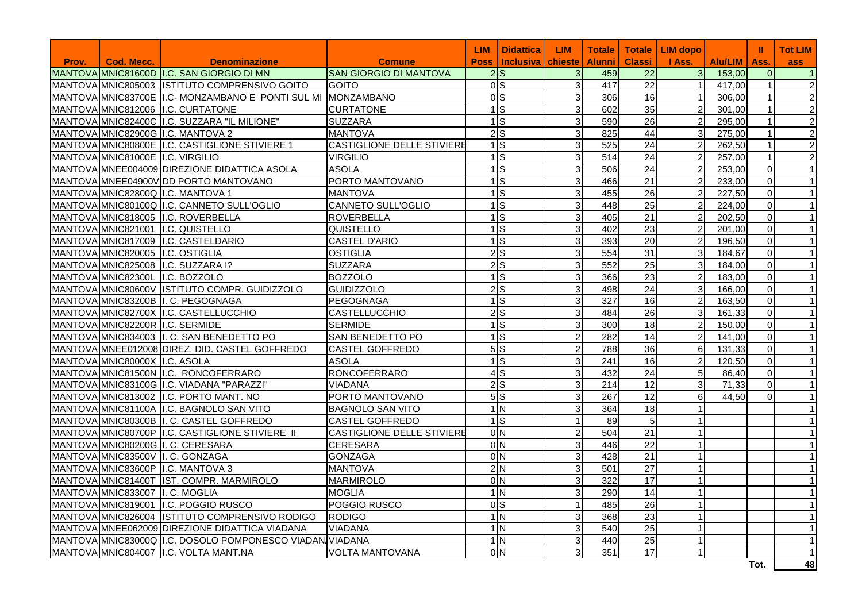|       |                                  |                                                               |                                   | <b>LIM</b>                    | <b>Didattica</b> | <b>LIM</b>     | <b>Totale</b> |                 | Totale   LIM dopo |                | Ш              | <b>Tot LIM</b> |
|-------|----------------------------------|---------------------------------------------------------------|-----------------------------------|-------------------------------|------------------|----------------|---------------|-----------------|-------------------|----------------|----------------|----------------|
| Prov. | Cod. Mecc.                       | <b>Denominazione</b>                                          | <b>Comune</b>                     | <b>Poss</b>                   | <b>Inclusiva</b> | chieste        | <b>Alunni</b> | <b>Classi</b>   | I Ass.            | <b>Alu/LIM</b> | Ass.           | <b>ass</b>     |
|       |                                  | MANTOVA MIC81600D I.C. SAN GIORGIO DI MN                      | <b>SAN GIORGIO DI MANTOVA</b>     | $2\text{S}$                   |                  | 3              | 459           | 22              | 3                 | 153,00         | $\overline{0}$ | $\vert$ 1      |
|       |                                  | MANTOVA MIC805003 ISTITUTO COMPRENSIVO GOITO                  | <b>GOITO</b>                      | ols                           |                  | $\mathbf{3}$   | 417           | 22              | $\mathbf{1}$      | 417,00         | $\mathbf{1}$   | $\overline{2}$ |
|       |                                  | MANTOVA MNIC83700E II.C- MONZAMBANO E PONTI SUL MI MONZAMBANO |                                   | 0 <sub>s</sub>                |                  | $\mathbf{3}$   | 306           | 16              | $\mathbf{1}$      | 306.00         | $\mathbf 1$    | 2              |
|       |                                  | MANTOVA MNIC812006 I.C. CURTATONE                             | <b>CURTATONE</b>                  | $\overline{1}$ s              |                  | 3              | 602           | 35              | 2                 | 301.00         | 1              | $\overline{2}$ |
|       |                                  | MANTOVA MNIC82400C I.C. SUZZARA "IL MILIONE"                  | <b>SUZZARA</b>                    | $1$ S                         |                  | $\mathbf{3}$   | 590           | 26              | $\overline{2}$    | 295,00         | $\overline{1}$ | $\overline{2}$ |
|       |                                  | MANTOVA MNIC82900G I.C. MANTOVA 2                             | <b>MANTOVA</b>                    | $2$ <sub>S</sub>              |                  | $\mathbf{3}$   | 825           | 44              | 3                 | 275,00         |                | $\overline{2}$ |
|       |                                  | MANTOVA MIC80800E I.C. CASTIGLIONE STIVIERE 1                 | CASTIGLIONE DELLE STIVIERE        | 1 <sup>s</sup>                |                  | $\mathbf{3}$   | 525           | 24              | $\overline{2}$    | 262,50         | $\mathbf 1$    | $\overline{2}$ |
|       | MANTOVA MNIC81000E I.C. VIRGILIO |                                                               | <b>VIRGILIO</b>                   | $\overline{1}$ s              |                  | $\mathbf{3}$   | 514           | 24              | 2                 | 257,00         | $\overline{1}$ | $\overline{2}$ |
|       |                                  | MANTOVA MNEE004009 DIREZIONE DIDATTICA ASOLA                  | <b>ASOLA</b>                      | $1$ S                         |                  | $\mathbf{3}$   | 506           | 24              | $\overline{2}$    | 253,00         | $\Omega$       | $\mathbf{1}$   |
|       |                                  | MANTOVA MNEE04900V DD PORTO MANTOVANO                         | PORTO MANTOVANO                   | 1 <sup>s</sup>                |                  | $\mathbf{3}$   | 466           | 21              | $\overline{2}$    | 233,00         | $\overline{0}$ | $\overline{1}$ |
|       |                                  | MANTOVA MNIC82800Q I.C. MANTOVA 1                             | <b>MANTOVA</b>                    | 1 <sup>s</sup>                |                  | $\mathbf{3}$   | 455           | 26              | $\overline{2}$    | 227,50         | $\overline{0}$ | $\vert$ 1      |
|       |                                  | MANTOVA MIC80100Q I.C. CANNETO SULL'OGLIO                     | <b>CANNETO SULL'OGLIO</b>         | 1 <sup>s</sup>                |                  | 3              | 448           | 25              | $\overline{2}$    | 224.00         | $\overline{0}$ | $\vert$ 1      |
|       |                                  | MANTOVA MNIC818005 I.C. ROVERBELLA                            | ROVERBELLA                        | $1$ S                         |                  | $\mathbf{3}$   | 405           | 21              | $\overline{2}$    | 202,50         | $\overline{0}$ | $\overline{1}$ |
|       |                                  | MANTOVA MIC821001 I.C. QUISTELLO                              | QUISTELLO                         | $1$ S                         |                  | $\mathbf{3}$   | 402           | 23              | $\overline{2}$    | 201,00         | $\overline{0}$ | $\vert$ 1      |
|       |                                  | MANTOVA MNIC817009 I.C. CASTELDARIO                           | <b>CASTEL D'ARIO</b>              | 1 <sup>s</sup>                |                  | $\mathbf{3}$   | 393           | 20              | $\overline{2}$    | 196,50         | $\overline{0}$ | $\overline{1}$ |
|       |                                  | MANTOVA MNIC820005 I.C. OSTIGLIA                              | <b>OSTIGLIA</b>                   | $\overline{2}$ s              |                  | $\mathbf{3}$   | 554           | 31              | $\overline{3}$    | 184,67         | $\overline{0}$ | $\vert$ 1      |
|       |                                  | MANTOVA MIC825008 I.C. SUZZARA I?                             | <b>SUZZARA</b>                    | $\overline{2}$ s              |                  | $\mathbf{3}$   | 552           | $\overline{25}$ | $\overline{3}$    | 184,00         | $\Omega$       | $\mathbf{1}$   |
|       |                                  | MANTOVA MNIC82300L I.C. BOZZOLO                               | <b>BOZZOLO</b>                    | 1 <sup>S</sup>                |                  | $\mathbf{3}$   | 366           | 23              | $\overline{2}$    | 183,00         | $\overline{0}$ | $\vert$ 1      |
|       |                                  | MANTOVA MIC80600V ISTITUTO COMPR. GUIDIZZOLO                  | <b>GUIDIZZOLO</b>                 | $2$ <sub>S</sub>              |                  | $\mathbf{3}$   | 498           | 24              | $\overline{3}$    | 166,00         | $\overline{0}$ | $\vert$ 1      |
|       |                                  | MANTOVA MNIC83200B II. C. PEGOGNAGA                           | PEGOGNAGA                         | $\overline{1}$ s              |                  | $\mathbf{3}$   | 327           | 16              | $\overline{2}$    | 163,50         | $\overline{0}$ | $\overline{1}$ |
|       |                                  | MANTOVA MNIC82700X I.C. CASTELLUCCHIO                         | CASTELLUCCHIO                     | $\overline{2}$ s              |                  | $\mathbf{3}$   | 484           | 26              | $\overline{3}$    | 161,33         | $\overline{0}$ | $\overline{1}$ |
|       |                                  | MANTOVA MNIC82200R I.C. SERMIDE                               | <b>SERMIDE</b>                    | $1$ S                         |                  | $\mathbf{3}$   | 300           | 18              | $\overline{2}$    | 150,00         | $\overline{0}$ | $\mathbf{1}$   |
|       |                                  | MANTOVA MIC834003 I. C. SAN BENEDETTO PO                      | SAN BENEDETTO PO                  | 1 <sup>s</sup>                |                  | $\overline{c}$ | 282           | 14              | 2                 | 141,00         | $\overline{0}$ | $\vert$ 1      |
|       |                                  | MANTOVA MNEE012008 DIREZ. DID. CASTEL GOFFREDO                | <b>CASTEL GOFFREDO</b>            | 5S                            |                  | $\overline{2}$ | 788           | 36              | $6 \overline{6}$  | 131,33         | $\overline{0}$ | $\overline{1}$ |
|       | MANTOVA MNIC80000X I.C. ASOLA    |                                                               | <b>ASOLA</b>                      | $1$ S                         |                  | 3              | 241           | 16              | 2                 | 120.50         | $\Omega$       | $\mathbf{1}$   |
|       |                                  | MANTOVA MIC81500N I.C. RONCOFERRARO                           | <b>RONCOFERRARO</b>               | $4$ S                         |                  | $\mathbf{3}$   | 432           | 24              | 5 <sub>5</sub>    | 86,40          | $\overline{0}$ | $\overline{1}$ |
|       |                                  | MANTOVA MNIC83100G I.C. VIADANA "PARAZZI"                     | <b>VIADANA</b>                    | $\overline{2}$ s              |                  | $\mathbf{3}$   | 214           | 12              | $\mathbf{3}$      | 71,33          | $\overline{0}$ | $\vert$ 1      |
|       |                                  | MANTOVA MNIC813002 I.C. PORTO MANT. NO                        | PORTO MANTOVANO                   | 5S                            |                  | 3              | 267           | 12              | $6 \mid$          | 44,50          | $\overline{0}$ | $\mathbf{1}$   |
|       |                                  | MANTOVA MIC81100A I.C. BAGNOLO SAN VITO                       | <b>BAGNOLO SAN VITO</b>           | 1 <sub>N</sub>                |                  | $\overline{3}$ | 364           | 18              |                   |                |                | $\overline{1}$ |
|       |                                  | MANTOVA MIC80300B I. C. CASTEL GOFFREDO                       | <b>CASTEL GOFFREDO</b>            | $1$ <sub>S</sub>              |                  | $\mathbf{1}$   | 89            | 5               |                   |                |                | $\mathbf{1}$   |
|       |                                  | MANTOVA MIC80700P I.C. CASTIGLIONE STIVIERE II                | <b>CASTIGLIONE DELLE STIVIERE</b> | $0\overline{N}$               |                  | $\overline{2}$ | 504           | 21              | $\overline{1}$    |                |                | $\vert$ 1      |
|       |                                  | MANTOVA MIC80200G I. C. CERESARA                              | <b>CERESARA</b>                   | $\overline{O}$ $\overline{N}$ |                  | $\mathbf{3}$   | 446           | 22              | $\mathbf{1}$      |                |                | $\vert$ 1      |
|       |                                  | MANTOVA MIC83500V I. C. GONZAGA                               | <b>GONZAGA</b>                    | 0 <sup>1</sup> N              |                  | $\overline{3}$ | 428           | $\overline{21}$ |                   |                |                | $\mathbf{1}$   |
|       |                                  | MANTOVA MNIC83600P I.C. MANTOVA 3                             | <b>MANTOVA</b>                    | 2N                            |                  | $\mathbf{3}$   | 501           | 27              | $\overline{1}$    |                |                | $\overline{1}$ |
|       |                                  | MANTOVA MIC81400T IST. COMPR. MARMIROLO                       | <b>MARMIROLO</b>                  | 0 <sub>N</sub>                |                  | $\mathbf{3}$   | 322           | 17              | $\mathbf{1}$      |                |                | $\vert$ 1      |
|       | MANTOVA MNIC833007 I. C. MOGLIA  |                                                               | <b>MOGLIA</b>                     | 1 <sub>N</sub>                |                  | $\mathbf{3}$   | 290           | 14              |                   |                |                | $\mathbf{1}$   |
|       |                                  | MANTOVA MNIC819001 I.C. POGGIO RUSCO                          | POGGIO RUSCO                      | ols                           |                  | $\mathbf{1}$   | 485           | 26              | $\mathbf{1}$      |                |                | $\vert$ 1      |
|       |                                  | MANTOVA MIC826004 ISTITUTO COMPRENSIVO RODIGO                 | <b>RODIGO</b>                     | 1 IN                          |                  | $\mathbf{3}$   | 368           | 23              | 1                 |                |                | $\vert$ 1      |
|       |                                  | MANTOVA MNEE062009 DIREZIONE DIDATTICA VIADANA                | VIADANA                           | 1 <sub>N</sub>                |                  | $\mathbf{3}$   | 540           | 25              |                   |                |                | $\vert$ 1      |
|       |                                  | MANTOVA MINIC83000Q I.C. DOSOLO POMPONESCO VIADAN VIADANA     |                                   | $1\overline{\text{N}}$        |                  | $\mathbf{3}$   | 440           | 25              | $\mathbf{1}$      |                |                | $\vert$ 1      |
|       |                                  | MANTOVA MIC804007 I.C. VOLTA MANT.NA                          | <b>VOLTA MANTOVANA</b>            | 0 <sup>1</sup> N              |                  | 3              | 351           | 17              | $\mathbf{1}$      |                |                | $\mathbf{1}$   |
|       |                                  |                                                               |                                   |                               |                  |                |               |                 |                   |                | Tot.           | 48             |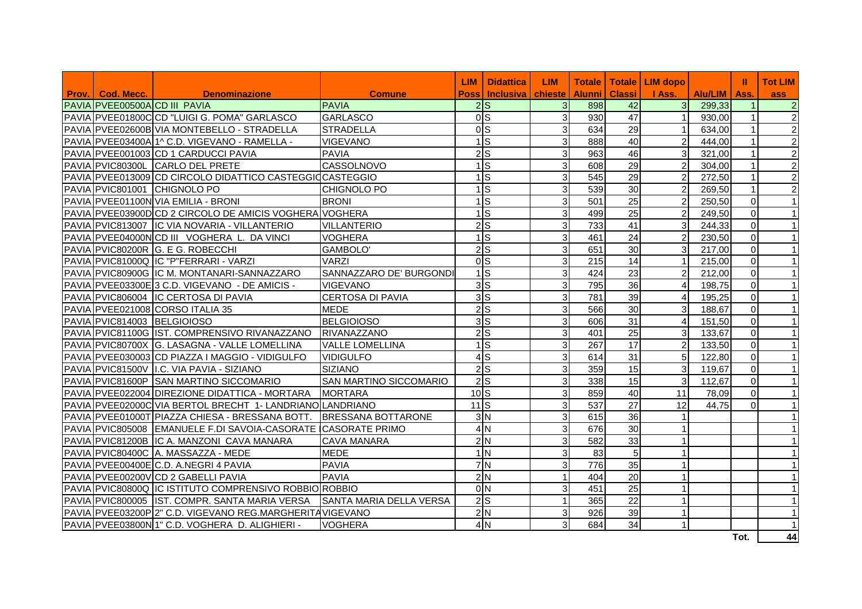|                              |                                                                            |                               | <b>LIM</b>      | <b>Didattica</b> | <b>LIM</b>     |               |               | Totale   Totale   LIM dopo |         | Ш              | <b>Tot LIM</b> |
|------------------------------|----------------------------------------------------------------------------|-------------------------------|-----------------|------------------|----------------|---------------|---------------|----------------------------|---------|----------------|----------------|
| <b>Prov.</b>   Cod. Mecc.    | <b>Denominazione</b>                                                       | <b>Comune</b>                 |                 | Poss   Inclusiva | chieste        | <b>Alunni</b> | <b>Classi</b> | I Ass.                     | Alu/LIM | Ass.           | ass            |
| PAVIA PVEE00500ACD III PAVIA |                                                                            | <b>PAVIA</b>                  |                 | $2\text{S}$      | 3 <sup>1</sup> | 898           | 42            | 3 <sup>1</sup>             | 299,33  | $\mathbf{1}$   | $\overline{2}$ |
|                              | PAVIA PVEE01800CCD "LUIGI G. POMA" GARLASCO                                | <b>GARLASCO</b>               |                 | 0 <sub>s</sub>   | 3 <sup>1</sup> | 930           | 47            | $\mathbf{1}$               | 930,00  | 1              | $\overline{2}$ |
|                              | PAVIA PVEE02600B VIA MONTEBELLO - STRADELLA                                | <b>STRADELLA</b>              |                 | 0 <sub>s</sub>   | 3 <sup>1</sup> | 634           | 29            | 1                          | 634,00  | 1 <sup>1</sup> | $\overline{2}$ |
|                              | PAVIA PVEE03400A 1^ C.D. VIGEVANO - RAMELLA -                              | <b>VIGEVANO</b>               |                 | $1$ S            | 3              | 888           | 40            | $\overline{c}$             | 444.00  | 1 <sup>1</sup> | $\overline{2}$ |
|                              | PAVIA PVEE001003 CD 1 CARDUCCI PAVIA                                       | <b>PAVIA</b>                  |                 | $2\overline{S}$  | 3              | 963           | 46            | $\overline{3}$             | 321,00  | $\mathbf{1}$   | $\overline{2}$ |
|                              | PAVIA PVIC80300L CARLO DEL PRETE                                           | CASSOLNOVO                    |                 | 1 <sup>s</sup>   | 3              | 608           | 29            | $\overline{c}$             | 304,00  | $\mathbf{1}$   | $\overline{2}$ |
|                              | PAVIA PVEE013009 CD CIRCOLO DIDATTICO CASTEGGIOCASTEGGIO                   |                               |                 | ls.              | 3              | 545           | 29            | $\overline{c}$             | 272,50  | $\mathbf{1}$   | $\overline{2}$ |
|                              | PAVIA PVIC801001 CHIGNOLO PO                                               | <b>CHIGNOLO PO</b>            |                 | $1$ S            | 3              | 539           | 30            | $\overline{2}$             | 269,50  | 1 <sup>1</sup> | $\overline{2}$ |
|                              | PAVIA PVEE01100N VIA EMILIA - BRONI                                        | <b>BRONI</b>                  |                 | $1$ S            | 3              | 501           | 25            | $\overline{c}$             | 250,50  | $\overline{0}$ | $\vert$ 1      |
|                              | PAVIA PVEE03900DCD 2 CIRCOLO DE AMICIS VOGHERA VOGHERA                     |                               |                 | S                | 3              | 499           | 25            | $\overline{c}$             | 249,50  | $\overline{0}$ | $\vert$ 1      |
|                              | PAVIA PVIC813007 IC VIA NOVARIA - VILLANTERIO                              | <b>VILLANTERIO</b>            |                 | $2$ <sub>S</sub> | 3              | 733           | 41            | $\overline{3}$             | 244,33  | $\overline{0}$ | $\vert$ 1      |
|                              | PAVIA PVEE04000NCD III VOGHERA L. DA VINCI                                 | <b>VOGHERA</b>                |                 | ls               | 3              | 461           | 24            | $\overline{2}$             | 230,50  | $\Omega$       | $\vert$ 1      |
|                              | PAVIA PVIC80200R G. E G. ROBECCHI                                          | <b>GAMBOLO'</b>               |                 | $2$ <sub>S</sub> | 3              | 651           | 30            | $\overline{3}$             | 217,00  | $\overline{0}$ | $\vert$ 1      |
|                              | PAVIA PVIC81000Q IC "P"FERRARI - VARZI                                     | <b>VARZI</b>                  |                 | ols              | 3              | 215           | 14            | $\mathbf{1}$               | 215,00  | $\overline{0}$ | $\vert$ 1      |
|                              | PAVIA PVIC80900G IC M. MONTANARI-SANNAZZARO                                | SANNAZZARO DE' BURGONDI       |                 | $1$ S            | 3              | 424           | 23            | $\overline{2}$             | 212,00  | $\overline{0}$ | $\vert$ 1      |
|                              | PAVIA PVEE03300E3 C.D. VIGEVANO - DE AMICIS -                              | <b>VIGEVANO</b>               |                 | 3S               | 3              | 795           | 36            |                            | 198.75  | $\overline{0}$ | $\vert$ 1      |
|                              | PAVIA PVIC806004 IC CERTOSA DI PAVIA                                       | <b>CERTOSA DI PAVIA</b>       |                 | 3S               | 3              | 781           | 39            |                            | 195,25  | $\Omega$       | $\vert$ 1      |
|                              | PAVIA PVEE021008 CORSO ITALIA 35                                           | <b>MEDE</b>                   |                 | $2$ <sub>S</sub> | 3              | 566           | 30            | 3                          | 188,67  | $\overline{0}$ | $\vert$ 1      |
|                              | PAVIA PVIC814003 BELGIOIOSO                                                | <b>BELGIOIOSO</b>             |                 | 3S               | 3              | 606           | 31            | $\overline{4}$             | 151,50  | $\overline{0}$ | $\vert$ 1      |
|                              | PAVIA PVIC81100G IST. COMPRENSIVO RIVANAZZANO RIVANAZZANO                  |                               |                 | $2$ <sub>s</sub> | 3              | 401           | 25            | $\overline{3}$             | 133,67  | $\overline{0}$ | $\vert$ 1      |
|                              | PAVIA PVIC80700X G. LASAGNA - VALLE LOMELLINA                              | VALLE LOMELLINA               |                 | $\mathsf{S}$     | 3              | 267           | 17            | $\overline{2}$             | 133,50  | $\overline{0}$ | $\vert$ 1      |
|                              | PAVIA PVEE030003 CD PIAZZA I MAGGIO - VIDIGULFO                            | <b>VIDIGULFO</b>              | Δ               | ls               | 3              | 614           | 31            | 5                          | 122,80  | $\overline{0}$ | $\vert$ 1      |
|                              | PAVIA PVIC81500V I.C. VIA PAVIA - SIZIANO                                  | <b>SIZIANO</b>                |                 | $2$ <sub>S</sub> | 3              | 359           | 15            | $\overline{3}$             | 119,67  | $\overline{0}$ | $\vert$ 1      |
|                              | PAVIA PVIC81600P SAN MARTINO SICCOMARIO                                    | <b>SAN MARTINO SICCOMARIO</b> |                 | $2$ <sub>s</sub> | 3              | 338           | 15            | $\overline{3}$             | 112,67  | $\overline{0}$ | $\vert$ 1      |
|                              | PAVIA PVEE022004 DIREZIONE DIDATTICA - MORTARA                             | <b>MORTARA</b>                | 10 <sub>S</sub> |                  | 3              | 859           | 40            | 11                         | 78,09   | $\Omega$       | $\vert$ 1      |
|                              | PAVIA PVEE02000C VIA BERTOL BRECHT 1- LANDRIANO LANDRIANO                  |                               | $11$ S          |                  | 3              | 537           | 27            | 12                         | 44,75   | $\Omega$       | $\vert$ 1      |
|                              | PAVIA PVEE01000T PIAZZA CHIESA - BRESSANA BOTT.                            | <b>BRESSANA BOTTARONE</b>     |                 | 3N               | 3              | 615           | 36            |                            |         |                | $\vert$ 1      |
|                              | PAVIA PVIC805008 EMANUELE F.DI SAVOIA-CASORATE CASORATE PRIMO              |                               |                 | 4N               | 3              | 676           | 30            |                            |         |                | $\vert$ 1      |
|                              | PAVIA PVIC81200B IC A. MANZONI CAVA MANARA                                 | <b>CAVA MANARA</b>            |                 | 2N               | 3              | 582           | 33            |                            |         |                | $\vert$ 1      |
|                              | PAVIA PVIC80400C A. MASSAZZA - MEDE                                        | <b>MEDE</b>                   |                 | 1 <sub>N</sub>   | 3              | 83            | 5             |                            |         |                | $\vert$ 1      |
|                              | PAVIA PVEE00400EC.D. A.NEGRI 4 PAVIA                                       | <b>PAVIA</b>                  |                 | 7N               | 3              | 776           | 35            |                            |         |                | $\vert$ 1      |
|                              | PAVIA PVEE00200V CD 2 GABELLI PAVIA                                        | <b>PAVIA</b>                  |                 | 2N               | $\mathbf{1}$   | 404           | 20            |                            |         |                | $\vert$ 1      |
|                              | PAVIA PVIC80800Q IC ISTITUTO COMPRENSIVO ROBBIO ROBBIO                     |                               |                 | 0 <sup>IN</sup>  | 3              | 451           | 25            |                            |         |                | $\vert$ 1      |
|                              | PAVIA PVIC800005 IST. COMPR. SANTA MARIA VERSA     SANTA MARIA DELLA VERSA |                               |                 | $\overline{2}$ s | $\mathbf{1}$   | 365           | 22            |                            |         |                | $\vert$ 1      |
|                              | PAVIA PVEE03200P2" C.D. VIGEVANO REG.MARGHERITA VIGEVANO                   |                               |                 | 2N               | 3 <sup>1</sup> | 926           | 39            |                            |         |                | $\vert$ 1      |
|                              | PAVIA PVEE03800N 1" C.D. VOGHERA D. ALIGHIERI -                            | <b>VOGHERA</b>                |                 | 4N               | 3              | 684           | 34            |                            |         |                | $\vert$ 1      |
|                              |                                                                            |                               |                 |                  |                |               |               |                            |         | Tot.           | 44             |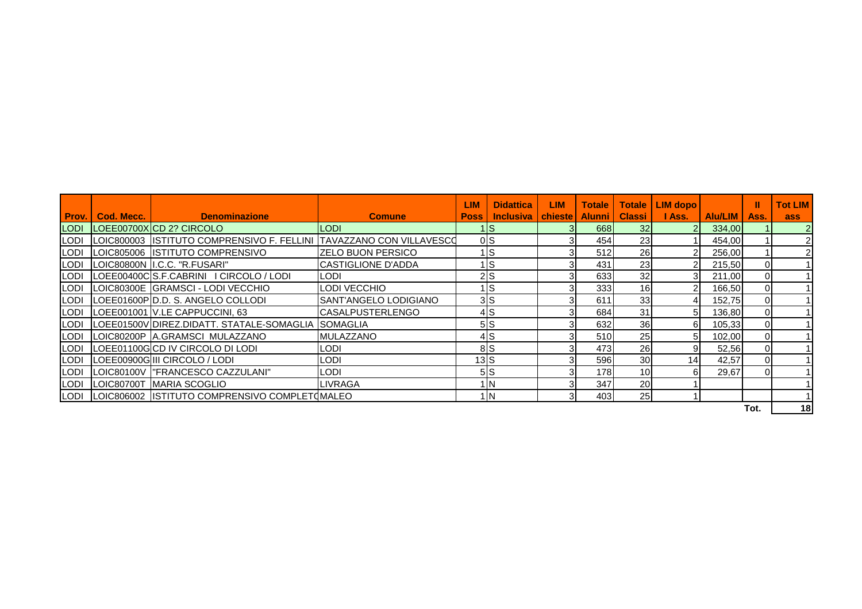|             |            |                                                                          |                               | <b>LIM</b>   | <b>Didattica</b>                      | <b>LIM</b> | <b>Totale</b> | <b>Totale</b>   | LIM dopo        |           | Ш        | <b>Tot LIM</b> |
|-------------|------------|--------------------------------------------------------------------------|-------------------------------|--------------|---------------------------------------|------------|---------------|-----------------|-----------------|-----------|----------|----------------|
| Prov.       | Cod. Mecc. | <b>Denominazione</b>                                                     | <b>Comune</b>                 | <b>Poss</b>  | <b>Inclusiva   chieste   Alunni  </b> |            |               | Classi I        | I Ass.          | Alu/LIM I | Ass.     | ass            |
| <b>LODI</b> |            | LOEE00700XCD 2? CIRCOLO                                                  | <b>LODI</b>                   |              | ١lS                                   |            | 668           | 32 <sub>l</sub> |                 | 334,00    |          |                |
|             |            | LODI LOIC800003 ISTITUTO COMPRENSIVO F. FELLINI TAVAZZANO CON VILLAVESCO |                               |              | 0S                                    |            | 454           | 23 <sub>l</sub> |                 | 454.00    |          |                |
|             |            | LODI LOIC805006 ISTITUTO COMPRENSIVO                                     | <b>IZELO BUON PERSICO</b>     |              | Is                                    |            | 512           | 26              |                 | 256,00    |          |                |
|             |            | LODI LOIC80800N I.C.C. "R.FUSARI"                                        | <b>CASTIGLIONE D'ADDA</b>     |              | IS                                    |            | 431           | 23              |                 | 215,50    |          |                |
|             |            | LODI LOEE00400CS.F.CABRINI I CIRCOLO / LODI                              | <b>LODI</b>                   |              | 2S                                    |            | 633           | 32              |                 | 211,00    |          |                |
|             |            | LODI LOIC80300E GRAMSCI - LODI VECCHIO                                   | LODI VECCHIO                  |              | IS                                    |            | 333           | 16 <sup>1</sup> |                 | 166,50    |          |                |
|             |            | LODI LOEE01600PD.D. S. ANGELO COLLODI                                    | <b>ISANT'ANGELO LODIGIANO</b> |              | 3S                                    |            | 611           | 33              |                 | 152,75    |          |                |
|             |            | LODI LOEE001001 V.LE CAPPUCCINI, 63                                      | <b>ICASALPUSTERLENGO</b>      |              | 4S                                    |            | 684           | 31              | 51              | 136,80    |          |                |
|             |            | LODI LOEE01500VDIREZ.DIDATT. STATALE-SOMAGLIA SOMAGLIA                   |                               |              | 5S                                    |            | 632           | 36              | 61              | 105,33    | $\Omega$ |                |
|             |            | LODI LOIC80200P A.GRAMSCI MULAZZANO                                      | <b>MULAZZANO</b>              |              | 4S                                    |            | 510           | 25 <sub>l</sub> | 51              | 102,00    | $\Omega$ |                |
|             |            | LODI LOEE01100GCD IV CIRCOLO DI LODI                                     | <b>LODI</b>                   |              | 8S                                    |            | 473           | 26              | 91              | 52,56     | $\Omega$ |                |
|             |            | LODI LOEE00900G III CIRCOLO / LODI                                       | <b>LODI</b>                   | $13\text{S}$ |                                       |            | 596           | 30 <sup>1</sup> | 14 <sub>1</sub> | 42,57     |          |                |
|             |            | LODI LOIC80100V   "FRANCESCO CAZZULANI"                                  | <b>LODI</b>                   |              | 5 S                                   |            | 178I          | 10 <sup>1</sup> | 61              | 29,67     |          |                |
|             |            | LODI LOIC80700T MARIA SCOGLIO                                            | <b>LIVRAGA</b>                |              | 1N                                    |            | 347           | 20 <sup>1</sup> |                 |           |          |                |
|             |            | LODI LOIC806002 ISTITUTO COMPRENSIVO COMPLET (MALEO                      |                               |              | 1 IN                                  |            | 403           | 25              |                 |           |          |                |

**Tot. 18**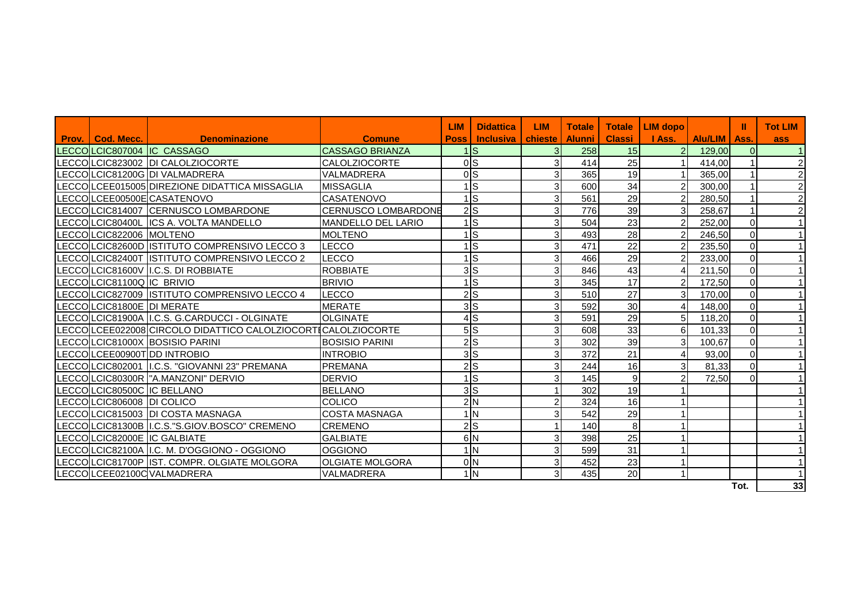|       |                           |                                                              |                            | <b>LIM</b> | <b>Didattica</b>       | <b>LIM</b>     | <b>Totale</b> | <b>Totale</b>   | LIM dopo       |         | Ш           | <b>Tot LIM</b> |
|-------|---------------------------|--------------------------------------------------------------|----------------------------|------------|------------------------|----------------|---------------|-----------------|----------------|---------|-------------|----------------|
| Prov. | <b>Cod. Mecc.</b>         | <b>Denominazione</b>                                         | <b>Comune</b>              | Poss l     | <b>Inclusiva</b>       | chieste l      | <b>Alunni</b> | <b>Classi</b>   | I Ass.         | Alu/LIM | Ass.        | ass            |
|       |                           | LECCOLCIC807004 IC CASSAGO                                   | <b>CASSAGO BRIANZA</b>     |            | $1\text{S}$            | 3 <sup>l</sup> | 258           | 15              | $\overline{2}$ | 129,00  | $\Omega$    |                |
|       |                           | LECCOLCIC823002 DI CALOLZIOCORTE                             | <b>CALOLZIOCORTE</b>       |            | <sub>0</sub> S         | 3              | 414           | 25              |                | 414,00  |             |                |
|       |                           | LECCOLCIC81200G DI VALMADRERA                                | <b>VALMADRERA</b>          |            | <sub>0</sub> S         | $\overline{3}$ | 365           | 19              |                | 365,00  |             | 2              |
|       |                           | LECCOLCEE015005 DIREZIONE DIDATTICA MISSAGLIA                | <b>MISSAGLIA</b>           |            | ls                     | $\overline{3}$ | 600           | 34              | $\overline{2}$ | 300,00  |             |                |
|       |                           | LECCOLCEE00500ECASATENOVO                                    | <b>CASATENOVO</b>          |            | ls.                    | $\overline{3}$ | 561           | 29              | 2              | 280,50  |             | $\overline{c}$ |
|       |                           | LECCOLCIC814007 CERNUSCO LOMBARDONE                          | <b>CERNUSCO LOMBARDONE</b> |            | 2S                     | 3 <sup>1</sup> | 776           | 39              | 3              | 258,67  |             |                |
|       |                           | LECCOLCIC80400L ICS A. VOLTA MANDELLO                        | <b>MANDELLO DEL LARIO</b>  |            | ls.                    | 3              | 504           | 23              | $\overline{2}$ | 252.00  | $\mathbf 0$ |                |
|       | LECCOLCIC822006 MOLTENO   |                                                              | <b>MOLTENO</b>             |            | ls                     | $\overline{3}$ | 493           | 28              | 2              | 246,50  | $\Omega$    |                |
|       |                           | LECCOLCIC82600D ISTITUTO COMPRENSIVO LECCO 3                 | <b>LECCO</b>               |            | ls.                    | $\overline{3}$ | 471           | 22              | $\overline{2}$ | 235,50  | $\Omega$    |                |
|       |                           | LECCOLCIC82400T ISTITUTO COMPRENSIVO LECCO 2                 | LECCO                      |            | Is                     | 3              | 466           | 29              | $\overline{2}$ | 233,00  | $\mathbf 0$ |                |
|       |                           | LECCOLCIC81600V I.C.S. DI ROBBIATE                           | <b>ROBBIATE</b>            |            | 3ls                    | 3              | 846           | 43              | 4 <sub>l</sub> | 211,50  | $\Omega$    |                |
|       | LECCOLCIC81100Q IC BRIVIO |                                                              | <b>BRIVIO</b>              |            | ls.                    | 3              | 345           | 17              | $\overline{2}$ | 172,50  | $\mathbf 0$ |                |
|       |                           | LECCOLCIC827009 ISTITUTO COMPRENSIVO LECCO 4                 | LECCO                      |            | 2S                     | $\overline{3}$ | 510           | $\overline{27}$ | $\mathbf{3}$   | 170,00  | $\Omega$    |                |
|       | LECCOLCIC81800E DI MERATE |                                                              | <b>MERATE</b>              |            | 3S                     | $\mathbf{3}$   | 592           | 30              | $\overline{4}$ | 148,00  | $\Omega$    |                |
|       |                           | LECCOLCIC81900A I.C.S. G.CARDUCCI - OLGINATE                 | <b>OLGINATE</b>            |            | 4S                     | 3              | 591           | $\overline{29}$ |                | 118,20  | $\mathbf 0$ |                |
|       |                           | LECCOLCEE022008 CIRCOLO DIDATTICO CALOLZIOCORTICALOLZIOCORTE |                            |            | 5S                     | $\overline{3}$ | 608           | 33              | 6              | 101,33  | $\mathbf 0$ |                |
|       |                           | LECCOLCIC81000X BOSISIO PARINI                               | <b>BOSISIO PARINI</b>      |            | 2S                     | 3              | 302           | 39              | 3 <sup>l</sup> | 100,67  | $\Omega$    |                |
|       |                           | LECCOLCEE00900T DD INTROBIO                                  | <b>INTROBIO</b>            |            | 3S                     | 3              | 372           | 21              | $\overline{4}$ | 93,00   | $\mathbf 0$ |                |
|       |                           | LECCOLCIC802001 I.C.S. "GIOVANNI 23" PREMANA                 | PREMANA                    |            | $2\textsf{S}$          | $\overline{3}$ | 244           | 16              | $\overline{3}$ | 81,33   | $\Omega$    |                |
|       |                           | LECCOILCIC80300R I"A.MANZONI" DERVIO                         | <b>DERVIO</b>              |            | ls                     | 3              | 145           | 9               |                | 72,50   | $\Omega$    |                |
|       |                           | LECCOLCIC80500C IIC BELLANO                                  | <b>BELLANO</b>             |            | 3S                     |                | 302           | 19              |                |         |             |                |
|       | LECCOLCIC806008 DI COLICO |                                                              | COLICO                     |            | 2N                     | 2              | 324           | 16              |                |         |             |                |
|       |                           | LECCOLCIC815003 DI COSTA MASNAGA                             | <b>COSTA MASNAGA</b>       |            | $1\overline{\text{N}}$ | $\mathbf{3}$   | 542           | 29              |                |         |             |                |
|       |                           | LECCOLCIC81300B I.C.S."S.GIOV.BOSCO" CREMENO                 | <b>CREMENO</b>             |            | 2S                     |                | 140           | 8               |                |         |             |                |
|       |                           | LECCOLCIC82000E IC GALBIATE                                  | <b>GALBIATE</b>            |            | 6N                     | 3              | 398           | 25              |                |         |             |                |
|       |                           | LECCOLCIC82100A I.C. M. D'OGGIONO - OGGIONO                  | <b>OGGIONO</b>             |            | $1\overline{\text{N}}$ | 3              | 599           | 31              |                |         |             |                |
|       |                           | LECCOLCIC81700P IST. COMPR. OLGIATE MOLGORA                  | <b>OLGIATE MOLGORA</b>     |            | 0 <sub>N</sub>         | $\overline{3}$ | 452           | 23              |                |         |             |                |
|       |                           | LECCOLCEE02100C VALMADRERA                                   | <b>VALMADRERA</b>          |            | 1 <sub>N</sub>         | 3              | 435           | 20              |                |         |             |                |
|       |                           |                                                              |                            |            |                        |                |               |                 |                |         | Tot.        | 33             |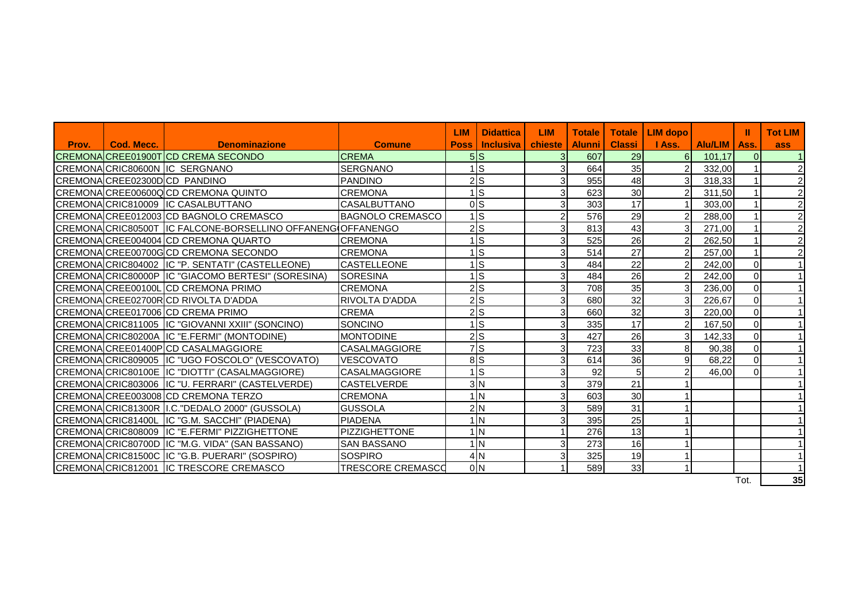|       |                   |                                                             |                          | <b>LIM</b> | <b>Didattica</b>   | <b>LIM</b>     | <b>Totale</b> | <b>Totale</b> | <b>LIM</b> dopo |         | Ш        | <b>Tot LIM</b> |
|-------|-------------------|-------------------------------------------------------------|--------------------------|------------|--------------------|----------------|---------------|---------------|-----------------|---------|----------|----------------|
| Prov. | <b>Cod. Mecc.</b> | <b>Denominazione</b>                                        | <b>Comune</b>            | Poss       | <b>Inclusiva</b> I | chieste        | <b>Alunni</b> | <b>Classi</b> | <b>I</b> Ass.   | Alu/LIM | Ass.     | ass            |
|       |                   | CREMONA CREE01900T CD CREMA SECONDO                         | <b>CREMA</b>             |            | 5S                 | 3 <sup>1</sup> | 607           | 29            | 6 <sup>1</sup>  | 101,17  |          |                |
|       |                   | CREMONACRIC80600N IC SERGNANO                               | <b>SERGNANO</b>          |            | $1$ <sub>S</sub>   | 3              | 664           | 35            | $\mathcal{P}$   | 332,00  |          | $\overline{2}$ |
|       |                   | CREMONA CREE02300DCD PANDINO                                | PANDINO                  |            | $2$ <sub>s</sub>   | $\overline{3}$ | 955           | 48            | 31              | 318,33  |          | $\overline{a}$ |
|       |                   | CREMONA CREE00600Q CD CREMONA QUINTO                        | <b>CREMONA</b>           |            | $\overline{1}$ S   | $\overline{3}$ | 623           | 30            | $\overline{2}$  | 311,50  |          | $\overline{a}$ |
|       |                   | CREMONA CRIC810009 IC CASALBUTTANO                          | <b>CASALBUTTANO</b>      |            | 0 <sub>s</sub>     | $\overline{3}$ | 303           | 17            |                 | 303,00  |          | $\overline{a}$ |
|       |                   | CREMONA CREE012003 CD BAGNOLO CREMASCO                      | <b>BAGNOLO CREMASCO</b>  |            | $1\overline{s}$    | $\overline{2}$ | 576           | 29            | $\overline{2}$  | 288,00  |          | $\overline{a}$ |
|       |                   | CREMONA CRIC80500T IC FALCONE-BORSELLINO OFFANENG OFFANENGO |                          |            | 2S                 | $\overline{3}$ | 813           | 43            | $\overline{3}$  | 271,00  |          | $\overline{2}$ |
|       |                   | CREMONA CREE004004 CD CREMONA QUARTO                        | <b>CREMONA</b>           |            | $1$ <sub>S</sub>   | 3              | 525           | 26            | $\overline{2}$  | 262,50  |          | $\overline{2}$ |
|       |                   | CREMONAICREE00700GCD CREMONA SECONDO                        | <b>CREMONA</b>           |            | $1$ <sub>S</sub>   | 3              | 514           | 27            | $\overline{2}$  | 257,00  |          | $\overline{2}$ |
|       |                   | CREMONACRIC804002 IC "P. SENTATI" (CASTELLEONE)             | <b>CASTELLEONE</b>       |            | $1$ <sub>S</sub>   | 3              | 484           | 22            |                 | 242,00  |          |                |
|       |                   | CREMONACRIC80000P IC "GIACOMO BERTESI" (SORESINA)           | <b>SORESINA</b>          |            | $1$ S              | 3              | 484           | 26            |                 | 242,00  |          |                |
|       |                   | CREMONA CREE00100LCD CREMONA PRIMO                          | <b>CREMONA</b>           |            | 2S                 | $\overline{3}$ | 708           | 35            | 31              | 236,00  |          |                |
|       |                   | CREMONA CREE02700R CD RIVOLTA D'ADDA                        | <b>RIVOLTA D'ADDA</b>    |            | 2S                 | 3              | 680           | 32            | 3               | 226,67  | $\Omega$ |                |
|       |                   | CREMONA CREE017006 CD CREMA PRIMO                           | <b>CREMA</b>             |            | 2S                 | 3              | 660           | 32            | $\overline{3}$  | 220,00  |          |                |
|       |                   | CREMONACRIC811005 IC "GIOVANNI XXIII" (SONCINO)             | SONCINO                  |            | $1$ <sub>S</sub>   | 3              | 335           | 17            | $\overline{2}$  | 167,50  |          |                |
|       |                   | CREMONACRIC80200A IC "E.FERMI" (MONTODINE)                  | <b>MONTODINE</b>         |            | 2S                 | $\overline{3}$ | 427           | 26            | $\overline{3}$  | 142,33  | 0        |                |
|       |                   | CREMONA CREE01400PCD CASALMAGGIORE                          | <b>CASALMAGGIORE</b>     |            | 7S                 | 3              | 723           | 33            | 8 <sup>1</sup>  | 90,38   | ∩        | $\mathbf{1}$   |
|       |                   | CREMONAICRIC809005 IIC "UGO FOSCOLO" (VESCOVATO)            | <b>VESCOVATO</b>         |            | 8S                 | $\overline{3}$ | 614           | 36            | 9               | 68,22   | ი        |                |
|       |                   | CREMONA CRIC80100E IC "DIOTTI" (CASALMAGGIORE)              | <b>CASALMAGGIORE</b>     |            | $1\overline{s}$    | 3              | 92            | 5             | $\overline{2}$  | 46.00   | $\Omega$ | $\mathbf{1}$   |
|       |                   | CREMONAICRIC803006 IIC "U. FERRARI" (CASTELVERDE)           | <b>CASTELVERDE</b>       |            | 3N                 | 3 <sup>1</sup> | 379           | 21            |                 |         |          |                |
|       |                   | CREMONA CREE003008 CD CREMONA TERZO                         | <b>CREMONA</b>           |            | 1 <sub>N</sub>     | $\overline{3}$ | 603           | 30            |                 |         |          |                |
|       |                   | CREMONA CRIC81300R I.C. "DEDALO 2000" (GUSSOLA)             | <b>GUSSOLA</b>           |            | 2N                 | 3              | 589           | 31            |                 |         |          |                |
|       |                   | CREMONACRIC81400L IC "G.M. SACCHI" (PIADENA)                | <b>PIADENA</b>           |            | 1 <sub>N</sub>     | 3              | 395           | 25            |                 |         |          |                |
|       |                   | CREMONA CRIC808009 IC "E.FERMI" PIZZIGHETTONE               | <b>PIZZIGHETTONE</b>     |            | 1 <sub>N</sub>     |                | 276           | 13            |                 |         |          |                |
|       |                   | CREMONA CRIC80700D IC "M.G. VIDA" (SAN BASSANO)             | <b>SAN BASSANO</b>       |            | 1 <sub>N</sub>     | 3 <sup>1</sup> | 273           | 16            |                 |         |          |                |
|       |                   | CREMONACRIC81500C IC "G.B. PUERARI" (SOSPIRO)               | <b>SOSPIRO</b>           |            | 4N                 | $\overline{3}$ | 325           | 19            |                 |         |          |                |
|       |                   | CREMONA CRIC812001 IC TRESCORE CREMASCO                     | <b>TRESCORE CREMASCO</b> |            | 0 <sub>N</sub>     |                | 589           | 33            |                 |         |          |                |
|       |                   |                                                             |                          |            |                    |                |               |               |                 |         | Tot.     | 35             |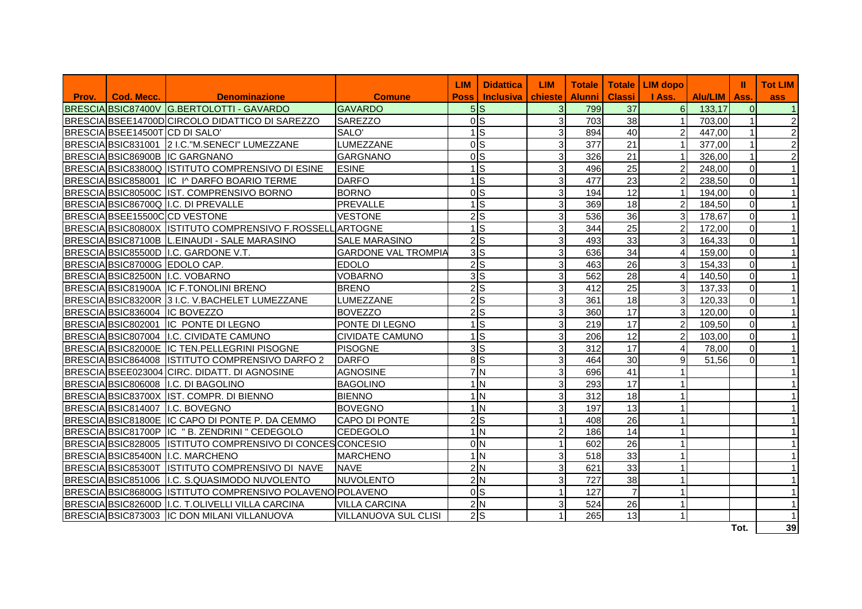| Prov. | <b>Cod. Mecc.</b>              |                                                                   | <b>Comune</b>               | <b>LIM</b><br><b>Poss</b> | <b>Didattica</b><br><b>Inclusiva chieste</b> | <b>LIM</b>     | Alunni I | <b>Classi</b>   | Totale   Totale   LIM dopo  <br>I Ass. | Alu/LIM | Ш                | <b>Tot LIM</b>   |
|-------|--------------------------------|-------------------------------------------------------------------|-----------------------------|---------------------------|----------------------------------------------|----------------|----------|-----------------|----------------------------------------|---------|------------------|------------------|
|       |                                | <b>Denominazione</b><br>BRESCIA BSIC87400V G.BERTOLOTTI - GAVARDO | <b>GAVARDO</b>              |                           | 5S                                           | 3 <sup>1</sup> | 799      | 37              | 6 <sup>1</sup>                         | 133,17  | Ass.<br>$\Omega$ | ass<br>$\vert$ 1 |
|       |                                | BRESCIA BSEE14700D CIRCOLO DIDATTICO DI SAREZZO                   | <b>SAREZZO</b>              |                           | 0 <sub>S</sub>                               | $\overline{3}$ | 703      | 38              | $\overline{1}$                         | 703,00  |                  | $\overline{c}$   |
|       | BRESCIA BSEE14500T CD DI SALO' |                                                                   | SALO <sup>'</sup>           |                           | $\overline{1}$ s                             | $\overline{3}$ | 894      | 40              | 2 <sup>1</sup>                         | 447,00  |                  | $\overline{2}$   |
|       |                                | BRESCIA BSIC831001 2 I.C. "M.SENECI" LUMEZZANE                    | LUMEZZANE                   |                           | $\overline{0}$                               | $\overline{3}$ | 377      | 21              | $\overline{1}$                         | 377,00  |                  | $\overline{2}$   |
|       |                                | BRESCIA BSIC86900B IC GARGNANO                                    | <b>GARGNANO</b>             |                           | $\overline{0}$                               | $\overline{3}$ | 326      | 21              |                                        | 326,00  |                  | $\overline{2}$   |
|       |                                | BRESCIA BSIC83800Q ISTITUTO COMPRENSIVO DI ESINE                  | <b>ESINE</b>                |                           | $\overline{1}$ s                             | $\overline{3}$ | 496      | 25              | $\overline{2}$                         | 248,00  | $\Omega$         |                  |
|       |                                | BRESCIA BSIC858001 IC I^ DARFO BOARIO TERME                       | <b>DARFO</b>                |                           | $\overline{1}$ S                             | $\overline{3}$ | 477      | 23              | $\overline{2}$                         | 238,50  | $\Omega$         |                  |
|       |                                | BRESCIA BSIC80500C IST. COMPRENSIVO BORNO                         | <b>BORNO</b>                |                           | $\overline{\mathsf{0}}$                      | $\overline{3}$ | 194      | 12              |                                        | 194,00  | $\Omega$         |                  |
|       |                                | BRESCIA BSIC86700Q I.C. DI PREVALLE                               | PREVALLE                    |                           | $\overline{1}$ S                             | $\overline{3}$ | 369      | 18              | $\overline{2}$                         | 184,50  | $\Omega$         |                  |
|       |                                | BRESCIA BSEE15500CCD VESTONE                                      | <b>VESTONE</b>              |                           | $2\overline{\text{S}}$                       | $\overline{3}$ | 536      | 36              | $\overline{3}$                         | 178,67  | $\Omega$         |                  |
|       |                                | BRESCIA BSIC80800X ISTITUTO COMPRENSIVO F.ROSSELL ARTOGNE         |                             |                           | $\overline{1}$ s                             | $\overline{3}$ | 344      | 25              | $\overline{2}$                         | 172,00  | $\Omega$         |                  |
|       |                                | BRESCIA BSIC87100B   L.EINAUDI - SALE MARASINO                    | <b>SALE MARASINO</b>        |                           | $2\overline{S}$                              | $\overline{3}$ | 493      | 33              | $\overline{3}$                         | 164,33  | $\Omega$         |                  |
|       |                                | BRESCIA BSIC85500D I.C. GARDONE V.T.                              | <b>GARDONE VAL TROMPIA</b>  |                           | 3S                                           | $\overline{3}$ | 636      | $\overline{34}$ |                                        | 159,00  | $\Omega$         |                  |
|       | BRESCIA BSIC87000G EDOLO CAP.  |                                                                   | <b>EDOLO</b>                |                           | $2\overline{S}$                              | $\overline{3}$ | 463      | 26              | $\overline{3}$                         | 154,33  | $\Omega$         |                  |
|       |                                | BRESCIA BSIC82500N I.C. VOBARNO                                   | <b>VOBARNO</b>              |                           | 3S                                           | 3              | 562      | 28              | $\overline{4}$                         | 140,50  | $\Omega$         |                  |
|       |                                | BRESCIA BSIC81900A IC F.TONOLINI BRENO                            | <b>BRENO</b>                |                           | $2\overline{S}$                              | $\overline{3}$ | 412      | 25              | 3 <sup>l</sup>                         | 137,33  | $\Omega$         |                  |
|       |                                | BRESCIA BSIC83200R 3 I.C. V.BACHELET LUMEZZANE                    | LUMEZZANE                   |                           | $2\overline{S}$                              | $\overline{3}$ | 361      | 18              | $\overline{3}$                         | 120,33  | $\Omega$         |                  |
|       | BRESCIA BSIC836004 IC BOVEZZO  |                                                                   | <b>BOVEZZO</b>              |                           | $2$ $S$                                      | $\overline{3}$ | 360      | 17              | $\overline{3}$                         | 120,00  | $\Omega$         |                  |
|       |                                | BRESCIA BSIC802001 IC PONTE DI LEGNO                              | PONTE DI LEGNO              |                           | $\overline{1}$ s                             | $\overline{3}$ | 219      | 17              | $\overline{2}$                         | 109,50  | $\Omega$         |                  |
|       |                                | BRESCIA BSIC807004 I.C. CIVIDATE CAMUNO                           | <b>CIVIDATE CAMUNO</b>      |                           | $1$ S                                        | $\overline{3}$ | 206      | 12              | 2 <sub>l</sub>                         | 103,00  | $\Omega$         | $\mathbf{1}$     |
|       |                                | BRESCIA BSIC82000E IC TEN. PELLEGRINI PISOGNE                     | <b>PISOGNE</b>              |                           | 3S                                           | $\overline{3}$ | 312      | 17              | $\overline{4}$                         | 78,00   | $\Omega$         | $\mathbf{1}$     |
|       |                                | BRESCIA BSIC864008 ISTITUTO COMPRENSIVO DARFO 2                   | <b>DARFO</b>                |                           | 8S                                           | $\overline{3}$ | 464      | 30              | $\overline{9}$                         | 51,56   | $\Omega$         |                  |
|       |                                | BRESCIA BSEE023004 CIRC. DIDATT. DI AGNOSINE                      | <b>AGNOSINE</b>             |                           | 7N                                           | 3 <sup>1</sup> | 696      | 41              |                                        |         |                  |                  |
|       |                                | BRESCIA BSIC806008   I.C. DI BAGOLINO                             | <b>BAGOLINO</b>             |                           | 1 <sub>N</sub>                               | $\overline{3}$ | 293      | 17              |                                        |         |                  |                  |
|       |                                | BRESCIA BSIC83700X IST. COMPR. DI BIENNO                          | <b>BIENNO</b>               |                           | $1\overline{\mathrm{N}}$                     | $\overline{3}$ | 312      | 18              |                                        |         |                  |                  |
|       |                                | BRESCIA BSIC814007   I.C. BOVEGNO                                 | <b>BOVEGNO</b>              |                           | 1 <sub>N</sub>                               | $\overline{3}$ | 197      | 13              |                                        |         |                  |                  |
|       |                                | BRESCIA BSIC81800E IC CAPO DI PONTE P. DA CEMMO                   | <b>CAPO DI PONTE</b>        |                           | $2\overline{S}$                              | $\mathbf{1}$   | 408      | 26              |                                        |         |                  |                  |
|       |                                | BRESCIA BSIC81700P IC "B. ZENDRINI" CEDEGOLO                      | <b>CEDEGOLO</b>             |                           | 1 <sub>N</sub>                               | $\overline{2}$ | 186      | 14              |                                        |         |                  |                  |
|       |                                | BRESCIA BSIC828005 ISTITUTO COMPRENSIVO DI CONCES CONCESIO        |                             |                           | 0 <sub>N</sub>                               | $\mathbf{1}$   | 602      | 26              |                                        |         |                  |                  |
|       |                                | BRESCIA BSIC85400N I.C. MARCHENO                                  | <b>MARCHENO</b>             |                           | $\frac{1}{N}$                                | $\overline{3}$ | 518      | 33              |                                        |         |                  |                  |
|       |                                | BRESCIA BSIC85300T ISTITUTO COMPRENSIVO DI NAVE                   | <b>NAVE</b>                 |                           | 2N                                           | $\overline{3}$ | 621      | 33              |                                        |         |                  |                  |
|       |                                | BRESCIA BSIC851006 I.C. S.QUASIMODO NUVOLENTO                     | NUVOLENTO                   |                           | 2N                                           | 3 <sup>1</sup> | 727      | 38              |                                        |         |                  |                  |
|       |                                | BRESCIA BSIC86800G ISTITUTO COMPRENSIVO POLAVENO POLAVENO         |                             |                           | 0 <sub>S</sub>                               | $\mathbf{1}$   | 127      | $\overline{7}$  |                                        |         |                  |                  |
|       |                                | BRESCIA BSIC82600D I.C. T.OLIVELLI VILLA CARCINA                  | <b>VILLA CARCINA</b>        |                           | 2N                                           | $\overline{3}$ | 524      | 26              |                                        |         |                  |                  |
|       |                                | BRESCIA BSIC873003 IC DON MILANI VILLANUOVA                       | <b>VILLANUOVA SUL CLISI</b> |                           | $2\overline{s}$                              | $\mathbf{1}$   | 265      | 13              |                                        |         |                  |                  |
|       |                                |                                                                   |                             |                           |                                              |                |          |                 |                                        |         | Tot.             | 39               |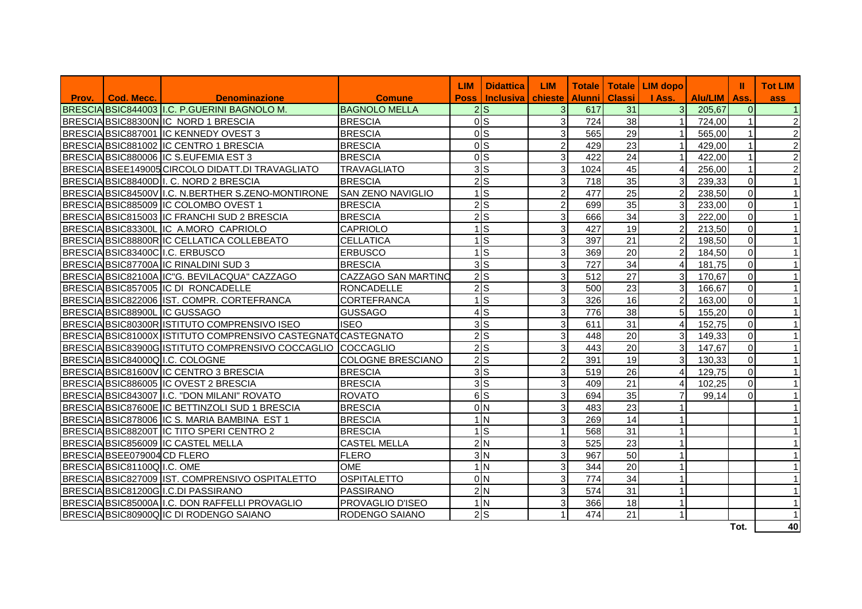|       |                             |                                                               |                            | <b>LIM</b>  | <b>Didattica</b>       | <b>LIM</b>     | <b>Totale</b> |                 | Totale   LIM dopo |                | Ш              | <b>Tot LIM</b> |
|-------|-----------------------------|---------------------------------------------------------------|----------------------------|-------------|------------------------|----------------|---------------|-----------------|-------------------|----------------|----------------|----------------|
| Prov. | Cod. Mecc.                  | <b>Denominazione</b>                                          | <b>Comune</b>              | <b>Poss</b> | <b>Inclusiva</b>       | chieste        | <b>Alunni</b> | <b>Classi</b>   | I Ass.            | <b>Alu/LIM</b> | Ass.           | ass            |
|       |                             | BRESCIA BSIC844003 I.C. P.GUERINI BAGNOLO M.                  | <b>BAGNOLO MELLA</b>       |             | $2\overline{\text{s}}$ | 3 <sup>1</sup> | 617           | 31              | $\overline{3}$    | 205,67         | $\overline{0}$ |                |
|       |                             | BRESCIA BSIC88300N IC NORD 1 BRESCIA                          | <b>BRESCIA</b>             |             | 0 <sub>S</sub>         | 3 <sup>1</sup> | 724           | 38              | 1                 | 724,00         |                |                |
|       |                             | BRESCIA BSIC887001 IC KENNEDY OVEST 3                         | <b>BRESCIA</b>             |             | 0 <sub>S</sub>         | $\mathbf{3}$   | 565           | 29              | 1                 | 565,00         | $\mathbf{1}$   | $\overline{2}$ |
|       |                             | BRESCIA BSIC881002 IC CENTRO 1 BRESCIA                        | <b>BRESCIA</b>             |             | 0 <sub>s</sub>         | $\overline{c}$ | 429           | 23              | 1                 | 429,00         |                | $\overline{a}$ |
|       |                             | BRESCIA BSIC880006 IC S.EUFEMIA EST 3                         | <b>BRESCIA</b>             |             | 0 <sub>s</sub>         | $\mathbf{3}$   | 422           | 24              | 11                | 422,00         |                | $\overline{a}$ |
|       |                             | BRESCIA BSEE149005 CIRCOLO DIDATT.DI TRAVAGLIATO              | <b>TRAVAGLIATO</b>         |             | 3S                     | $\mathbf{3}$   | 1024          | 45              | $\overline{4}$    | 256,00         |                | $\overline{a}$ |
|       |                             | BRESCIA BSIC88400D I. C. NORD 2 BRESCIA                       | <b>BRESCIA</b>             |             | $2$ <sub>S</sub>       | $\mathbf{3}$   | 718           | 35              | 3 <sup>1</sup>    | 239,33         | $\Omega$       |                |
|       |                             | BRESCIAIBSIC84500VII.C. N.BERTHER S.ZENO-MONTIRONE            | <b>SAN ZENO NAVIGLIO</b>   |             | $1$ S                  | $\overline{2}$ | 477           | 25              | $\overline{2}$    | 238,50         | $\Omega$       |                |
|       |                             | BRESCIA BSIC885009 IC COLOMBO OVEST 1                         | <b>BRESCIA</b>             |             | $\overline{2}$ s       | $\overline{c}$ | 699           | 35              | $\mathbf{3}$      | 233,00         | $\mathbf 0$    |                |
|       |                             | BRESCIA BSIC815003 IC FRANCHI SUD 2 BRESCIA                   | <b>BRESCIA</b>             |             | $2\overline{S}$        | 3              | 666           | $\overline{34}$ | 3 <sup>1</sup>    | 222,00         | $\mathbf 0$    |                |
|       |                             | BRESCIA BSIC83300L IC A.MORO CAPRIOLO                         | <b>CAPRIOLO</b>            | 1           | $\overline{s}$         | 3              | 427           | $\overline{19}$ | $\overline{2}$    | 213,50         | $\mathbf 0$    |                |
|       |                             | BRESCIA BSIC88800R IC CELLATICA COLLEBEATO                    | <b>CELLATICA</b>           |             | $1$ S                  | 3              | 397           | $\overline{21}$ | $\overline{2}$    | 198,50         | $\mathbf 0$    |                |
|       |                             | BRESCIABSIC83400CII.C. ERBUSCO                                | <b>ERBUSCO</b>             |             | $\overline{1}$ S       | 3              | 369           | 20              | 2 <sup>1</sup>    | 184,50         | $\Omega$       |                |
|       |                             | BRESCIA BSIC87700A IC RINALDINI SUD 3                         | <b>BRESCIA</b>             |             | 3S                     | $\mathbf{3}$   | 727           | 34              | $\overline{4}$    | 181,75         | $\mathbf 0$    |                |
|       |                             | BRESCIA BSIC82100A IC"G. BEVILACQUA" CAZZAGO                  | <b>CAZZAGO SAN MARTINO</b> |             | $2$ <sub>S</sub>       | $\mathbf{3}$   | 512           | 27              | $\overline{3}$    | 170,67         | $\mathbf 0$    |                |
|       |                             | BRESCIABSIC857005 IC DI RONCADELLE                            | <b>RONCADELLE</b>          |             | $\overline{2}$ s       | $\mathbf{3}$   | 500           | 23              | $\overline{3}$    | 166,67         | $\Omega$       |                |
|       |                             | BRESCIA BSIC822006 IST. COMPR. CORTEFRANCA                    | <b>CORTEFRANCA</b>         |             | $1$ S                  | $\mathbf{3}$   | 326           | 16              | $\overline{2}$    | 163,00         | $\Omega$       |                |
|       |                             | BRESCIA BSIC88900L IC GUSSAGO                                 | <b>GUSSAGO</b>             |             | 4S                     | 3              | 776           | 38              | 5 <sup>1</sup>    | 155,20         | $\Omega$       |                |
|       |                             | BRESCIA BSIC80300R ISTITUTO COMPRENSIVO ISEO                  | <b>ISEO</b>                |             | 3S                     | $\mathfrak{S}$ | 611           | 31              | $\overline{4}$    | 152,75         | $\mathbf 0$    |                |
|       |                             | BRESCIA BSIC81000X ISTITUTO COMPRENSIVO CASTEGNATO CASTEGNATO |                            |             | $2$ S                  | 3              | 448           | 20              | $\overline{3}$    | 149,33         | $\mathbf 0$    |                |
|       |                             | BRESCIA BSIC83900G ISTITUTO COMPRENSIVO COCCAGLIO             | <b>COCCAGLIO</b>           |             | $2$ <sub>s</sub>       | $\overline{3}$ | 443           | 20              | 3 <sup>l</sup>    | 147,67         | $\mathbf 0$    |                |
|       |                             | BRESCIA BSIC84000Q I.C. COLOGNE                               | <b>COLOGNE BRESCIANO</b>   |             | $2$ S                  | $\overline{c}$ | 391           | 19              | $\overline{3}$    | 130,33         | $\Omega$       |                |
|       |                             | BRESCIA BSIC81600V IC CENTRO 3 BRESCIA                        | <b>BRESCIA</b>             |             | 3S                     | $\mathbf{3}$   | 519           | 26              | $\overline{4}$    | 129,75         | $\Omega$       |                |
|       |                             | BRESCIA BSIC886005 IC OVEST 2 BRESCIA                         | <b>BRESCIA</b>             |             | 3S                     | $\mathfrak{S}$ | 409           | 21              | $\overline{4}$    | 102,25         | $\Omega$       |                |
|       |                             | BRESCIA BSIC843007   I.C. "DON MILANI" ROVATO                 | <b>ROVATO</b>              |             | 6S                     | $\mathfrak{S}$ | 694           | 35              | 71                | 99,14          | $\Omega$       |                |
|       |                             | BRESCIA BSIC87600E IC BETTINZOLI SUD 1 BRESCIA                | <b>BRESCIA</b>             |             | 0 <sub>N</sub>         | $\mathfrak{S}$ | 483           | $\overline{23}$ |                   |                |                |                |
|       |                             | BRESCIA BSIC878006 IC S. MARIA BAMBINA EST 1                  | <b>BRESCIA</b>             |             | 1 <sub>N</sub>         | $\overline{3}$ | 269           | 14              | 1                 |                |                |                |
|       |                             | BRESCIA BSIC88200T IC TITO SPERI CENTRO 2                     | <b>BRESCIA</b>             |             | $\overline{1}$ S       | $\mathbf{1}$   | 568           | $\overline{31}$ | 1                 |                |                |                |
|       |                             | BRESCIA BSIC856009 IC CASTEL MELLA                            | <b>CASTEL MELLA</b>        |             | 2N                     | 3              | 525           | $\overline{23}$ |                   |                |                |                |
|       | BRESCIA BSEE079004 CD FLERO |                                                               | <b>FLERO</b>               |             | 3 <sub>N</sub>         | 3              | 967           | 50              |                   |                |                |                |
|       | BRESCIA BSIC81100Q I.C. OME |                                                               | <b>OME</b>                 |             | 1 <sub>N</sub>         | 3              | 344           | $\overline{20}$ | 1                 |                |                |                |
|       |                             | BRESCIA BSIC827009 IST. COMPRENSIVO OSPITALETTO               | <b>OSPITALETTO</b>         |             | 0 <sub>N</sub>         | 3              | 774           | 34              | $\mathbf{1}$      |                |                |                |
|       |                             | BRESCIA BSIC81200G I.C.DI PASSIRANO                           | PASSIRANO                  |             | 2N                     | $\mathbf{3}$   | 574           | 31              | $\mathbf{1}$      |                |                |                |
|       |                             | BRESCIA BSIC85000A I.C. DON RAFFELLI PROVAGLIO                | <b>PROVAGLIO D'ISEO</b>    |             | 1 <sub>N</sub>         | 3              | 366           | 18              | $\mathbf{1}$      |                |                |                |
|       |                             | BRESCIA BSIC80900Q IC DI RODENGO SAIANO                       | <b>RODENGO SAIANO</b>      |             | $2$ <sub>S</sub>       |                | 474           | 21              | $\overline{1}$    |                |                |                |
|       |                             |                                                               |                            |             |                        |                |               |                 |                   |                | Tot.           | 40             |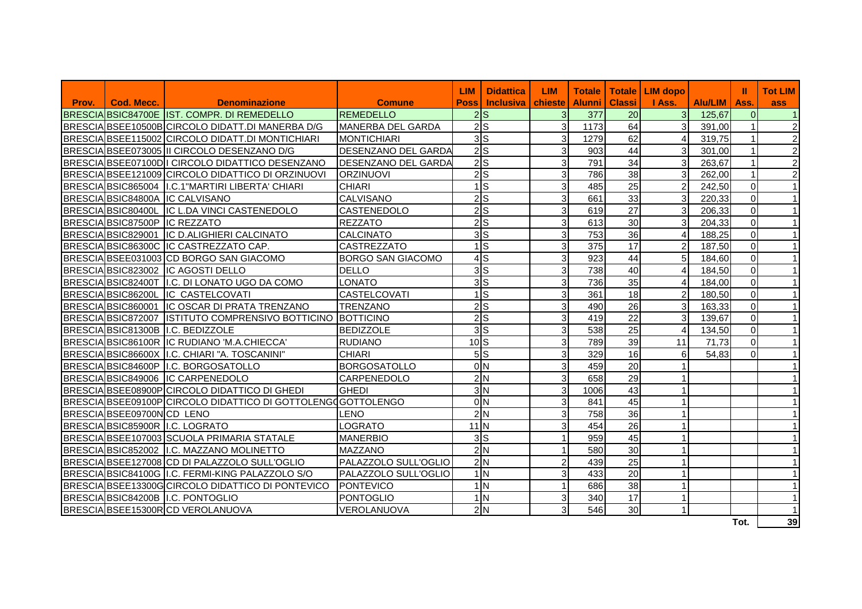|       |                               |                                                               |                            | <b>LIM</b>             | <b>Didattica</b>    | <b>LIM</b>     | <b>Totale</b> |                 | Totale   LIM dopo       |                | Ш              | <b>Tot LIM</b> |
|-------|-------------------------------|---------------------------------------------------------------|----------------------------|------------------------|---------------------|----------------|---------------|-----------------|-------------------------|----------------|----------------|----------------|
| Prov. | Cod. Mecc.                    | <b>Denominazione</b>                                          | <b>Comune</b>              | <b>Poss</b>            | Inclusiva   chieste |                | <b>Alunni</b> | <b>Classi</b>   | I Ass.                  | <b>Alu/LIM</b> | l Ass.         | ass            |
|       |                               | BRESCIA BSIC84700E IST. COMPR. DI REMEDELLO                   | <b>REMEDELLO</b>           | $\overline{2}$ s       |                     | 3 <sup>1</sup> | 377           | 20              | $\overline{3}$          | 125,67         | $\overline{0}$ |                |
|       |                               | BRESCIA BSEE10500B CIRCOLO DIDATT.DI MANERBA D/G              | MANERBA DEL GARDA          | 2s                     |                     | 3              | 1173          | 64              | 3                       | 391,00         |                | 2              |
|       |                               | BRESCIA BSEE115002 CIRCOLO DIDATT.DI MONTICHIARI              | <b>MONTICHIARI</b>         | $\overline{3}$ S       |                     | 3              | 1279          | 62              |                         | 319,75         |                | $\overline{2}$ |
|       |                               | BRESCIA BSEE073005 II CIRCOLO DESENZANO D/G                   | <b>DESENZANO DEL GARDA</b> | 2S                     |                     | 3              | 903           | 44              | 3                       | 301,00         |                | 2              |
|       |                               | BRESCIA BSEE07100D I CIRCOLO DIDATTICO DESENZANO              | <b>DESENZANO DEL GARDA</b> | $2\overline{\text{S}}$ |                     | 3              | 791           | $\overline{34}$ | 3                       | 263,67         |                | $\overline{2}$ |
|       |                               | BRESCIA BSEE121009 CIRCOLO DIDATTICO DI ORZINUOVI             | <b>ORZINUOVI</b>           | 2s                     |                     | 3              | 786           | 38              | 3                       | 262,00         |                | $\overline{2}$ |
|       |                               | BRESCIA BSIC865004   I.C.1" MARTIRI LIBERTA' CHIARI           | <b>CHIARI</b>              | $1\textsf{ls}$         |                     | 3              | 485           | 25              | $\mathfrak{p}$          | 242,50         | $\Omega$       |                |
|       |                               | BRESCIA BSIC84800A IC CALVISANO                               | <b>CALVISANO</b>           | 2S                     |                     | 3              | 661           | 33              | 3                       | 220,33         | $\overline{0}$ | $\mathbf{1}$   |
|       |                               | BRESCIA BSIC80400L IC L.DA VINCI CASTENEDOLO                  | <b>CASTENEDOLO</b>         | 2S                     |                     | 3              | 619           | 27              | 3                       | 206,33         | $\Omega$       | $\mathbf{1}$   |
|       | BRESCIA BSIC87500P IC REZZATO |                                                               | <b>REZZATO</b>             | $2\textsf{S}$          |                     | 3              | 613           | 30              | $\overline{\mathbf{3}}$ | 204,33         | $\Omega$       | $\mathbf{1}$   |
|       |                               | BRESCIA BSIC829001 IC D.ALIGHIERI CALCINATO                   | <b>CALCINATO</b>           | 3 <sub>S</sub>         |                     | 3              | 753           | 36              |                         | 188,25         | $\Omega$       | $\overline{1}$ |
|       |                               | BRESCIA BSIC86300C IC CASTREZZATO CAP.                        | <b>CASTREZZATO</b>         | $1\textsf{ls}$         |                     | 3              | 375           | 17              | $\mathcal{P}$           | 187,50         | $\Omega$       | $\mathbf{1}$   |
|       |                               | BRESCIA BSEE031003 CD BORGO SAN GIACOMO                       | <b>BORGO SAN GIACOMO</b>   | $4$ S                  |                     | 3              | 923           | 44              | 5                       | 184,60         | $\overline{0}$ | $\mathbf{1}$   |
|       |                               | BRESCIA BSIC823002 IC AGOSTI DELLO                            | <b>DELLO</b>               | 3S                     |                     | 3              | 738           | 40              |                         | 184,50         | $\Omega$       |                |
|       |                               | BRESCIA BSIC82400T I.C. DI LONATO UGO DA COMO                 | <b>LONATO</b>              | 3 <sub>S</sub>         |                     | 3              | 736           | 35              |                         | 184,00         | $\Omega$       | $\mathbf 1$    |
|       |                               | BRESCIA BSIC86200L IC CASTELCOVATI                            | <b>CASTELCOVATI</b>        | $1\textsf{ls}$         |                     | 3              | 361           | 18              | $\mathfrak{p}$          | 180,50         | $\Omega$       | $\mathbf 1$    |
|       |                               | BRESCIA BSIC860001 IC OSCAR DI PRATA TRENZANO                 | <b>TRENZANO</b>            | 2S                     |                     | 3              | 490           | 26              | 3                       | 163,33         | $\overline{0}$ | $\mathbf{1}$   |
|       |                               | BRESCIA BSIC872007 ISTITUTO COMPRENSIVO BOTTICINO BOTTICINO   |                            | $2\overline{S}$        |                     | 3              | 419           | 22              | 3                       | 139,67         | $\overline{0}$ | $\mathbf{1}$   |
|       |                               | BRESCIA BSIC81300B I.C. BEDIZZOLE                             | <b>BEDIZZOLE</b>           | 3 <sub>S</sub>         |                     | 3              | 538           | 25              |                         | 134,50         | $\Omega$       | $\overline{1}$ |
|       |                               | BRESCIA BSIC86100R IC RUDIANO 'M.A.CHIECCA'                   | <b>RUDIANO</b>             | 10 <sub>l</sub>        |                     | 3              | 789           | 39              | 11                      | 71,73          | $\Omega$       | $\mathbf 1$    |
|       |                               | BRESCIA BSIC86600X II.C. CHIARI "A. TOSCANINI"                | <b>CHIARI</b>              | 5S                     |                     | 3              | 329           | 16              | 6                       | 54,83          | 0              | $\mathbf{1}$   |
|       |                               | BRESCIA BSIC84600P I.C. BORGOSATOLLO                          | <b>BORGOSATOLLO</b>        | 0 <sub>N</sub>         |                     | 3              | 459           | 20              |                         |                |                |                |
|       |                               | BRESCIA BSIC849006 IC CARPENEDOLO                             | CARPENEDOLO                | 2N                     |                     | 3              | 658           | 29              |                         |                |                |                |
|       |                               | BRESCIA BSEE08900P CIRCOLO DIDATTICO DI GHEDI                 | <b>GHEDI</b>               | 3 <sub>N</sub>         |                     | 3              | 1006          | 43              |                         |                |                |                |
|       |                               | BRESCIA BSEE09100P CIRCOLO DIDATTICO DI GOTTOLENGO GOTTOLENGO |                            | 0 <sub>N</sub>         |                     | 3              | 841           | 45              |                         |                |                |                |
|       | BRESCIA BSEE09700N CD LENO    |                                                               | LENO                       | 2N                     |                     | 3              | 758           | 36              |                         |                |                |                |
|       |                               | BRESCIA BSIC85900R I.C. LOGRATO                               | <b>LOGRATO</b>             | $11$ N                 |                     | 3              | 454           | $\overline{26}$ |                         |                |                |                |
|       |                               | BRESCIA BSEE107003 SCUOLA PRIMARIA STATALE                    | <b>MANERBIO</b>            | 3S                     |                     |                | 959           | 45              |                         |                |                |                |
|       |                               | BRESCIA BSIC852002 II.C. MAZZANO MOLINETTO                    | <b>MAZZANO</b>             | 2N                     |                     |                | 580           | 30              |                         |                |                |                |
|       |                               | BRESCIA BSEE127008 CD DI PALAZZOLO SULL'OGLIO                 | PALAZZOLO SULL'OGLIO       | 2N                     |                     | $\overline{c}$ | 439           | 25              |                         |                |                |                |
|       |                               | BRESCIA BSIC84100G I.C. FERMI-KING PALAZZOLO S/O              | PALAZZOLO SULL'OGLIO       | 1 <sub>N</sub>         |                     | 3              | 433           | 20              |                         |                |                |                |
|       |                               | BRESCIA BSEE13300G CIRCOLO DIDATTICO DI PONTEVICO             | PONTEVICO                  | 1 <sub>N</sub>         |                     |                | 686           | 38              |                         |                |                |                |
|       |                               | BRESCIA BSIC84200B II.C. PONTOGLIO                            | PONTOGLIO                  | 1 <sub>N</sub>         |                     | 3              | 340           | 17              |                         |                |                |                |
|       |                               | BRESCIA BSEE15300RCD VEROLANUOVA                              | VEROLANUOVA                | 2N                     |                     | 3              | 546           | 30              |                         |                |                |                |
|       |                               |                                                               |                            |                        |                     |                |               |                 |                         |                | Tot.           | 39             |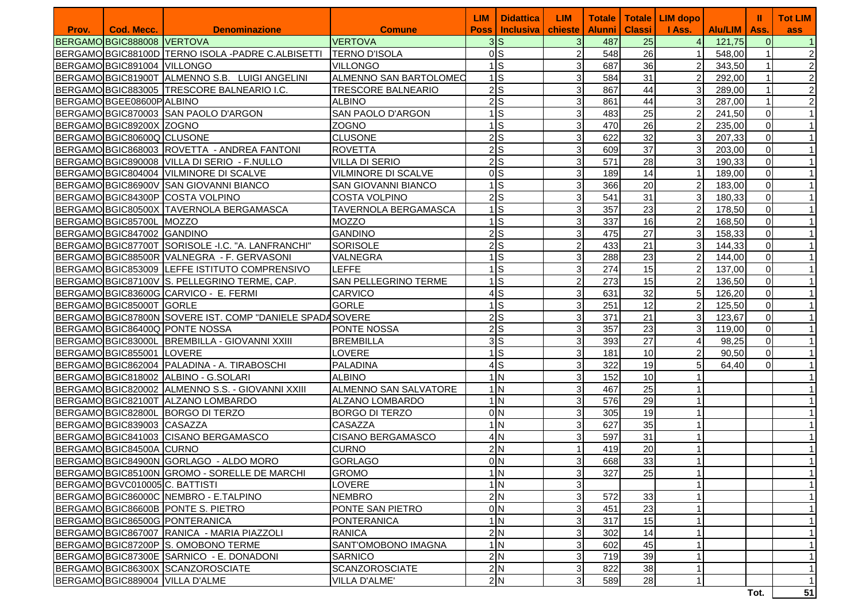|       |                                |                                                          |                             | <b>LIM</b> | <b>Didattica</b>          | <b>LIM</b>                | <b>Totale</b> |                 | Totale   LIM dopo |                | ш              | <b>Tot LIM</b>             |
|-------|--------------------------------|----------------------------------------------------------|-----------------------------|------------|---------------------------|---------------------------|---------------|-----------------|-------------------|----------------|----------------|----------------------------|
| Prov. | Cod. Mecc.                     | <b>Denominazione</b>                                     | <b>Comune</b>               |            | <b>Poss   Inclusiva  </b> | chieste                   | <b>Alunni</b> | <b>Classi</b>   | I Ass.            | <b>Alu/LIM</b> | Ass.           | ass                        |
|       | BERGAMO BGIC888008 VERTOVA     |                                                          | <b>VERTOVA</b>              |            | 3S                        | $\mathbf{3}$              | 487           | 25              | $\overline{4}$    | 121,75         | $\Omega$       | $\vert$ 1                  |
|       |                                | BERGAMO BGIC88100D TERNO ISOLA - PADRE C.ALBISETTI       | <b>TERNO D'ISOLA</b>        |            | 0 <sub>l</sub>            | $\overline{c}$            | 548           | 26              |                   | 548,00         |                | $\overline{2}$             |
|       | BERGAMO BGIC891004 VILLONGO    |                                                          | <b>VILLONGO</b>             |            | $1$ $S$                   | 3                         | 687           | 36              | $\overline{2}$    | 343,50         |                | $\overline{2}$             |
|       |                                | BERGAMOBGIC81900T ALMENNO S.B. LUIGI ANGELINI            | ALMENNO SAN BARTOLOMEO      |            | $1$ $S$                   | 3                         | 584           | 31              | $\overline{2}$    | 292,00         |                | $\overline{c}$             |
|       |                                | BERGAMO BGIC883005 TRESCORE BALNEARIO I.C.               | <b>TRESCORE BALNEARIO</b>   |            | $2$ $S$                   | 3                         | 867           | 44              | 3 <sup>l</sup>    | 289,00         |                | $\overline{c}$             |
|       | BERGAMO BGEE08600P ALBINO      |                                                          | <b>ALBINO</b>               |            | $2$ <sub>S</sub>          | 3                         | 861           | 44              | 3 <sub>l</sub>    | 287,00         |                | $\overline{a}$             |
|       |                                | BERGAMO BGIC870003 SAN PAOLO D'ARGON                     | SAN PAOLO D'ARGON           |            | $1$ $S$                   | 3                         | 483           | 25              | 2                 | 241,50         | $\Omega$       | $\mathbf{1}$               |
|       | BERGAMO BGIC89200X ZOGNO       |                                                          | <b>ZOGNO</b>                |            | $1$ $S$                   | 3                         | 470           | 26              | $\overline{2}$    | 235,00         | $\overline{0}$ | $\mathbf{1}$               |
|       | BERGAMO BGIC80600Q CLUSONE     |                                                          | <b>CLUSONE</b>              |            | $2$ $S$                   | 3                         | 622           | 32              | 31                | 207,33         | $\overline{0}$ | $\mathbf{1}$               |
|       |                                | BERGAMOBGIC868003 ROVETTA - ANDREA FANTONI               | <b>ROVETTA</b>              |            | $2$ $S$                   | 3                         | 609           | $\overline{37}$ | 3                 | 203,00         | $\overline{0}$ | $\mathbf{1}$               |
|       |                                | BERGAMO BGIC890008 VILLA DI SERIO - F.NULLO              | <b>VILLA DI SERIO</b>       |            | $2$ <sub>s</sub>          | 3                         | 571           | 28              | зI                | 190,33         | $\mathbf 0$    | $\mathbf{1}$               |
|       |                                | BERGAMO BGIC804004 VILMINORE DI SCALVE                   | <b>VILMINORE DI SCALVE</b>  |            | 0 <sub>l</sub>            | 3                         | 189           | 14              |                   | 189,00         | $\mathbf 0$    | $\mathbf{1}$               |
|       |                                | BERGAMO BGIC86900V SAN GIOVANNI BIANCO                   | <b>SAN GIOVANNI BIANCO</b>  |            | $1$ $S$                   | 3                         | 366           | 20              | $\overline{2}$    | 183,00         | $\pmb{0}$      | $\mathbf{1}$               |
|       |                                | BERGAMO BGIC84300P COSTA VOLPINO                         | <b>COSTA VOLPINO</b>        |            | $2$ $S$                   | 3                         | 541           | 31              | 3 <sub>l</sub>    | 180,33         | $\pmb{0}$      | $\mathbf{1}$               |
|       |                                | BERGAMO BGIC80500X TAVERNOLA BERGAMASCA                  | <b>TAVERNOLA BERGAMASCA</b> |            | $1$ $S$                   | 3                         | 357           | 23              | $\overline{2}$    | 178,50         | $\overline{0}$ | $\mathbf{1}$               |
|       | BERGAMO BGIC85700L MOZZO       |                                                          | <b>MOZZO</b>                |            | $1$ $S$                   | 3                         | 337           | 16              | $\overline{2}$    | 168,50         | $\mathbf 0$    | $\mathbf{1}$               |
|       | BERGAMO BGIC847002 GANDINO     |                                                          | <b>GANDINO</b>              |            | $2$ <sub>S</sub>          | 3                         | 475           | 27              | $\overline{3}$    | 158,33         | $\mathbf 0$    | $\mathbf{1}$               |
|       |                                | BERGAMOBGIC87700T SORISOLE -I.C. "A. LANFRANCHI"         | <b>SORISOLE</b>             |            | $2$ $S$                   | 2                         | 433           | 21              | 31                | 144,33         | $\mathbf 0$    | $\mathbf{1}$               |
|       |                                | BERGAMOBGIC88500R VALNEGRA - F. GERVASONI                | VALNEGRA                    |            | $1\text{S}$               | 3                         | 288           | 23              | $\overline{2}$    | 144,00         | $\mathbf 0$    | $\mathbf{1}$               |
|       |                                | BERGAMO BGIC853009 LEFFE ISTITUTO COMPRENSIVO            | LEFFE                       |            | $1$ S                     | 3                         | 274           | 15              | $\overline{2}$    | 137,00         | $\Omega$       | $\mathbf{1}$               |
|       |                                | BERGAMO BGIC87100V S. PELLEGRINO TERME, CAP.             | <b>SAN PELLEGRINO TERME</b> |            | $1$ S                     | $\overline{c}$            | 273           | 15              | $\overline{2}$    | 136,50         | $\Omega$       | $\mathbf{1}$               |
|       |                                | BERGAMOBGIC83600G CARVICO - E. FERMI                     | <b>CARVICO</b>              |            | $4$ $S$                   | 3                         | 631           | 32              | $5 \vert$         | 126,20         | $\Omega$       | $\mathbf{1}$               |
|       | BERGAMO BGIC85000T GORLE       |                                                          | <b>GORLE</b>                |            | $1$ $S$                   | 3                         | 251           | 12              | $\overline{2}$    | 125,50         | $\overline{0}$ | $\mathbf{1}$               |
|       |                                | BERGAMO BGIC87800N SOVERE IST. COMP "DANIELE SPADASOVERE |                             |            | $2$ $S$                   | 3                         | 371           | 21              | 3 <sup>l</sup>    | 123,67         | $\overline{0}$ | $\mathbf{1}$               |
|       |                                | BERGAMO BGIC86400Q PONTE NOSSA                           | <b>PONTE NOSSA</b>          |            | $2$ <sub>S</sub>          | 3                         | 357           | 23              | 3 <sup>l</sup>    | 119,00         | $\Omega$       | $\mathbf{1}$               |
|       |                                | BERGAMO BGIC83000L BREMBILLA - GIOVANNI XXIII            | <b>BREMBILLA</b>            |            | 3S                        | 3                         | 393           | 27              | 4                 | 98,25          | $\Omega$       | $\mathbf{1}$               |
|       | BERGAMO BGIC855001 LOVERE      |                                                          | LOVERE                      |            | $1$ $S$                   | 3                         | 181           | 10              |                   | 90,50          | $\Omega$       | $\mathbf{1}$               |
|       |                                | BERGAMO BGIC862004   PALADINA - A. TIRABOSCHI            | <b>PALADINA</b>             |            | $4$ S                     | 3                         | 322           | 19              |                   | 64,40          | $\Omega$       | $\mathbf{1}$               |
|       |                                | BERGAMO BGIC818002 ALBINO - G.SOLARI                     | <b>ALBINO</b>               |            | 1 <sub>N</sub>            | 3                         | 152           | 10              |                   |                |                |                            |
|       |                                | BERGAMO BGIC820002 ALMENNO S.S. - GIOVANNI XXIII         | ALMENNO SAN SALVATORE       |            | 1 <sub>N</sub>            | 3                         | 467           | $\overline{25}$ |                   |                |                |                            |
|       |                                | BERGAMO BGIC82100T ALZANO LOMBARDO                       | ALZANO LOMBARDO             |            | 1 <sub>N</sub>            | 3                         | 576           | 29              |                   |                |                |                            |
|       |                                | BERGAMOBGIC82800L BORGO DI TERZO                         | <b>BORGO DI TERZO</b>       |            | 0 <sub>N</sub>            | 3                         | 305           | 19              |                   |                |                |                            |
|       | BERGAMO BGIC839003 CASAZZA     |                                                          | <b>CASAZZA</b>              |            | 1 <sub>N</sub>            | 3                         | 627           | 35              |                   |                |                |                            |
|       |                                | BERGAMO BGIC841003 CISANO BERGAMASCO                     | <b>CISANO BERGAMASCO</b>    |            | 4N                        | 3                         | 597           | 31              |                   |                |                |                            |
|       | BERGAMO BGIC84500A CURNO       |                                                          | <b>CURNO</b>                |            | 2N                        |                           | 419           | 20              |                   |                |                | $\mathbf{1}$               |
|       |                                | BERGAMO BGIC84900N GORLAGO - ALDO MORO                   | <b>GORLAGO</b>              |            | 0 <sub>N</sub>            | 3                         | 668           | 33              |                   |                |                | $\mathbf{1}$               |
|       |                                | BERGAMO BGIC85100N GROMO - SORELLE DE MARCHI             | <b>GROMO</b>                |            | 1 <sub>N</sub>            | 3 <sup>1</sup>            | 327           | 25              | 11                |                |                | $\mathbf{1}$               |
|       | BERGAMO BGVC010005 C. BATTISTI |                                                          | <b>LOVERE</b>               |            | 1 <sub>N</sub>            | $\overline{3}$            |               |                 |                   |                |                | $\mathbf{1}$               |
|       |                                | BERGAMO BGIC86000C NEMBRO - E.TALPINO                    | <b>NEMBRO</b>               |            | 2N                        | $\overline{3}$            | 572           | 33              |                   |                |                | $\mathbf{1}$               |
|       |                                | BERGAMO BGIC86600B PONTE S. PIETRO                       | PONTE SAN PIETRO            |            | 0 <sub>N</sub>            | 3                         | 451           | 23              |                   |                |                | 1                          |
|       |                                | BERGAMOBGIC86500G PONTERANICA                            | <b>PONTERANICA</b>          |            | 1 <sub>N</sub>            | 3                         | 317           | 15              |                   |                |                | $\mathbf{1}$               |
|       |                                | BERGAMO BGIC867007 RANICA - MARIA PIAZZOLI               | <b>RANICA</b>               |            | 2N                        | 3                         | 302           | 14              |                   |                |                | $\mathbf{1}$               |
|       |                                | BERGAMO BGIC87200P S. OMOBONO TERME                      | SANT'OMOBONO IMAGNA         |            | 1 <sub>N</sub>            | $\ensuremath{\mathsf{3}}$ | 602           | 45              |                   |                |                | $\mathbf{1}$               |
|       |                                | BERGAMO BGIC87300E SARNICO - E. DONADONI                 | <b>SARNICO</b>              |            | 2N                        | 3                         | 719           | 39              |                   |                |                | $\mathbf{1}$               |
|       |                                | BERGAMO BGIC86300X SCANZOROSCIATE                        | <b>SCANZOROSCIATE</b>       |            | 2N                        | 3                         | 822           | 38              |                   |                |                | 1                          |
|       |                                | BERGAMO BGIC889004 VILLA D'ALME                          | VILLA D'ALME'               |            | 2N                        | 3                         | 589           | 28              | -1                |                | 군              | $\mathbf{1}$<br><b>CAL</b> |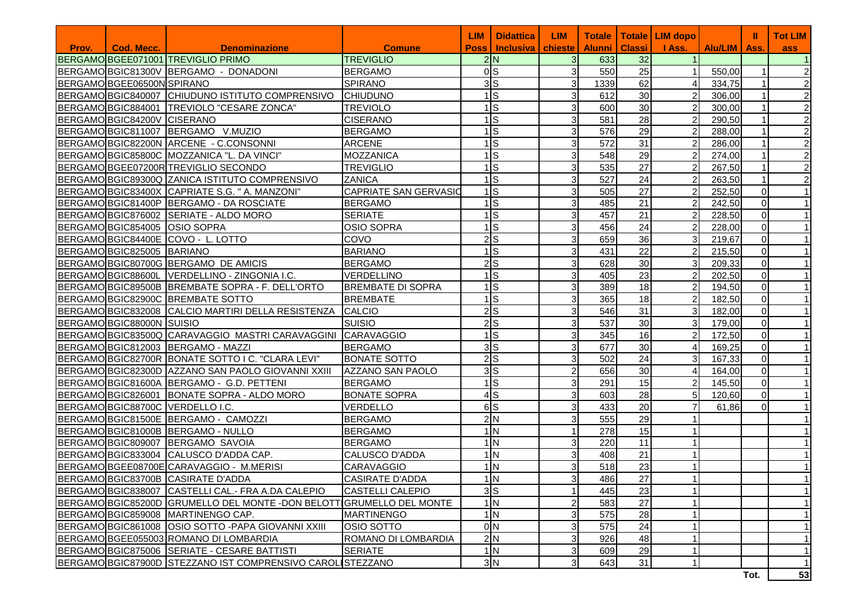| <b>Classi</b><br><b>Alunni</b><br><b>Alu/LIM</b><br>Cod. Mecc.<br><b>Denominazione</b><br><b>Comune</b><br><b>Inclusiva</b><br>chieste<br>I Ass.<br>Prov.<br><b>Poss</b><br>Ass.<br>BERGAMOBGEE071001 TREVIGLIO PRIMO<br><b>TREVIGLIO</b><br>2N<br>3 <sup>l</sup><br>633<br>32<br>0 <sub>S</sub><br>BERGAMO BGIC81300V BERGAMO - DONADONI<br>$\overline{3}$<br>25<br>550,00<br><b>BERGAMO</b><br>550<br>$\mathbf{1}$<br>3S<br>3<br>62<br>BERGAMO BGEE06500N SPIRANO<br><b>SPIRANO</b><br>1339<br>334,75<br>BERGAMO BGIC840007 CHIUDUNO ISTITUTO COMPRENSIVO<br>$1$ S<br>30<br>CHIUDUNO<br>3<br>612<br>$\overline{c}$<br>306,00<br>30<br>BERGAMOBGIC884001 TREVIOLO "CESARE ZONCA"<br>$1$ S<br>3<br><b>TREVIOLO</b><br>600<br>$\overline{2}$<br>300,00<br>BERGAMO BGIC84200V CISERANO<br>$1$ S<br>3<br>28<br><b>CISERANO</b><br>581<br>$\overline{2}$<br>290,50<br>$1$ S<br>3<br>29<br>BERGAMO BGIC811007 BERGAMO V.MUZIO<br><b>BERGAMO</b><br>576<br>$\overline{2}$<br>288,00<br>$1$ S<br>31<br>31<br>BERGAMO BGIC82200N ARCENE - C.CONSONNI<br><b>ARCENE</b><br>572<br>$\overline{2}$<br>286,00<br>ls<br>$\overline{3}$<br>29<br>548<br>274,00<br>BERGAMO BGIC85800C MOZZANICA "L. DA VINCI"<br><b>MOZZANICA</b><br>2<br>$\overline{27}$<br>$1\overline{\text{S}}$<br>3 <br>535<br>$\overline{2}$<br>267,50<br>BERGAMO BGEE07200R TREVIGLIO SECONDO<br><b>TREVIGLIO</b><br>24<br>1ls<br>3<br>527<br>$\overline{2}$<br>263,50<br>BERGAMO BGIC89300Q ZANICA ISTITUTO COMPRENSIVO<br><b>ZANICA</b><br>$1$ S<br>$\overline{3}$<br>27<br><b>CAPRIATE SAN GERVASIO</b><br>505<br>$\overline{2}$<br>252,50<br>BERGAMO BGIC83400X CAPRIATE S.G. " A. MANZONI"<br>$\Omega$ | <b>Tot LIM</b>          |
|--------------------------------------------------------------------------------------------------------------------------------------------------------------------------------------------------------------------------------------------------------------------------------------------------------------------------------------------------------------------------------------------------------------------------------------------------------------------------------------------------------------------------------------------------------------------------------------------------------------------------------------------------------------------------------------------------------------------------------------------------------------------------------------------------------------------------------------------------------------------------------------------------------------------------------------------------------------------------------------------------------------------------------------------------------------------------------------------------------------------------------------------------------------------------------------------------------------------------------------------------------------------------------------------------------------------------------------------------------------------------------------------------------------------------------------------------------------------------------------------------------------------------------------------------------------------------------------------------------------------------------------------------------------------|-------------------------|
|                                                                                                                                                                                                                                                                                                                                                                                                                                                                                                                                                                                                                                                                                                                                                                                                                                                                                                                                                                                                                                                                                                                                                                                                                                                                                                                                                                                                                                                                                                                                                                                                                                                                    | ass                     |
|                                                                                                                                                                                                                                                                                                                                                                                                                                                                                                                                                                                                                                                                                                                                                                                                                                                                                                                                                                                                                                                                                                                                                                                                                                                                                                                                                                                                                                                                                                                                                                                                                                                                    |                         |
|                                                                                                                                                                                                                                                                                                                                                                                                                                                                                                                                                                                                                                                                                                                                                                                                                                                                                                                                                                                                                                                                                                                                                                                                                                                                                                                                                                                                                                                                                                                                                                                                                                                                    | $\overline{c}$          |
|                                                                                                                                                                                                                                                                                                                                                                                                                                                                                                                                                                                                                                                                                                                                                                                                                                                                                                                                                                                                                                                                                                                                                                                                                                                                                                                                                                                                                                                                                                                                                                                                                                                                    | $\overline{c}$          |
|                                                                                                                                                                                                                                                                                                                                                                                                                                                                                                                                                                                                                                                                                                                                                                                                                                                                                                                                                                                                                                                                                                                                                                                                                                                                                                                                                                                                                                                                                                                                                                                                                                                                    | $\overline{c}$          |
|                                                                                                                                                                                                                                                                                                                                                                                                                                                                                                                                                                                                                                                                                                                                                                                                                                                                                                                                                                                                                                                                                                                                                                                                                                                                                                                                                                                                                                                                                                                                                                                                                                                                    | $\overline{2}$          |
|                                                                                                                                                                                                                                                                                                                                                                                                                                                                                                                                                                                                                                                                                                                                                                                                                                                                                                                                                                                                                                                                                                                                                                                                                                                                                                                                                                                                                                                                                                                                                                                                                                                                    | $\overline{c}$          |
|                                                                                                                                                                                                                                                                                                                                                                                                                                                                                                                                                                                                                                                                                                                                                                                                                                                                                                                                                                                                                                                                                                                                                                                                                                                                                                                                                                                                                                                                                                                                                                                                                                                                    | $\overline{\mathbf{c}}$ |
|                                                                                                                                                                                                                                                                                                                                                                                                                                                                                                                                                                                                                                                                                                                                                                                                                                                                                                                                                                                                                                                                                                                                                                                                                                                                                                                                                                                                                                                                                                                                                                                                                                                                    | $\overline{\mathbf{c}}$ |
|                                                                                                                                                                                                                                                                                                                                                                                                                                                                                                                                                                                                                                                                                                                                                                                                                                                                                                                                                                                                                                                                                                                                                                                                                                                                                                                                                                                                                                                                                                                                                                                                                                                                    | $\overline{\mathbf{c}}$ |
|                                                                                                                                                                                                                                                                                                                                                                                                                                                                                                                                                                                                                                                                                                                                                                                                                                                                                                                                                                                                                                                                                                                                                                                                                                                                                                                                                                                                                                                                                                                                                                                                                                                                    | $\overline{a}$          |
|                                                                                                                                                                                                                                                                                                                                                                                                                                                                                                                                                                                                                                                                                                                                                                                                                                                                                                                                                                                                                                                                                                                                                                                                                                                                                                                                                                                                                                                                                                                                                                                                                                                                    | $\overline{c}$          |
|                                                                                                                                                                                                                                                                                                                                                                                                                                                                                                                                                                                                                                                                                                                                                                                                                                                                                                                                                                                                                                                                                                                                                                                                                                                                                                                                                                                                                                                                                                                                                                                                                                                                    |                         |
| 21<br>$1$ S<br>485<br>BERGAMO BGIC81400P BERGAMO - DA ROSCIATE<br>3<br>$\overline{2}$<br>242,50<br>$\Omega$<br><b>BERGAMO</b>                                                                                                                                                                                                                                                                                                                                                                                                                                                                                                                                                                                                                                                                                                                                                                                                                                                                                                                                                                                                                                                                                                                                                                                                                                                                                                                                                                                                                                                                                                                                      |                         |
| 21<br>$1$ S<br>3<br>457<br><b>SERIATE</b><br>228,50<br>$\Omega$<br>BERGAMO BGIC876002 SERIATE - ALDO MORO                                                                                                                                                                                                                                                                                                                                                                                                                                                                                                                                                                                                                                                                                                                                                                                                                                                                                                                                                                                                                                                                                                                                                                                                                                                                                                                                                                                                                                                                                                                                                          |                         |
| 24<br>$1$ S<br>456<br><b>OSIO SOPRA</b><br>3<br>2<br>228,00<br>$\Omega$<br>BERGAMO BGIC854005 OSIO SOPRA                                                                                                                                                                                                                                                                                                                                                                                                                                                                                                                                                                                                                                                                                                                                                                                                                                                                                                                                                                                                                                                                                                                                                                                                                                                                                                                                                                                                                                                                                                                                                           |                         |
| 36<br>COVO<br>2ls<br>3<br>659<br>3<br>BERGAMOBGIC84400E COVO - L. LOTTO<br>219,67<br>$\Omega$                                                                                                                                                                                                                                                                                                                                                                                                                                                                                                                                                                                                                                                                                                                                                                                                                                                                                                                                                                                                                                                                                                                                                                                                                                                                                                                                                                                                                                                                                                                                                                      |                         |
| 22<br>$1$ S<br>3<br>$\overline{2}$<br>BERGAMO BGIC825005 BARIANO<br><b>BARIANO</b><br>431<br>215,50<br>$\Omega$                                                                                                                                                                                                                                                                                                                                                                                                                                                                                                                                                                                                                                                                                                                                                                                                                                                                                                                                                                                                                                                                                                                                                                                                                                                                                                                                                                                                                                                                                                                                                    |                         |
| 30<br>$2$ <sub>s</sub><br>BERGAMOBGIC80700G BERGAMO DE AMICIS<br><b>BERGAMO</b><br>3<br>628<br>3<br>209,33<br>$\Omega$                                                                                                                                                                                                                                                                                                                                                                                                                                                                                                                                                                                                                                                                                                                                                                                                                                                                                                                                                                                                                                                                                                                                                                                                                                                                                                                                                                                                                                                                                                                                             |                         |
| 23<br>BERGAMO BGIC88600L VERDELLINO - ZINGONIA I.C.<br>$1$ S<br>3<br>$\overline{2}$<br>405<br>202,50<br><b>VERDELLINO</b><br>$\Omega$                                                                                                                                                                                                                                                                                                                                                                                                                                                                                                                                                                                                                                                                                                                                                                                                                                                                                                                                                                                                                                                                                                                                                                                                                                                                                                                                                                                                                                                                                                                              |                         |
| 18<br>$1$ S<br>3<br>$\overline{2}$<br>BERGAMO BGIC89500B BREMBATE SOPRA - F. DELL'ORTO<br>389<br><b>BREMBATE DI SOPRA</b><br>194,50<br>$\Omega$                                                                                                                                                                                                                                                                                                                                                                                                                                                                                                                                                                                                                                                                                                                                                                                                                                                                                                                                                                                                                                                                                                                                                                                                                                                                                                                                                                                                                                                                                                                    |                         |
| $1$ S<br>18<br>$\overline{3}$<br>$\overline{2}$<br>BERGAMO BGIC82900C BREMBATE SOTTO<br><b>BREMBATE</b><br>365<br>182,50<br>$\Omega$                                                                                                                                                                                                                                                                                                                                                                                                                                                                                                                                                                                                                                                                                                                                                                                                                                                                                                                                                                                                                                                                                                                                                                                                                                                                                                                                                                                                                                                                                                                               |                         |
| $2$ <sub>S</sub><br>$\overline{3}$<br>31<br>3 <sup>l</sup><br>BERGAMO BGIC832008 CALCIO MARTIRI DELLA RESISTENZA<br>CALCIO<br>546<br>182,00<br>$\Omega$                                                                                                                                                                                                                                                                                                                                                                                                                                                                                                                                                                                                                                                                                                                                                                                                                                                                                                                                                                                                                                                                                                                                                                                                                                                                                                                                                                                                                                                                                                            |                         |
| $2$ <sub>s</sub><br>BERGAMO BGIC88000N SUISIO<br>3<br>30<br>3 <sup>1</sup><br><b>SUISIO</b><br>537<br>179,00<br>$\Omega$                                                                                                                                                                                                                                                                                                                                                                                                                                                                                                                                                                                                                                                                                                                                                                                                                                                                                                                                                                                                                                                                                                                                                                                                                                                                                                                                                                                                                                                                                                                                           |                         |
| $1$ <sub>s</sub><br>3<br>16<br>BERGAMO BGIC83500Q CARAVAGGIO MASTRI CARAVAGGINI<br>CARAVAGGIO<br>345<br>2<br>172,50<br>$\Omega$                                                                                                                                                                                                                                                                                                                                                                                                                                                                                                                                                                                                                                                                                                                                                                                                                                                                                                                                                                                                                                                                                                                                                                                                                                                                                                                                                                                                                                                                                                                                    |                         |
| 30<br>3 <sub>S</sub><br>3<br>BERGAMO BGIC812003 BERGAMO - MAZZI<br><b>BERGAMO</b><br>677<br>169,25<br>$\Omega$<br>Δ                                                                                                                                                                                                                                                                                                                                                                                                                                                                                                                                                                                                                                                                                                                                                                                                                                                                                                                                                                                                                                                                                                                                                                                                                                                                                                                                                                                                                                                                                                                                                |                         |
| 24<br>$2$ <sub>s</sub><br>3<br>502<br>BERGAMOBGIC82700R BONATE SOTTO I C. "CLARA LEVI"<br><b>BONATE SOTTO</b><br>31<br>167,33<br>$\Omega$                                                                                                                                                                                                                                                                                                                                                                                                                                                                                                                                                                                                                                                                                                                                                                                                                                                                                                                                                                                                                                                                                                                                                                                                                                                                                                                                                                                                                                                                                                                          |                         |
| 3 <sub>S</sub><br>$\overline{2}$<br>30<br>BERGAMO BGIC82300D AZZANO SAN PAOLO GIOVANNI XXIII<br>656<br>164,00<br>$\Omega$<br>AZZANO SAN PAOLO<br>4                                                                                                                                                                                                                                                                                                                                                                                                                                                                                                                                                                                                                                                                                                                                                                                                                                                                                                                                                                                                                                                                                                                                                                                                                                                                                                                                                                                                                                                                                                                 |                         |
| $1$ s<br>15<br>BERGAMO BGIC81600A BERGAMO - G.D. PETTENI<br><b>BERGAMO</b><br>3<br>291<br>$\overline{2}$<br>145,50<br>$\Omega$                                                                                                                                                                                                                                                                                                                                                                                                                                                                                                                                                                                                                                                                                                                                                                                                                                                                                                                                                                                                                                                                                                                                                                                                                                                                                                                                                                                                                                                                                                                                     |                         |
| $4$ S<br>$\overline{3}$<br>28<br>603<br>BERGAMO BGIC826001 BONATE SOPRA - ALDO MORO<br><b>BONATE SOPRA</b><br>5<br>120,60<br>$\Omega$                                                                                                                                                                                                                                                                                                                                                                                                                                                                                                                                                                                                                                                                                                                                                                                                                                                                                                                                                                                                                                                                                                                                                                                                                                                                                                                                                                                                                                                                                                                              |                         |
| 6S<br>$\overline{3}$<br>20<br>433<br>BERGAMO BGIC88700C VERDELLO I.C.<br><b>VERDELLO</b><br>61,86<br>$\Omega$                                                                                                                                                                                                                                                                                                                                                                                                                                                                                                                                                                                                                                                                                                                                                                                                                                                                                                                                                                                                                                                                                                                                                                                                                                                                                                                                                                                                                                                                                                                                                      |                         |
| 2N<br>29<br>555<br><b>BERGAMO</b><br>$\overline{3}$<br>BERGAMO BGIC81500E BERGAMO - CAMOZZI                                                                                                                                                                                                                                                                                                                                                                                                                                                                                                                                                                                                                                                                                                                                                                                                                                                                                                                                                                                                                                                                                                                                                                                                                                                                                                                                                                                                                                                                                                                                                                        |                         |
| 1 <sub>N</sub><br>15<br><b>BERGAMO</b><br>278<br>BERGAMO BGIC81000B BERGAMO - NULLO<br>1                                                                                                                                                                                                                                                                                                                                                                                                                                                                                                                                                                                                                                                                                                                                                                                                                                                                                                                                                                                                                                                                                                                                                                                                                                                                                                                                                                                                                                                                                                                                                                           |                         |
| 1 <sub>N</sub><br>11<br>BERGAMO BGIC809007 BERGAMO SAVOIA<br>3<br>220<br><b>BERGAMO</b>                                                                                                                                                                                                                                                                                                                                                                                                                                                                                                                                                                                                                                                                                                                                                                                                                                                                                                                                                                                                                                                                                                                                                                                                                                                                                                                                                                                                                                                                                                                                                                            |                         |
| 1 <sub>N</sub><br>21<br>3<br>408<br>BERGAMO BGIC833004 CALUSCO D'ADDA CAP.<br>CALUSCO D'ADDA                                                                                                                                                                                                                                                                                                                                                                                                                                                                                                                                                                                                                                                                                                                                                                                                                                                                                                                                                                                                                                                                                                                                                                                                                                                                                                                                                                                                                                                                                                                                                                       |                         |
| 23<br>1 <sub>N</sub><br>518<br>BERGAMO BGEE08700E CARAVAGGIO - M.MERISI<br><b>CARAVAGGIO</b><br>3                                                                                                                                                                                                                                                                                                                                                                                                                                                                                                                                                                                                                                                                                                                                                                                                                                                                                                                                                                                                                                                                                                                                                                                                                                                                                                                                                                                                                                                                                                                                                                  |                         |
| $\overline{27}$<br>1 <sub>N</sub><br>BERGAMO BGIC83700B CASIRATE D'ADDA<br><b>CASIRATE D'ADDA</b><br>3l<br>486                                                                                                                                                                                                                                                                                                                                                                                                                                                                                                                                                                                                                                                                                                                                                                                                                                                                                                                                                                                                                                                                                                                                                                                                                                                                                                                                                                                                                                                                                                                                                     |                         |
| 3S<br>23<br>BERGAMO BGIC838007 CASTELLI CAL.- FRA A.DA CALEPIO<br><b>CASTELLI CALEPIO</b><br>445                                                                                                                                                                                                                                                                                                                                                                                                                                                                                                                                                                                                                                                                                                                                                                                                                                                                                                                                                                                                                                                                                                                                                                                                                                                                                                                                                                                                                                                                                                                                                                   |                         |
| 1 <sub>N</sub><br>27<br>583<br>BERGAMO BGIC85200D GRUMELLO DEL MONTE -DON BELOTT GRUMELLO DEL MONTE<br>2                                                                                                                                                                                                                                                                                                                                                                                                                                                                                                                                                                                                                                                                                                                                                                                                                                                                                                                                                                                                                                                                                                                                                                                                                                                                                                                                                                                                                                                                                                                                                           |                         |
| 1 <sub>N</sub><br>BERGAMO BGIC859008 MARTINENGO CAP.<br>3<br>575<br>28<br><b>MARTINENGO</b>                                                                                                                                                                                                                                                                                                                                                                                                                                                                                                                                                                                                                                                                                                                                                                                                                                                                                                                                                                                                                                                                                                                                                                                                                                                                                                                                                                                                                                                                                                                                                                        |                         |
| 0 <sub>N</sub><br>3 <br>24<br>BERGAMO BGIC861008 OSIO SOTTO - PAPA GIOVANNI XXIII<br>OSIO SOTTO<br>575                                                                                                                                                                                                                                                                                                                                                                                                                                                                                                                                                                                                                                                                                                                                                                                                                                                                                                                                                                                                                                                                                                                                                                                                                                                                                                                                                                                                                                                                                                                                                             |                         |
| 2N<br>3 <br>48<br>BERGAMO BGEE055003 ROMANO DI LOMBARDIA<br>ROMANO DI LOMBARDIA<br>926                                                                                                                                                                                                                                                                                                                                                                                                                                                                                                                                                                                                                                                                                                                                                                                                                                                                                                                                                                                                                                                                                                                                                                                                                                                                                                                                                                                                                                                                                                                                                                             |                         |
| 1 <sub>N</sub><br>BERGAMO BGIC875006 SERIATE - CESARE BATTISTI<br><b>SERIATE</b><br>$\overline{3}$<br>29<br>609                                                                                                                                                                                                                                                                                                                                                                                                                                                                                                                                                                                                                                                                                                                                                                                                                                                                                                                                                                                                                                                                                                                                                                                                                                                                                                                                                                                                                                                                                                                                                    |                         |
| 3N<br>BERGAMO BGIC87900D STEZZANO IST COMPRENSIVO CAROL STEZZANO<br>3 <sup>1</sup><br>643<br>31                                                                                                                                                                                                                                                                                                                                                                                                                                                                                                                                                                                                                                                                                                                                                                                                                                                                                                                                                                                                                                                                                                                                                                                                                                                                                                                                                                                                                                                                                                                                                                    |                         |
| Tot.                                                                                                                                                                                                                                                                                                                                                                                                                                                                                                                                                                                                                                                                                                                                                                                                                                                                                                                                                                                                                                                                                                                                                                                                                                                                                                                                                                                                                                                                                                                                                                                                                                                               | 53                      |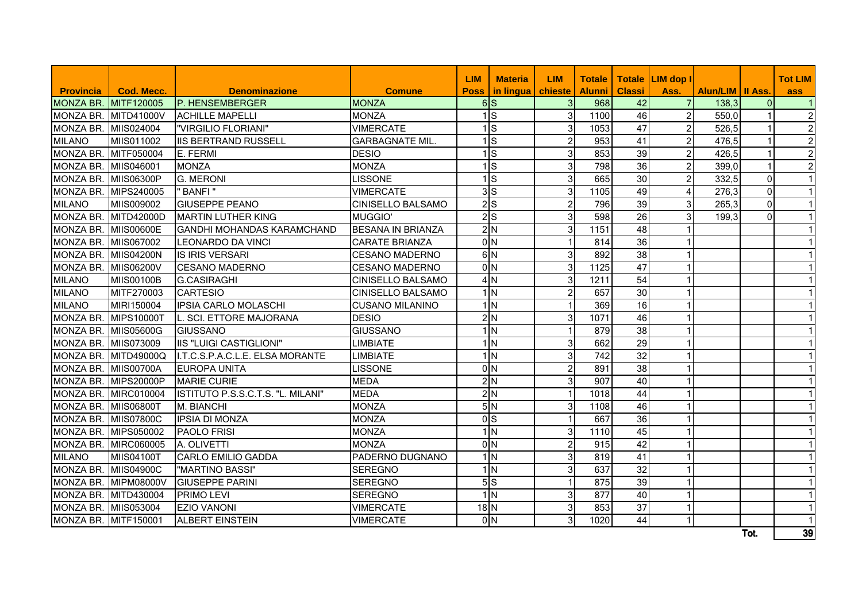|                      |                      |                                   |                          | <b>LIM</b>                | <b>Materia</b>           | <b>LIM</b>     | <b>Totale</b> |                 | Totale LIM dop I |                           |                | <b>Tot LIM</b> |
|----------------------|----------------------|-----------------------------------|--------------------------|---------------------------|--------------------------|----------------|---------------|-----------------|------------------|---------------------------|----------------|----------------|
| <b>Provincia</b>     | Cod. Mecc.           | <b>Denominazione</b>              | <b>Comune</b>            | <b>Poss</b>               | in lingua                | chieste        | <b>Alunni</b> | <b>Classi</b>   | Ass.             | <b>Alun/LIM   II Ass.</b> |                | ass            |
| <b>MONZA BR.</b>     | MITF120005           | P. HENSEMBERGER                   | <b>MONZA</b>             |                           | 6S                       | $\mathbf{3}$   | 968           | 42              |                  | 138,3                     | $\overline{0}$ |                |
| MONZA BR.            | MITD41000V           | <b>ACHILLE MAPELLI</b>            | <b>MONZA</b>             |                           | ls                       | 3              | 1100          | 46              | 2 <sub>l</sub>   | 550,0                     | $\mathbf{1}$   | $\overline{c}$ |
| MONZA BR. MIIS024004 |                      | "VIRGILIO FLORIANI"               | <b>VIMERCATE</b>         |                           | ls                       | 3              | 1053          | 47              | 2 <sup>1</sup>   | 526,5                     | $\mathbf{1}$   | $\overline{c}$ |
| <b>MILANO</b>        | MIIS011002           | <b>IIS BERTRAND RUSSELL</b>       | <b>GARBAGNATE MIL</b>    |                           | ls                       | $\overline{c}$ | 953           | 41              | $\overline{2}$   | 476,5                     | $\mathbf{1}$   | $\overline{2}$ |
| MONZA BR.            | MITF050004           | E. FERMI                          | <b>DESIO</b>             |                           | ls                       | $\mathbf{3}$   | 853           | 39              | 2 <sup>1</sup>   | 426,5                     | 1              | $\overline{2}$ |
| MONZA BR.            | MIIS046001           | <b>MONZA</b>                      | <b>MONZA</b>             |                           | ls                       | $\mathsf 3$    | 798           | 36              | 2 <sup>1</sup>   | 399.0                     | 1              | $\overline{c}$ |
| MONZA BR. MIIS06300P |                      | <b>G. MERONI</b>                  | <b>LISSONE</b>           |                           | ls                       | $\mathbf{3}$   | 665           | 30              | $\overline{2}$   | 332,5                     | $\mathbf 0$    |                |
| MONZA BR. MIPS240005 |                      | " BANFI"                          | <b>VIMERCATE</b>         |                           | 3S                       | $\mathbf{3}$   | 1105          | 49              | $\overline{4}$   | 276,3                     | $\overline{0}$ |                |
| <b>MILANO</b>        | MIIS009002           | <b>GIUSEPPE PEANO</b>             | <b>CINISELLO BALSAMO</b> |                           | $2$ <sub>s</sub>         | $\overline{c}$ | 796           | 39              | 3 <sup>1</sup>   | 265,3                     | $\overline{0}$ |                |
| <b>MONZA BR.</b>     | MITD42000D           | <b>MARTIN LUTHER KING</b>         | MUGGIO'                  |                           | $2$ <sub>s</sub>         | $\mathbf{3}$   | 598           | $\overline{26}$ | 3 <sup>l</sup>   | 199,3                     | $\mathbf 0$    |                |
| MONZA BR.            | <b>MIIS00600E</b>    | <b>GANDHI MOHANDAS KARAMCHAND</b> | <b>BESANA IN BRIANZA</b> |                           | 2N                       | 3              | 1151          | 48              |                  |                           |                |                |
| MONZA BR.            | MIIS067002           | <b>LEONARDO DA VINCI</b>          | <b>CARATE BRIANZA</b>    |                           | 0 <sub>N</sub>           |                | 814           | 36              | $\mathbf{1}$     |                           |                |                |
| MONZA BR. MIIS04200N |                      | <b>IS IRIS VERSARI</b>            | <b>CESANO MADERNO</b>    |                           | 6N                       | $\mathbf{3}$   | 892           | 38              | 1                |                           |                |                |
| MONZA BR. MIIS06200V |                      | <b>CESANO MADERNO</b>             | <b>CESANO MADERNO</b>    |                           | 0 <sub>N</sub>           | $\mathbf{3}$   | 1125          | 47              | $\mathbf{1}$     |                           |                |                |
| <b>MILANO</b>        | <b>MIIS00100B</b>    | <b>G.CASIRAGHI</b>                | <b>CINISELLO BALSAMO</b> |                           | 4N                       | 3              | 1211          | 54              | $\mathbf{1}$     |                           |                |                |
| <b>MILANO</b>        | MITF270003           | <b>CARTESIO</b>                   | <b>CINISELLO BALSAMO</b> |                           | ۱l                       | $\overline{2}$ | 657           | 30              | $\mathbf 1$      |                           |                |                |
| MILANO               | MIRI150004           | <b>IPSIA CARLO MOLASCHI</b>       | <b>CUSANO MILANINO</b>   |                           | 1 <sub>N</sub>           |                | 369           | 16              | -1               |                           |                |                |
| <b>MONZA BR.</b>     | <b>MIPS10000T</b>    | L. SCI. ETTORE MAJORANA           | <b>DESIO</b>             |                           | 2N                       | $\sqrt{3}$     | 1071          | 46              | $\mathbf{1}$     |                           |                |                |
| MONZA BR. MIIS05600G |                      | <b>GIUSSANO</b>                   | <b>GIUSSANO</b>          |                           | $1\overline{\mathrm{N}}$ |                | 879           | $\overline{38}$ | $\mathbf{1}$     |                           |                |                |
| MONZA BR. MIIS073009 |                      | <b>IIS "LUIGI CASTIGLIONI"</b>    | <b>LIMBIATE</b>          |                           | ۱l                       | $\overline{3}$ | 662           | 29              | 1                |                           |                |                |
|                      | MONZA BR. MITD49000Q | I.T.C.S.P.A.C.L.E. ELSA MORANTE   | <b>LIMBIATE</b>          |                           | 1 <sub>N</sub>           | $\overline{3}$ | 742           | 32              | 1                |                           |                |                |
| MONZA BR. MIIS00700A |                      | <b>EUROPA UNITA</b>               | <b>LISSONE</b>           |                           | 0 <sub>N</sub>           | $\overline{2}$ | 891           | $\overline{38}$ | -1               |                           |                |                |
|                      | MONZA BR. MIPS20000P | <b>MARIE CURIE</b>                | <b>MEDA</b>              |                           | 2N                       | دی             | 907           | 40              |                  |                           |                |                |
| <b>MONZA BR.</b>     | <b>MIRC010004</b>    | ISTITUTO P.S.S.C.T.S. "L. MILANI" | <b>MEDA</b>              |                           | 2N                       | $\overline{1}$ | 1018          | $\overline{44}$ |                  |                           |                |                |
| MONZA BR.            | <b>MIIS06800T</b>    | M. BIANCHI                        | <b>MONZA</b>             |                           | 5N                       | $\mathbf{3}$   | 1108          | 46              |                  |                           |                |                |
| MONZA BR.            | <b>MIIS07800C</b>    | <b>IPSIA DI MONZA</b>             | <b>MONZA</b>             |                           | 0 <sub>S</sub>           |                | 667           | $\overline{36}$ |                  |                           |                |                |
| MONZA BR.            | MIPS050002           | <b>PAOLO FRISI</b>                | <b>MONZA</b>             |                           | 1N                       | $\sqrt{3}$     | 1110          | 45              |                  |                           |                |                |
| MONZA BR.            | <b>MIRC060005</b>    | A. OLIVETTI                       | <b>MONZA</b>             |                           | 0 <sub>N</sub>           | $\overline{c}$ | 915           | 42              | 1                |                           |                |                |
| MILANO               | <b>MIIS04100T</b>    | <b>CARLO EMILIO GADDA</b>         | PADERNO DUGNANO          |                           | ۱l                       | $\sqrt{3}$     | 819           | 41              | $\mathbf{1}$     |                           |                |                |
| MONZA BR.            | <b>MIIS04900C</b>    | "MARTINO BASSI"                   | <b>SEREGNO</b>           |                           | $\overline{\mathsf{N}}$  | $\mathsf 3$    | 637           | 32              | $\overline{1}$   |                           |                |                |
| MONZA BR.            | <b>MIPM08000V</b>    | <b>GIUSEPPE PARINI</b>            | <b>SEREGNO</b>           |                           | 5S                       | $\mathbf{1}$   | 875           | 39              | $\mathbf{1}$     |                           |                |                |
| MONZA BR.            | MITD430004           | PRIMO LEVI                        | <b>SEREGNO</b>           |                           | $1\overline{\mathrm{N}}$ | $\mathbf{3}$   | 877           | 40              | $\mathbf{1}$     |                           |                | 1              |
| MONZA BR.            | MIIS053004           | <b>EZIO VANONI</b>                | <b>VIMERCATE</b>         | $18\overline{\mathrm{N}}$ |                          | 3              | 853           | 37              | $\mathbf{1}$     |                           |                | $\mathbf{1}$   |
| MONZA BR. MITF150001 |                      | <b>ALBERT EINSTEIN</b>            | <b>VIMERCATE</b>         |                           | 0 <sub>N</sub>           | $\mathbf{3}$   | 1020          | 44              | $\mathbf{1}$     |                           |                |                |
|                      |                      |                                   |                          |                           |                          |                |               |                 |                  |                           | Tot.           | 39             |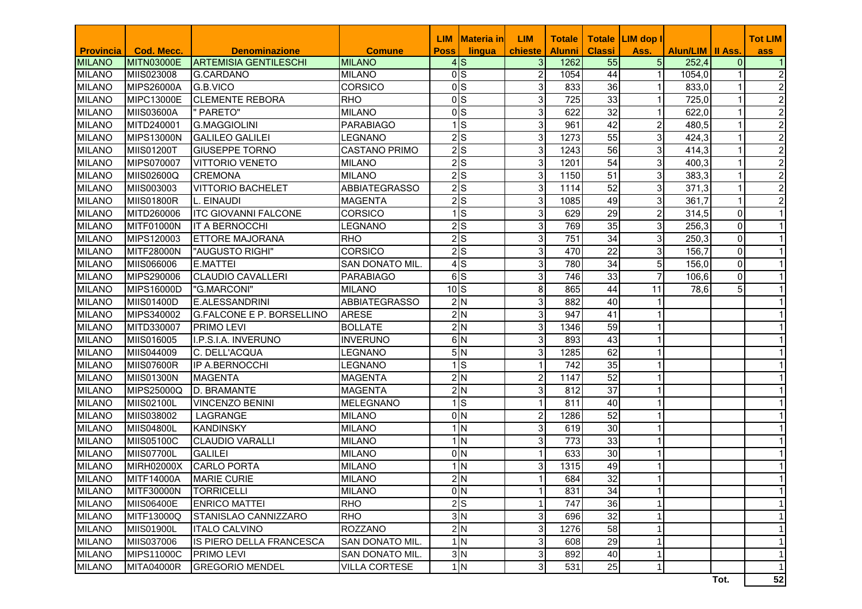|                  |                   |                                  |                        | <b>LIM</b>  | <u> Materia in</u>     | <b>LIM</b>     | <b>Totale</b> |                 | Totale LIM dop I |                           |                | <b>Tot LIM</b>   |
|------------------|-------------------|----------------------------------|------------------------|-------------|------------------------|----------------|---------------|-----------------|------------------|---------------------------|----------------|------------------|
| <b>Provincia</b> | <b>Cod. Mecc.</b> | <b>Denominazione</b>             | <b>Comune</b>          | <b>Poss</b> | lingua                 | chieste        | <b>Alunni</b> | <b>Classi</b>   | Ass.             | <b>Alun/LIM   II Ass.</b> |                | ass              |
| <b>MILANO</b>    | MITN03000E        | <b>ARTEMISIA GENTILESCHI</b>     | <b>MILANO</b>          |             | $4$ S                  | 3 <sup>1</sup> | 1262          | 55              | 5 <sub>l</sub>   | 252,4                     | 0              |                  |
| <b>MILANO</b>    | MIIS023008        | <b>G.CARDANO</b>                 | <b>MILANO</b>          |             | $\overline{0}$ S       | 2              | 1054          | 44              |                  | 1054,0                    |                | $\overline{c}$   |
| <b>MILANO</b>    | <b>MIPS26000A</b> | G.B.VICO                         | <b>CORSICO</b>         |             | 0 <sub>s</sub>         | 3              | 833           | 36              |                  | 833,0                     |                | $\overline{c}$   |
| <b>MILANO</b>    | <b>MIPC13000E</b> | <b>CLEMENTE REBORA</b>           | <b>RHO</b>             |             | 0 <sub>S</sub>         | $\overline{3}$ | 725           | 33              |                  | 725,0                     |                | $\boldsymbol{2}$ |
| <b>MILANO</b>    | <b>MIIS03600A</b> | " PARETO"                        | <b>MILANO</b>          |             | 0 <sub>S</sub>         | 3              | 622           | 32              |                  | 622,0                     |                | $\overline{2}$   |
| <b>MILANO</b>    | MITD240001        | IG.MAGGIOLINI                    | <b>PARABIAGO</b>       |             | ls                     | 3              | 961           | 42              | $\overline{2}$   | 480,5                     |                | $\overline{2}$   |
| <b>MILANO</b>    | <b>MIPS13000N</b> | <b>GALILEO GALILEI</b>           | <b>LEGNANO</b>         |             | $2$ <sub>S</sub>       | $\overline{3}$ | 1273          | $\overline{55}$ | 3                | 424,3                     |                | $\overline{2}$   |
| <b>MILANO</b>    | <b>MIIS01200T</b> | <b>GIUSEPPE TORNO</b>            | <b>CASTANO PRIMO</b>   |             | $2$ <sub>S</sub>       | 3              | 1243          | 56              | 3                | 414,3                     |                | $\overline{2}$   |
| <b>MILANO</b>    | MIPS070007        | <b>VITTORIO VENETO</b>           | <b>MILANO</b>          |             | $2\overline{s}$        | $\overline{3}$ | 1201          | $\overline{54}$ | 3                | 400,3                     |                | $\overline{2}$   |
| <b>MILANO</b>    | MIIS02600Q        | <b>CREMONA</b>                   | <b>MILANO</b>          |             | $2$ <sub>S</sub>       | 3              | 1150          | 51              | 3                | 383,3                     |                | $\overline{c}$   |
| <b>MILANO</b>    | MIIS003003        | <b>VITTORIO BACHELET</b>         | <b>ABBIATEGRASSO</b>   |             | $2$ <sub>S</sub>       | 3              | 1114          | 52              | 3                | 371,3                     |                | $\overline{c}$   |
| <b>MILANO</b>    | <b>MIIS01800R</b> | L. EINAUDI                       | <b>MAGENTA</b>         |             | $2$ <sub>S</sub>       | 3              | 1085          | 49              | 3                | 361,7                     |                | $\overline{c}$   |
| <b>MILANO</b>    | MITD260006        | <b>ITC GIOVANNI FALCONE</b>      | <b>CORSICO</b>         |             | ls                     | 3              | 629           | 29              | $\overline{2}$   | 314,5                     | $\Omega$       | $\mathbf{1}$     |
| <b>MILANO</b>    | MITF01000N        | <b>IT A BERNOCCHI</b>            | LEGNANO                |             | 2s                     | 3 <sup>1</sup> | 769           | 35              | 3                | 256,3                     | $\Omega$       | $\mathbf{1}$     |
| <b>MILANO</b>    | MIPS120003        | <b>ETTORE MAJORANA</b>           | <b>RHO</b>             |             | $2$ <sub>S</sub>       | 3              | 751           | 34              | 3                | 250,3                     | $\Omega$       | $\mathbf{1}$     |
| <b>MILANO</b>    | <b>MITF28000N</b> | "AUGUSTO RIGHI"                  | <b>CORSICO</b>         |             | $2\overline{S}$        | 3              | 470           | 22              | 3                | 156,7                     | $\Omega$       | $\mathbf{1}$     |
| <b>MILANO</b>    | MIIS066006        | <b>E.MATTEI</b>                  | <b>SAN DONATO MIL.</b> |             | $4$ S                  | $\overline{3}$ | 780           | 34              | 5                | 156,0                     | $\Omega$       | $\mathbf{1}$     |
| <b>MILANO</b>    | MIPS290006        | <b>CLAUDIO CAVALLERI</b>         | <b>PARABIAGO</b>       |             | 6S                     | $\overline{3}$ | 746           | 33              | $\overline{7}$   | 106,6                     | $\Omega$       |                  |
| <b>MILANO</b>    | <b>MIPS16000D</b> | "G.MARCONI"                      | <b>MILANO</b>          |             | 10 <sub>S</sub>        | 8              | 865           | 44              | 11               | 78,6                      | 5 <sub>l</sub> | $\mathbf{1}$     |
| <b>MILANO</b>    | <b>MIIS01400D</b> | E.ALESSANDRINI                   | <b>ABBIATEGRASSO</b>   |             | 2N                     | $\overline{3}$ | 882           | 40              |                  |                           |                |                  |
| <b>MILANO</b>    | MIPS340002        | <b>G.FALCONE E P. BORSELLINO</b> | <b>ARESE</b>           |             | 2N                     | 3 <sup>1</sup> | 947           | 41              |                  |                           |                |                  |
| <b>MILANO</b>    | MITD330007        | IPRIMO LEVI                      | <b>BOLLATE</b>         |             | 2N                     | 3 <sup>1</sup> | 1346          | 59              |                  |                           |                |                  |
| <b>MILANO</b>    | MIIS016005        | I.P.S.I.A. INVERUNO              | <b>INVERUNO</b>        |             | 6N                     | 3 <sup>1</sup> | 893           | 43              |                  |                           |                |                  |
| <b>MILANO</b>    | MIIS044009        | C. DELL'ACQUA                    | LEGNANO                |             | 5N                     | $\overline{3}$ | 1285          | 62              |                  |                           |                |                  |
| <b>MILANO</b>    | <b>MIIS07600R</b> | <b>IP A.BERNOCCHI</b>            | LEGNANO                |             | 1ls                    |                | 742           | 35              |                  |                           |                |                  |
| <b>MILANO</b>    | <b>MIIS01300N</b> | <b>MAGENTA</b>                   | <b>MAGENTA</b>         |             | 2N                     | $\overline{c}$ | 1147          | 52              |                  |                           |                |                  |
| <b>MILANO</b>    | <b>MIPS25000Q</b> | <b>D. BRAMANTE</b>               | <b>MAGENTA</b>         |             | 2N                     | 3              | 812           | 37              |                  |                           |                |                  |
| <b>MILANO</b>    | <b>MIIS02100L</b> | <b>VINCENZO BENINI</b>           | <b>MELEGNANO</b>       |             | $1\text{S}$            |                | 811           | 40              |                  |                           |                |                  |
| <b>MILANO</b>    | MIIS038002        | LAGRANGE                         | <b>MILANO</b>          |             | 0 <sub>N</sub>         | $\overline{2}$ | 1286          | 52              |                  |                           |                |                  |
| <b>MILANO</b>    | <b>MIIS04800L</b> | <b>KANDINSKY</b>                 | <b>MILANO</b>          |             | $1\vert N$             | 3              | 619           | 30              |                  |                           |                |                  |
| <b>MILANO</b>    | <b>MIIS05100C</b> | <b>CLAUDIO VARALLI</b>           | <b>MILANO</b>          |             | 1 <sub>N</sub>         | 3              | 773           | 33              |                  |                           |                |                  |
| <b>MILANO</b>    | <b>MIIS07700L</b> | <b>GALILEI</b>                   | <b>MILANO</b>          |             | 0 <sub>N</sub>         |                | 633           | 30              |                  |                           |                |                  |
| <b>MILANO</b>    | <b>MIRH02000X</b> | <b>CARLO PORTA</b>               | <b>MILANO</b>          |             | 1 <sub>N</sub>         | 3              | 1315          | 49              |                  |                           |                |                  |
| <b>MILANO</b>    | <b>MITF14000A</b> | <b>MARIE CURIE</b>               | <b>MILANO</b>          |             | 2N                     |                | 684           | 32              |                  |                           |                |                  |
| <b>MILANO</b>    | <b>MITF30000N</b> | <b>TORRICELLI</b>                | <b>MILANO</b>          |             | 0 <sub>N</sub>         | 1              | 831           | 34              |                  |                           |                | $\mathbf{1}$     |
| <b>MILANO</b>    | <b>MIIS06400E</b> | <b>ENRICO MATTEI</b>             | <b>RHO</b>             |             | $2\overline{\text{S}}$ |                | 747           | 36              |                  |                           |                | $\mathbf{1}$     |
| <b>MILANO</b>    | MITF13000Q        | STANISLAO CANNIZZARO             | <b>RHO</b>             |             | 3N                     | 3              | 696           | 32              |                  |                           |                | $\mathbf{1}$     |
| <b>MILANO</b>    | <b>MIIS01900L</b> | <b>ITALO CALVINO</b>             | <b>ROZZANO</b>         |             | 2N                     | $\mathbf{3}$   | 1276          | 58              |                  |                           |                | $\mathbf{1}$     |
| <b>MILANO</b>    | MIIS037006        | IS PIERO DELLA FRANCESCA         | SAN DONATO MIL.        |             | 1 <sub>N</sub>         | $\mathbf{3}$   | 608           | 29              |                  |                           |                | $\mathbf{1}$     |
| <b>MILANO</b>    | <b>MIPS11000C</b> | <b>PRIMO LEVI</b>                | <b>SAN DONATO MIL.</b> |             | 3N                     | 3              | 892           | 40              |                  |                           |                | $\mathbf{1}$     |
| <b>MILANO</b>    | <b>MITA04000R</b> | <b>GREGORIO MENDEL</b>           | <b>VILLA CORTESE</b>   |             | 1 <sub>N</sub>         | 3 <sub>l</sub> | 531           | 25              |                  |                           |                | $\mathbf{1}$     |
|                  |                   |                                  |                        |             |                        |                |               |                 |                  |                           | Tot.           | 52               |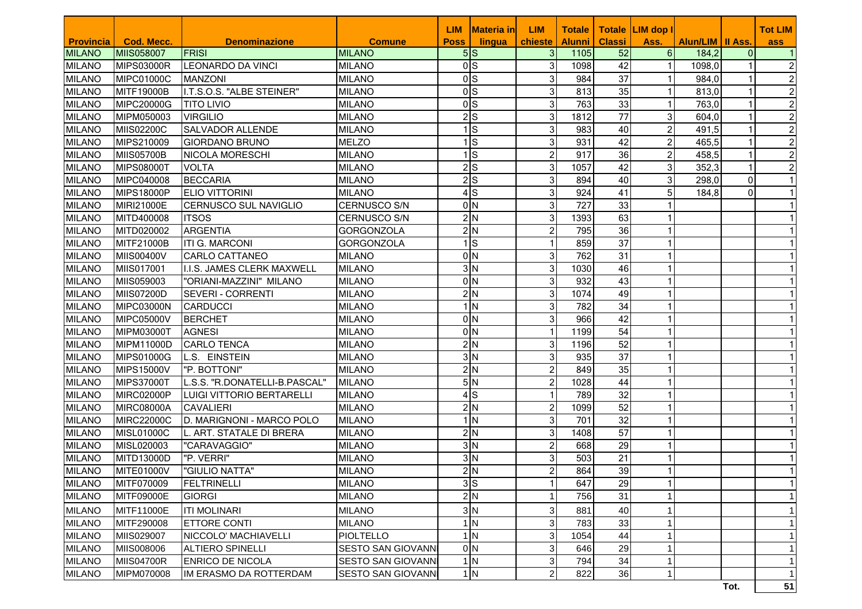|                  |                   |                               |                           | LIM            | <b>Materia inl</b>  | <b>LIM</b>     | <b>Totale</b> |                 | Totale LIM dop I |                    |          | <b>Tot LIM</b> |
|------------------|-------------------|-------------------------------|---------------------------|----------------|---------------------|----------------|---------------|-----------------|------------------|--------------------|----------|----------------|
| <b>Provincia</b> | Cod. Mecc.        | <b>Denominazione</b>          | <b>Comune</b>             | <b>Poss</b>    | lingua              | chieste        | <b>Alunni</b> | <b>Classi</b>   | Ass.             | Alun/LIM   II Ass. |          | ass            |
| <b>MILANO</b>    | <b>MIIS058007</b> | <b>FRISI</b>                  | <b>MILANO</b>             | 5S             |                     | 3              | 1105          | 52              | 6                | 184,2              | $\Omega$ |                |
| <b>MILANO</b>    | <b>MIPS03000R</b> | <b>LEONARDO DA VINCI</b>      | <b>MILANO</b>             | 0 <sub>S</sub> |                     | 3              | 1098          | 42              |                  | 1098,0             |          |                |
| <b>MILANO</b>    | <b>MIPC01000C</b> | <b>MANZONI</b>                | <b>MILANO</b>             | 0 <sub>S</sub> |                     | 3              | 984           | $\overline{37}$ |                  | 984,0              |          |                |
| <b>MILANO</b>    | MITF19000B        | I.T.S.O.S. "ALBE STEINER"     | <b>MILANO</b>             | 0 <sub>S</sub> |                     | 3              | 813           | 35              |                  | 813,0              |          |                |
| <b>MILANO</b>    | MIPC20000G        | <b>TITO LIVIO</b>             | <b>MILANO</b>             | 0 <sub>S</sub> |                     | 3              | 763           | 33              |                  | 763,0              |          | 2              |
| <b>MILANO</b>    | MIPM050003        | <b>VIRGILIO</b>               | <b>MILANO</b>             |                | 2S                  | 3              | 1812          | 77              | 3                | 604,0              |          | 2              |
| <b>MILANO</b>    | MIIS02200C        | <b>SALVADOR ALLENDE</b>       | <b>MILANO</b>             |                | ls                  | 3              | 983           | 40              | $\overline{c}$   | 491,5              |          | 2              |
| <b>MILANO</b>    | MIPS210009        | <b>GIORDANO BRUNO</b>         | <b>MELZO</b>              |                | ls                  | 3              | 931           | 42              | 2                | 465,5              |          | 2              |
| <b>MILANO</b>    | <b>MIIS05700B</b> | <b>NICOLA MORESCHI</b>        | <b>MILANO</b>             |                | ls                  | $\overline{c}$ | 917           | 36              | $\overline{c}$   | 458,5              |          | $\overline{2}$ |
| <b>MILANO</b>    | <b>MIPS08000T</b> | <b>VOLTA</b>                  | <b>MILANO</b>             |                | $2$ S               | 3              | 1057          | 42              | 3                | 352,3              | -1       |                |
| <b>MILANO</b>    | MIPC040008        | <b>BECCARIA</b>               | <b>MILANO</b>             |                | 2S                  | 3              | 894           | 40              | 3                | 298,0              | $\Omega$ |                |
| MILANO           | <b>MIPS18000P</b> | <b>ELIO VITTORINI</b>         | <b>MILANO</b>             |                | 4S                  | 3              | 924           | 41              | 5                | 184,8              | $\Omega$ |                |
| <b>MILANO</b>    | MIRI21000E        | CERNUSCO SUL NAVIGLIO         | <b>CERNUSCO S/N</b>       |                | 0 <sub>N</sub>      | 3              | 727           | 33              | 1                |                    |          |                |
| <b>MILANO</b>    | MITD400008        | <b>ITSOS</b>                  | <b>CERNUSCO S/N</b>       |                | 2N                  | 3              | 1393          | 63              | $\mathbf{1}$     |                    |          |                |
| <b>MILANO</b>    | MITD020002        | <b>ARGENTIA</b>               | <b>GORGONZOLA</b>         |                | 2N                  | 2              | 795           | 36              | 1                |                    |          |                |
| <b>MILANO</b>    | MITF21000B        | <b>ITI G. MARCONI</b>         | <b>GORGONZOLA</b>         |                | $1\textsf{S}$       | 1              | 859           | 37              | 1                |                    |          |                |
| <b>MILANO</b>    | MIIS00400V        | <b>CARLO CATTANEO</b>         | <b>MILANO</b>             |                | 0 <sub>N</sub>      | 3              | 762           | $\overline{31}$ |                  |                    |          |                |
| <b>MILANO</b>    | MIIS017001        | I.I.S. JAMES CLERK MAXWELL    | <b>MILANO</b>             |                | 3N                  | 3              | 1030          | 46              |                  |                    |          |                |
| <b>MILANO</b>    | MIIS059003        | "ORIANI-MAZZINI" MILANO       | <b>MILANO</b>             |                | 0 <sub>N</sub>      | 3              | 932           | 43              |                  |                    |          |                |
| <b>MILANO</b>    | MIIS07200D        | SEVERI - CORRENTI             | <b>MILANO</b>             |                | 2N                  | 3              | 1074          | 49              |                  |                    |          |                |
| <b>MILANO</b>    | <b>MIPC03000N</b> | <b>CARDUCCI</b>               | <b>MILANO</b>             |                | IN                  | 3              | 782           | 34              |                  |                    |          |                |
| <b>MILANO</b>    | <b>MIPC05000V</b> | <b>BERCHET</b>                | <b>MILANO</b>             |                | 0ln                 | 3              | 966           | 42              | 1                |                    |          |                |
| <b>MILANO</b>    | MIPM03000T        | <b>AGNESI</b>                 | <b>MILANO</b>             |                | 0 <sub>N</sub>      | 1              | 1199          | 54              | 1                |                    |          |                |
| <b>MILANO</b>    | MIPM11000D        | <b>CARLO TENCA</b>            | <b>MILANO</b>             |                | 2N                  | 3              | 1196          | 52              | 1                |                    |          |                |
| <b>MILANO</b>    | MIPS01000G        | L.S. EINSTEIN                 | <b>MILANO</b>             |                | $3\overline{\sf N}$ | 3              | 935           | $\overline{37}$ | 1                |                    |          |                |
| <b>MILANO</b>    | <b>MIPS15000V</b> | "P. BOTTONI"                  | <b>MILANO</b>             |                | 2N                  | $\overline{c}$ | 849           | $\overline{35}$ |                  |                    |          |                |
| <b>MILANO</b>    | <b>MIPS37000T</b> | L.S.S. "R.DONATELLI-B.PASCAL" | <b>MILANO</b>             |                | 5N                  | $\overline{c}$ | 1028          | 44              |                  |                    |          |                |
| <b>MILANO</b>    | <b>MIRC02000P</b> | LUIGI VITTORIO BERTARELLI     | <b>MILANO</b>             |                | $4$ S               | 1              | 789           | 32              | 1                |                    |          |                |
| <b>MILANO</b>    | <b>MIRC08000A</b> | <b>CAVALIERI</b>              | <b>MILANO</b>             |                | 2N                  | $\overline{c}$ | 1099          | 52              | 1                |                    |          |                |
| <b>MILANO</b>    | <b>MIRC22000C</b> | D. MARIGNONI - MARCO POLO     | <b>MILANO</b>             |                | $1\vert N$          | 3              | 701           | 32              | 1                |                    |          |                |
| <b>MILANO</b>    | <b>MISL01000C</b> | L. ART. STATALE DI BRERA      | <b>MILANO</b>             |                | 2N                  | 3              | 1408          | 57              | $\mathbf{1}$     |                    |          |                |
| <b>MILANO</b>    | MISL020003        | "CARAVAGGIO"                  | <b>MILANO</b>             |                | $3\overline{\sf N}$ | 2              | 668           | 29              | 1                |                    |          |                |
| <b>MILANO</b>    | MITD13000D        | "P. VERRI"                    | <b>MILANO</b>             |                | $3\overline{\sf N}$ | 3              | 503           | 21              | 1                |                    |          |                |
| <b>MILANO</b>    | <b>MITE01000V</b> | "GIULIO NATTA"                | <b>MILANO</b>             |                | 2N                  | $\overline{c}$ | 864           | 39              | 1                |                    |          |                |
| <b>MILANO</b>    | MITF070009        | FELTRINELLI                   | <b>MILANO</b>             |                | 3S                  | $\mathbf{1}$   | 647           | 29              | 1                |                    |          |                |
| <b>MILANO</b>    | MITF09000E        | <b>GIORGI</b>                 | <b>MILANO</b>             |                | 2N                  |                | 756           | 31              |                  |                    |          |                |
| <b>MILANO</b>    | MITF11000E        | <b>ITI MOLINARI</b>           | <b>MILANO</b>             |                | 3N                  | 3              | 881           | 40              |                  |                    |          |                |
| <b>MILANO</b>    | MITF290008        | <b>ETTORE CONTI</b>           | <b>MILANO</b>             |                | 1 <sub>N</sub>      | 3              | 783           | 33              |                  |                    |          |                |
| <b>MILANO</b>    | MIIS029007        | NICCOLO' MACHIAVELLI          | <b>PIOLTELLO</b>          |                | 1 <sub>N</sub>      | 3              | 1054          | 44              |                  |                    |          |                |
| <b>MILANO</b>    | MIIS008006        | ALTIERO SPINELLI              | <b>SESTO SAN GIOVANNI</b> |                | 0 <sub>N</sub>      | 3              | 646           | 29              |                  |                    |          |                |
| <b>MILANO</b>    | <b>MIIS04700R</b> | <b>ENRICO DE NICOLA</b>       | SESTO SAN GIOVANNI        |                | 1 <sub>N</sub>      | 3              | 794           | 34              |                  |                    |          |                |
| <b>MILANO</b>    | MIPM070008        | IM ERASMO DA ROTTERDAM        | <b>SESTO SAN GIOVANNI</b> |                | 1 <sub>N</sub>      | $\overline{c}$ | 822           | 36              | $\mathbf{1}$     |                    |          |                |
|                  |                   |                               |                           |                |                     |                |               |                 |                  |                    | Tot.     | 51             |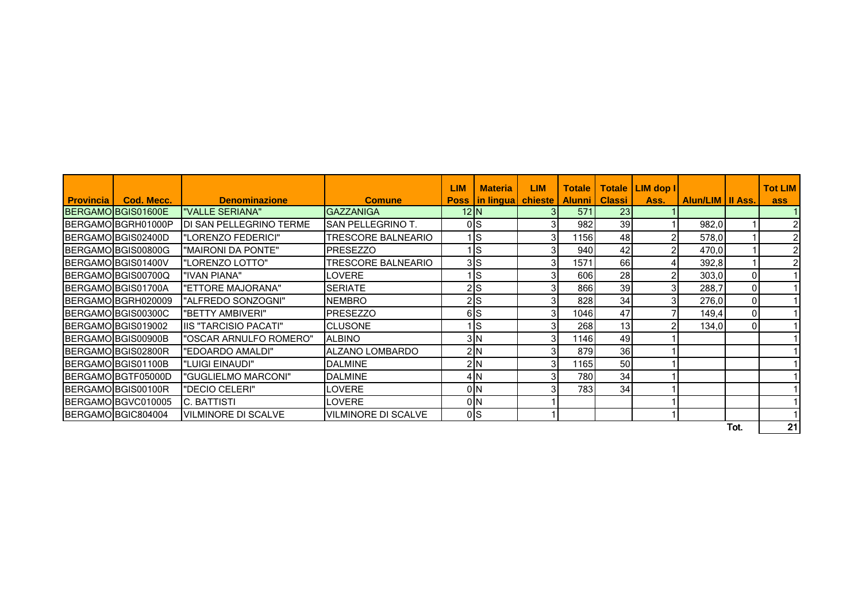|                  |                    |                            |                            | <b>LIM</b>          | <b>Materia</b>                      | <b>LIM</b> | <b>Totale</b> |                 | Totale   LIM dop I |                    |                | <b>Tot LIM</b> |
|------------------|--------------------|----------------------------|----------------------------|---------------------|-------------------------------------|------------|---------------|-----------------|--------------------|--------------------|----------------|----------------|
| <b>Provincia</b> | Cod. Mecc.         | <b>Denominazione</b>       | <b>Comune</b>              |                     | <b>Poss   in lingua   chieste  </b> |            | <b>Alunni</b> | <b>Classi</b>   | Ass.               | Alun/LIM   II Ass. |                | ass            |
|                  | BERGAMO BGIS01600E | "VALLE SERIANA"            | <b>GAZZANIGA</b>           | 12 N                |                                     |            | 571           | 23              |                    |                    |                |                |
|                  | BERGAMO BGRH01000P | DI SAN PELLEGRINO TERME    | <b>SAN PELLEGRINO T.</b>   | 0 <sub>S</sub>      |                                     |            | 982           | 39              |                    | 982,0              |                | 2              |
|                  | BERGAMO BGIS02400D | "LORENZO FEDERICI"         | TRESCORE BALNEARIO         |                     | ıls                                 |            | 1156          | 48              |                    | 578,0              |                | 2              |
|                  | BERGAMO BGIS00800G | "MAIRONI DA PONTE"         | <b>PRESEZZO</b>            |                     | ıls                                 |            | 940           | 42              | 2                  | 470,0              |                | $\overline{2}$ |
|                  | BERGAMO BGIS01400V | "LORENZO LOTTO"            | TRESCORE BALNEARIO         | 3S                  |                                     |            | 1571          | 66              |                    | 392,8              |                | $\overline{2}$ |
|                  | BERGAMO BGIS00700Q | "IVAN PIANA"               | LOVERE                     |                     | ls                                  |            | 606           | 28              | 2                  | 303,0              | $\Omega$       |                |
|                  | BERGAMO BGIS01700A | "ETTORE MAJORANA"          | <b>SERIATE</b>             | $2$ <sub>S</sub>    |                                     |            | 866           | 39              | 3                  | 288,7              | $\Omega$       |                |
|                  | BERGAMO BGRH020009 | "ALFREDO SONZOGNI"         | <b>NEMBRO</b>              | 2S                  |                                     |            | 828           | 34              | 31                 | 276,0              | $\overline{0}$ |                |
|                  | BERGAMO BGIS00300C | "BETTY AMBIVERI"           | <b>PRESEZZO</b>            | 6S                  |                                     |            | 1046          | 47              |                    | 149,4              | $\overline{0}$ |                |
|                  | BERGAMO BGIS019002 | IIS "TARCISIO PACATI"      | <b>CLUSONE</b>             |                     | <b>S</b>                            |            | 268           | 13 <sub>1</sub> |                    | 134,0              | $\mathbf{0}$   |                |
|                  | BERGAMO BGIS00900B | "OSCAR ARNULFO ROMERO"     | <b>ALBINO</b>              | $3\overline{\rm N}$ |                                     |            | 1146          | 49              |                    |                    |                |                |
|                  | BERGAMO BGIS02800R | "EDOARDO AMALDI"           | ALZANO LOMBARDO            | 2N                  |                                     |            | 879           | 36              |                    |                    |                |                |
|                  | BERGAMO BGIS01100B | "LUIGI EINAUDI"            | <b>DALMINE</b>             | 2N                  |                                     |            | 1165          | 50              |                    |                    |                |                |
|                  | BERGAMO BGTF05000D | "GUGLIELMO MARCONI"        | <b>DALMINE</b>             | 4N                  |                                     |            | 780           | 34              |                    |                    |                |                |
|                  | BERGAMO BGIS00100R | "DECIO CELERI"             | <b>LOVERE</b>              | 0 <sub>N</sub>      |                                     |            | 783           | 34              |                    |                    |                |                |
|                  | BERGAMO BGVC010005 | C. BATTISTI                | LOVERE                     | 0 <sub>N</sub>      |                                     |            |               |                 |                    |                    |                |                |
|                  | BERGAMO BGIC804004 | <b>VILMINORE DI SCALVE</b> | <b>VILMINORE DI SCALVE</b> | $0\vert S$          |                                     |            |               |                 |                    |                    |                |                |
|                  |                    |                            |                            |                     |                                     |            |               |                 |                    |                    | Tot.           | 21             |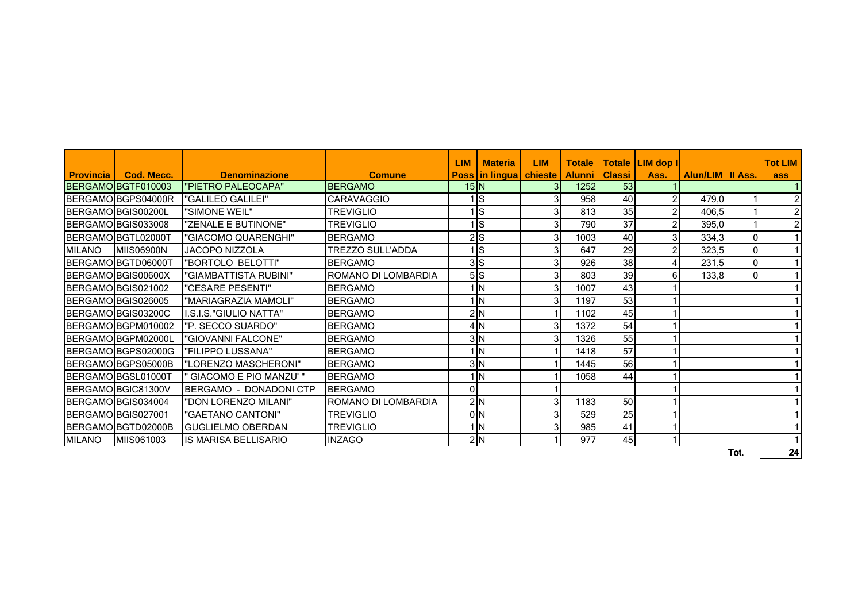|                  |                    |                                |                         | <b>LIM</b>     | <b>Materia</b>                      | <b>LIM</b>              | <b>Totale</b> |               | Totale LIM dop I |                    |                | <b>Tot LIM</b> |
|------------------|--------------------|--------------------------------|-------------------------|----------------|-------------------------------------|-------------------------|---------------|---------------|------------------|--------------------|----------------|----------------|
| <b>Provincia</b> | Cod. Mecc.         | <b>Denominazione</b>           | <b>Comune</b>           |                | <b>Poss   in lingua   chieste  </b> |                         | <b>Alunni</b> | <b>Classi</b> | Ass.             | Alun/LIM   II Ass. |                | ass            |
|                  | BERGAMO BGTF010003 | "PIETRO PALEOCAPA"             | <b>BERGAMO</b>          | $15\vert N$    |                                     |                         | 1252          | 53            |                  |                    |                |                |
|                  | BERGAMOIBGPS04000R | "GALILEO GALILEI"              | <b>CARAVAGGIO</b>       |                | <b>S</b>                            | 3 <sup>1</sup>          | 958           | 40            |                  | 479,0              |                | $\overline{2}$ |
|                  | BERGAMO BGIS00200L | "SIMONE WEIL"                  | <b>TREVIGLIO</b>        |                | <b>S</b>                            | $\mathbf{3}$            | 813           | 35            |                  | 406,5              |                | $\mathbf{2}$   |
|                  | BERGAMO BGIS033008 | "ZENALE E BUTINONE"            | <b>TREVIGLIO</b>        |                | <b>S</b>                            | 31                      | 790           | 37            |                  | 395,0              |                | $\mathbf{2}$   |
|                  | BERGAMOIBGTL02000T | "GIACOMO QUARENGHI"            | <b>BERGAMO</b>          | $2$ $S$        |                                     | 3                       | 1003          | 40            | 31               | 334,3              | $\overline{0}$ |                |
| <b>MILANO</b>    | <b>MIIS06900N</b>  | <b>JACOPO NIZZOLA</b>          | <b>TREZZO SULL'ADDA</b> |                | <b>S</b>                            | 31                      | 647           | 29            |                  | 323,5              | $\overline{0}$ |                |
|                  | BERGAMO BGTD06000T | "BORTOLO BELOTTI"              | <b>BERGAMO</b>          | 3S             |                                     |                         | 926           | 38            |                  | 231,5              | $\overline{0}$ | 11             |
|                  | BERGAMO BGIS00600X | "GIAMBATTISTA RUBINI"          | ROMANO DI LOMBARDIA     | 5S             |                                     | $\overline{\mathbf{3}}$ | 803           | 39            | 61               | 133,8              | $\overline{0}$ |                |
|                  | BERGAMO BGIS021002 | "CESARE PESENTI"               | <b>BERGAMO</b>          |                | lΝ                                  |                         | 1007          | 43            |                  |                    |                |                |
|                  | BERGAMO BGIS026005 | "MARIAGRAZIA MAMOLI"           | <b>BERGAMO</b>          |                | <b>IN</b>                           | 31                      | 1197          | 53            |                  |                    |                |                |
|                  | BERGAMO BGIS03200C | I.S.I.S."GIULIO NATTA"         | <b>BERGAMO</b>          | 2N             |                                     |                         | 1102          | 45            |                  |                    |                |                |
|                  | BERGAMO BGPM010002 | "P. SECCO SUARDO"              | <b>BERGAMO</b>          | 4N             |                                     | 31                      | 1372          | 54            |                  |                    |                |                |
|                  | BERGAMO BGPM02000L | "GIOVANNI FALCONE"             | <b>BERGAMO</b>          | 3N             |                                     |                         | 1326          | 55            |                  |                    |                |                |
|                  | BERGAMOIBGPS02000G | "FILIPPO LUSSANA"              | <b>BERGAMO</b>          |                | <b>IN</b>                           |                         | 1418          | 57            |                  |                    |                |                |
|                  | BERGAMO BGPS05000B | "LORENZO MASCHERONI"           | <b>IBERGAMO</b>         |                | 3 <sub>N</sub>                      |                         | 1445          | 56            |                  |                    |                |                |
|                  | BERGAMO BGSL01000T | GIACOMO E PIO MANZU'"          | <b>BERGAMO</b>          |                | <b>IN</b>                           |                         | 1058          | 44            |                  |                    |                |                |
|                  | BERGAMO BGIC81300V | <b>IBERGAMO - DONADONI CTP</b> | <b>BERGAMO</b>          | 0              |                                     |                         |               |               |                  |                    |                |                |
|                  | BERGAMO BGIS034004 | "DON LORENZO MILANI"           | ROMANO DI LOMBARDIA     | 2N             |                                     | 3 <sup>1</sup>          | 1183          | 50            |                  |                    |                |                |
|                  | BERGAMO BGIS027001 | "GAETANO CANTONI"              | <b>TREVIGLIO</b>        | 0 <sub>N</sub> |                                     |                         | 529           | 25            |                  |                    |                |                |
|                  | BERGAMOIBGTD02000B | <b>IGUGLIELMO OBERDAN</b>      | <b>TREVIGLIO</b>        |                | <b>IN</b>                           | 3 <sup>l</sup>          | 985           | 41            |                  |                    |                |                |
| <b>MILANO</b>    | MIIS061003         | <b>IS MARISA BELLISARIO</b>    | <b>INZAGO</b>           | 2N             |                                     |                         | 977           | 45            |                  |                    |                |                |
|                  |                    |                                |                         |                |                                     |                         |               |               |                  |                    | Tot.           | 24             |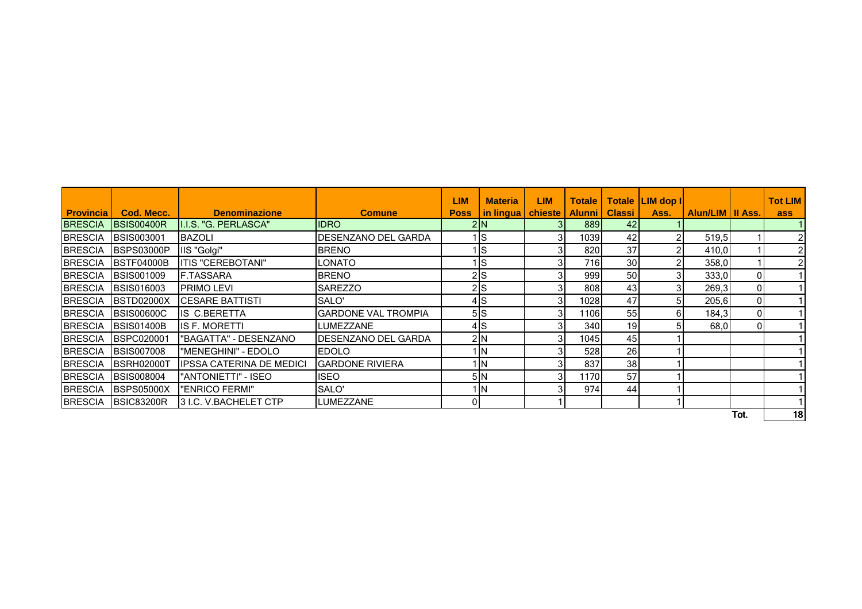|                  |                    |                               |                             | <b>LIM</b>  | <b>Materia</b>      | LIM. | <b>Totale</b> |               | Totale LIM dop I |                           |                | <b>Tot LIM</b> |
|------------------|--------------------|-------------------------------|-----------------------------|-------------|---------------------|------|---------------|---------------|------------------|---------------------------|----------------|----------------|
| <b>Provincia</b> | Cod. Mecc.         | <b>Denominazione</b>          | <b>Comune</b>               | <b>Poss</b> | in lingua   chieste |      | <b>Alunni</b> | <b>Classi</b> | Ass.             | <b>Alun/LIM   II Ass.</b> |                | ass            |
| <b>BRESCIA</b>   | <b>IBSIS00400R</b> | I.I.S. "G. PERLASCA"          | <b>IDRO</b>                 |             | 2N                  |      | 889           | 42            |                  |                           |                |                |
| <b>BRESCIA</b>   | <b>BSIS003001</b>  | <b>BAZOLI</b>                 | DESENZANO DEL GARDA         |             | IS                  | 31   | 1039          | 42            |                  | 519.5                     |                |                |
| <b>BRESCIA</b>   | <b>IBSPS03000P</b> | IIS "Golgi"                   | <b>BRENO</b>                |             | Is                  | 31   | 820           | 37            |                  | 410,0                     |                |                |
| <b>BRESCIA</b>   | <b>IBSTF04000B</b> | <b>ITIS "CEREBOTANI"</b>      | LONATO                      |             | ls                  | 31   | 716           | 30            |                  | 358,0                     |                |                |
| <b>BRESCIA</b>   | <b>BSIS001009</b>  | <b>F.TASSARA</b>              | <b>BRENO</b>                |             | $2$ <sub>S</sub>    |      | 999           | 50            |                  | 333,0                     | 01             |                |
| <b>BRESCIA</b>   | <b>BSIS016003</b>  | <b>PRIMO LEVI</b>             | <b>SAREZZO</b>              |             | $2$ <sub>S</sub>    | 3١   | 808           | 43            |                  | 269,3                     | 01             |                |
| <b>BRESCIA</b>   | <b>BSTD02000X</b>  | <b>ICESARE BATTISTI</b>       | SALO'                       |             | 4S                  | 31   | 1028          | 47            | 51               | 205,6                     | 01             |                |
| <b>BRESCIA</b>   | <b>BSIS00600C</b>  | IIS C.BERETTA                 | <b>GARDONE VAL TROMPIA</b>  |             | 5S                  | 31   | 1106          | 55            | 61               | 184,3                     | $\overline{0}$ |                |
| <b>BRESCIA</b>   | <b>BSIS01400B</b>  | IIS F. MORETTI                | LUMEZZANE                   |             | 4S                  | 31   | 340           | 19            |                  | 68,0                      | $\overline{0}$ |                |
| <b>BRESCIA</b>   | <b>IBSPC020001</b> | "BAGATTA" - DESENZANO         | <b>IDESENZANO DEL GARDA</b> |             | 2 N                 | 31   | 1045          | 45            |                  |                           |                |                |
| <b>BRESCIA</b>   | <b>BSIS007008</b>  | "MENEGHINI" - EDOLO           | <b>EDOLO</b>                |             | l IN                | 3I   | 528           | 26            |                  |                           |                |                |
| <b>BRESCIA</b>   | <b>IBSRH02000T</b> | IIPSSA CATERINA DE MEDICI     | <b>GARDONE RIVIERA</b>      |             | l IN                | 31   | 837           | 38            |                  |                           |                |                |
| <b>BRESCIA</b>   | <b>BSIS008004</b>  | "ANTONIETTI" - ISEO           | IISEO                       |             | 5N                  | 3I   | 1170          | 57            |                  |                           |                |                |
| <b>BRESCIA</b>   | <b>BSPS05000X</b>  | "ENRICO FERMI"                | SALO'                       |             | l IN                | 31   | 974           | 44            |                  |                           |                |                |
|                  | BRESCIA BSIC83200R | <b>13 I.C. V.BACHELET CTP</b> | <b>LUMEZZANE</b>            | 01          |                     |      |               |               |                  |                           |                |                |
|                  |                    |                               |                             |             |                     |      |               |               |                  |                           | Tot.           | 18             |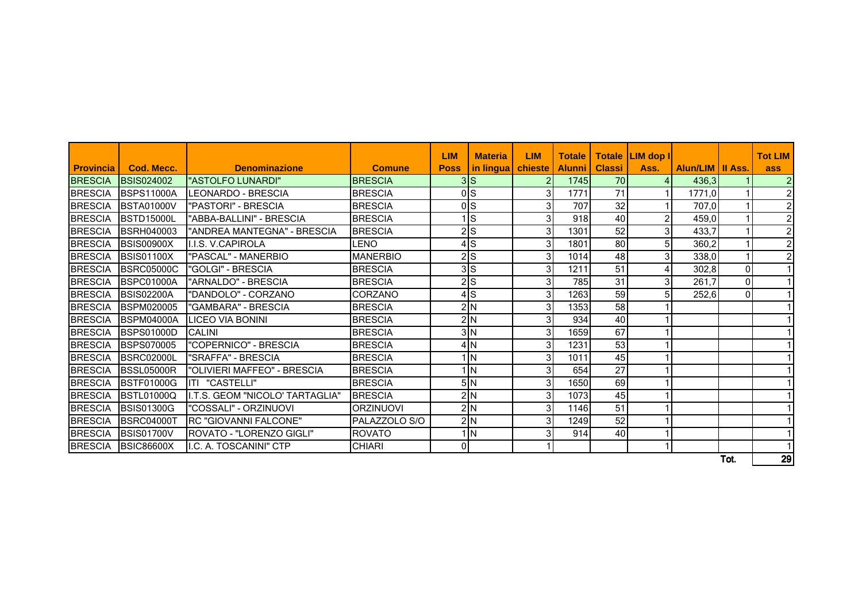|                  |                    |                                  |                  | <b>LIM</b>  | <b>Materia</b>      | <b>LIM</b>     | <b>Totale</b> |               | Totale   LIM dop I |                    |          | <b>Tot LIM</b> |
|------------------|--------------------|----------------------------------|------------------|-------------|---------------------|----------------|---------------|---------------|--------------------|--------------------|----------|----------------|
| <b>Provincia</b> | Cod. Mecc.         | <b>Denominazione</b>             | <b>Comune</b>    | <b>Poss</b> | in lingua   chieste |                | <b>Alunni</b> | <b>Classi</b> | Ass.               | Alun/LIM   II Ass. |          | ass            |
| <b>BRESCIA</b>   | <b>BSIS024002</b>  | "ASTOLFO LUNARDI"                | <b>BRESCIA</b>   |             | 3S                  |                | 1745          | 70            |                    | 436,3              |          | $\overline{2}$ |
| <b>BRESCIA</b>   | <b>BSPS11000A</b>  | LEONARDO - BRESCIA               | <b>BRESCIA</b>   |             | 0 <sub>S</sub>      | 3 <sup>1</sup> | 1771          | 71            |                    | 1771,0             |          | $\overline{2}$ |
| <b>BRESCIA</b>   | <b>BSTA01000V</b>  | "PASTORI" - BRESCIA              | <b>BRESCIA</b>   |             | 0 <sub>S</sub>      | 3              | 707           | 32            |                    | 707,0              |          | $\overline{2}$ |
| <b>BRESCIA</b>   | <b>BSTD15000L</b>  | "ABBA-BALLINI" - BRESCIA         | <b>BRESCIA</b>   |             | <b>S</b>            | 3              | 918           | 40            |                    | 459,0              |          | $\overline{2}$ |
| <b>BRESCIA</b>   | <b>BSRH040003</b>  | "ANDREA MANTEGNA" - BRESCIA      | <b>BRESCIA</b>   |             | 2S                  | 3              | 1301          | 52            | 3                  | 433,7              |          | $\overline{2}$ |
| <b>BRESCIA</b>   | <b>BSIS00900X</b>  | II.I.S. V.CAPIROLA               | LENO             |             | 4S                  | 3 <sub>l</sub> | 1801          | 80            | 5                  | 360,2              |          | $\overline{2}$ |
| <b>BRESCIA</b>   | <b>BSIS01100X</b>  | "PASCAL" - MANERBIO              | <b>MANERBIO</b>  |             | 2S                  | 3 <sub>l</sub> | 1014          | 48            |                    | 338,0              |          | $\overline{2}$ |
| <b>BRESCIA</b>   | <b>BSRC05000C</b>  | "GOLGI" - BRESCIA                | <b>BRESCIA</b>   |             | 3S                  | 3              | 1211          | 51            |                    | 302,8              | 0        |                |
| <b>BRESCIA</b>   | BSPC01000A         | "ARNALDO" - BRESCIA              | <b>BRESCIA</b>   |             | 2S                  | 3 <sub>l</sub> | 785           | 31            |                    | 261,7              | $\Omega$ |                |
| <b>BRESCIA</b>   | <b>BSIS02200A</b>  | "DANDOLO" - CORZANO              | CORZANO          |             | 4S                  | 3              | 1263          | 59            |                    | 252,6              | 0        |                |
| <b>BRESCIA</b>   | <b>BSPM020005</b>  | "GAMBARA" - BRESCIA              | <b>BRESCIA</b>   |             | 2N                  | 3 <sub>l</sub> | 1353          | 58            |                    |                    |          |                |
| <b>BRESCIA</b>   | <b>BSPM04000A</b>  | <b>LICEO VIA BONINI</b>          | <b>BRESCIA</b>   |             | 2N                  | 3              | 934           | 40            |                    |                    |          |                |
| <b>BRESCIA</b>   | <b>BSPS01000D</b>  | <b>CALINI</b>                    | <b>BRESCIA</b>   |             | $3\vert N$          | 3 <sub>l</sub> | 1659          | 67            |                    |                    |          |                |
| <b>BRESCIA</b>   | <b>BSPS070005</b>  | "COPERNICO" - BRESCIA            | <b>BRESCIA</b>   |             | 4N                  | 3 <sub>l</sub> | 1231          | 53            |                    |                    |          |                |
| <b>BRESCIA</b>   | <b>BSRC02000L</b>  | "SRAFFA" - BRESCIA               | <b>BRESCIA</b>   |             | 1 <sub>N</sub>      | 3              | 1011          | 45            |                    |                    |          |                |
| <b>BRESCIA</b>   | BSSL05000R         | "OLIVIERI MAFFEO" - BRESCIA      | <b>BRESCIA</b>   |             | 1 <sub>N</sub>      | 3              | 654           | 27            |                    |                    |          | 11             |
| <b>BRESCIA</b>   | <b>IBSTF01000G</b> | IITI "CASTELLI"                  | <b>BRESCIA</b>   |             | 5N                  | 3 <sub>l</sub> | 1650          | 69            |                    |                    |          |                |
| <b>BRESCIA</b>   | <b>BSTL01000Q</b>  | II.T.S. GEOM "NICOLO' TARTAGLIA" | <b>BRESCIA</b>   |             | 2N                  | 3              | 1073          | 45            |                    |                    |          |                |
| <b>BRESCIA</b>   | <b>BSIS01300G</b>  | "COSSALI" - ORZINUOVI            | <b>ORZINUOVI</b> |             | 2N                  | 3              | 1146          | 51            |                    |                    |          |                |
| <b>BRESCIA</b>   | BSRC04000T         | <b>IRC "GIOVANNI FALCONE"</b>    | PALAZZOLO S/O    |             | 2N                  | 3 <sub>l</sub> | 1249          | 52            |                    |                    |          |                |
| <b>BRESCIA</b>   | <b>BSIS01700V</b>  | <b>IROVATO - "LORENZO GIGLI"</b> | <b>ROVATO</b>    |             | $\mathsf{N}$        | 3              | 914           | 40            |                    |                    |          |                |
| <b>BRESCIA</b>   | <b>BSIC86600X</b>  | I.C. A. TOSCANINI" CTP           | <b>CHIARI</b>    | Οl          |                     |                |               |               |                    |                    |          |                |
|                  |                    |                                  |                  |             |                     |                |               |               |                    |                    | Tot.     | 29             |

Tot. <u>29</u>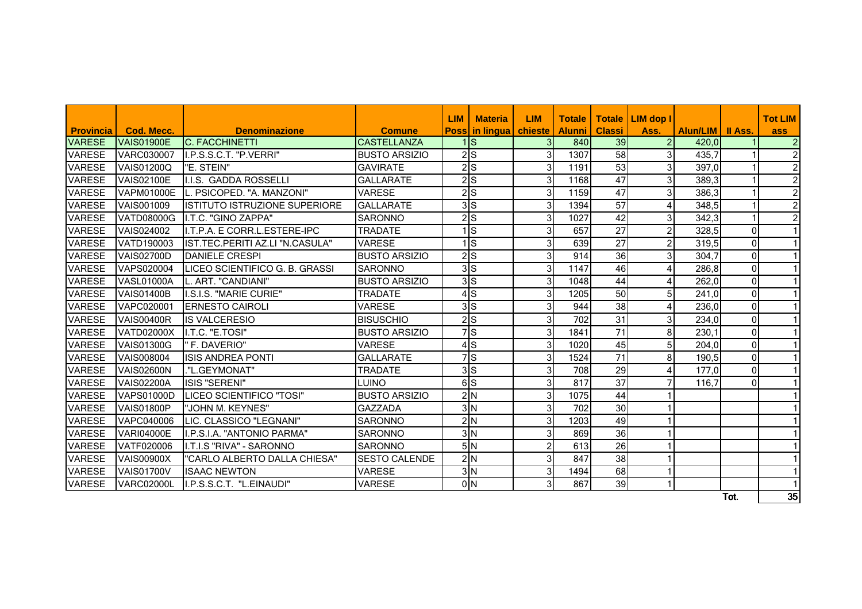|                  |                   |                                 |                       | <b>LIM</b> | <b>Materia</b>                | <b>LIM</b>     | <b>Totale</b> |                 | Totale   LIM dop I |                    |                | <b>Tot LIM</b> |
|------------------|-------------------|---------------------------------|-----------------------|------------|-------------------------------|----------------|---------------|-----------------|--------------------|--------------------|----------------|----------------|
| <b>Provincia</b> | Cod. Mecc.        | <b>Denominazione</b>            | <b>Comune</b>         |            | <b>Poss in lingua chieste</b> |                | l Alunni      | <b>Classi</b>   | Ass.               | Alun/LIM   II Ass. |                | ass            |
| <b>VARESE</b>    | VAIS01900E        | <b>IC. FACCHINETTI</b>          | <b>CASTELLANZA</b>    |            | $1\textsf{ls}$                | 31             | 840           | 39 <sup>1</sup> | $\overline{2}$     | 420.0              |                | $\overline{2}$ |
| <b>VARESE</b>    | <b>VARC030007</b> | ILP.S.S.C.T. "P.VERRI"          | <b>BUSTO ARSIZIO</b>  |            | $2$ $S$                       | 3              | 1307          | 58              | 3 <sup>1</sup>     | 435,7              |                | $\overline{2}$ |
| <b>VARESE</b>    | <b>VAIS01200Q</b> | I"E. STEIN"                     | <b>GAVIRATE</b>       |            | $2$ S                         | 3              | 1191          | 53              | 3                  | 397,0              |                | $\overline{2}$ |
| <b>VARESE</b>    | <b>VAIS02100E</b> | I.I.S. GADDA ROSSELLI           | <b>GALLARATE</b>      |            | $2\overline{S}$               | 3              | 1168          | 47              | 3 <sup>1</sup>     | 389,3              |                | $2\vert$       |
| <b>VARESE</b>    | <b>VAPM01000E</b> | L. PSICOPED. "A. MANZONI"       | <b>VARESE</b>         |            | 2S                            | 3              | 1159          | 47              | 3 <sup>1</sup>     | 386,3              |                | $\mathbf{2}$   |
| <b>VARESE</b>    | <b>VAIS001009</b> | IISTITUTO ISTRUZIONE SUPERIORE  | <b>GALLARATE</b>      |            | 3S                            | 3              | 1394          | 57              | 4                  | 348,5              |                | $\overline{2}$ |
| <b>VARESE</b>    | <b>VATD08000G</b> | I.T.C. "GINO ZAPPA"             | <b>SARONNO</b>        |            | $2$ $S$                       | 3              | 1027          | 42              | 3                  | 342,3              |                | $\overline{2}$ |
| <b>VARESE</b>    | <b>VAIS024002</b> | II.T.P.A. E CORR.L.ESTERE-IPC   | <b>TRADATE</b>        |            | $1\textsf{ls}$                | 3              | 657           | 27              | $\overline{c}$     | 328,5              | $\Omega$       | $\vert$ 1      |
| <b>VARESE</b>    | <b>VATD190003</b> | IST.TEC.PERITI AZ.LI "N.CASULA" | <b>VARESE</b>         |            | $1$ <sub>S</sub>              | 3              | 639           | 27              | 2                  | 319,5              | 0              | 1              |
| <b>VARESE</b>    | <b>VAIS02700D</b> | <b>DANIELE CRESPI</b>           | <b>BUSTO ARSIZIO</b>  |            | $2\overline{S}$               | 3              | 914           | 36              | 3 <sup>1</sup>     | 304,7              | $\mathbf 0$    | 1              |
| <b>VARESE</b>    | <b>VAPS020004</b> | ILICEO SCIENTIFICO G. B. GRASSI | <b>SARONNO</b>        |            | 3S                            | 3              | 1147          | 46              | 4                  | 286,8              | $\overline{0}$ | 1              |
| <b>VARESE</b>    | VASL01000A        | L. ART. "CANDIANI"              | <b>BUSTO ARSIZIO</b>  |            | 3S                            | 3              | 1048          | 44              | 4                  | 262,0              | $\Omega$       | 1              |
| <b>VARESE</b>    | <b>VAIS01400B</b> | I.S.I.S. "MARIE CURIE"          | <b>TRADATE</b>        |            | 4S                            | 3              | 1205          | 50              | 5                  | 241,0              | $\mathbf 0$    | 1              |
| <b>VARESE</b>    | VAPC020001        | <b>ERNESTO CAIROLI</b>          | <b>VARESE</b>         |            | 3S                            | 3              | 944           | 38              | 4                  | 236,0              | $\Omega$       | 1              |
| <b>VARESE</b>    | <b>VAIS00400R</b> | <b>IS VALCERESIO</b>            | <b>BISUSCHIO</b>      |            | $2\overline{S}$               | 3              | 702           | $\overline{31}$ | $\overline{3}$     | 234,0              | $\Omega$       | 1              |
| <b>VARESE</b>    | <b>VATD02000X</b> | I.T.C. "E.TOSI"                 | <b>BUSTO ARSIZIO</b>  |            | 7s                            | 3              | 1841          | 71              | 8                  | 230,1              | $\mathbf 0$    | 1              |
| <b>VARESE</b>    | <b>VAIS01300G</b> | l" F. DAVERIO"                  | <b>VARESE</b>         |            | $\overline{4}$ S              | 3              | 1020          | 45              | 5 <sub>l</sub>     | 204,0              | $\mathbf 0$    | 1              |
| <b>VARESE</b>    | <b>VAIS008004</b> | IISIS ANDREA PONTI              | <b>GALLARATE</b>      |            | $\overline{7}$ S              | 3              | 1524          | 71              | 8                  | 190,5              | $\Omega$       | 1              |
| <b>VARESE</b>    | <b>VAIS02600N</b> | ."L.GEYMONAT"                   | <b>TRADATE</b>        |            | 3S                            | 3              | 708           | 29              | 4                  | 177,0              | $\overline{0}$ | 1              |
| <b>VARESE</b>    | <b>VAIS02200A</b> | ISIS "SERENI"                   | LUINO                 |            | $\overline{6}$                | 3              | 817           | $\overline{37}$ |                    | 116,7              | $\Omega$       | $\vert$ 1      |
| <b>VARESE</b>    | <b>VAPS01000D</b> | LICEO SCIENTIFICO "TOSI"        | <b>BUSTO ARSIZIO</b>  |            | 2N                            | 3              | 1075          | 44              |                    |                    |                | 1              |
| <b>VARESE</b>    | <b>VAIS01800P</b> | "JOHN M. KEYNES"                | <b>GAZZADA</b>        |            | 3N                            | 3              | 702           | 30              |                    |                    |                | 11             |
| <b>VARESE</b>    | VAPC040006        | LIC. CLASSICO "LEGNANI"         | <b>SARONNO</b>        |            | 2N                            | 3              | 1203          | 49              |                    |                    |                | $\mathbf{1}$   |
| <b>VARESE</b>    | <b>VARI04000E</b> | I.P.S.I.A. "ANTONIO PARMA"      | <b>SARONNO</b>        |            | 3N                            | 3              | 869           | 36              |                    |                    |                | 11             |
| <b>VARESE</b>    | <b>VATF020006</b> | II.T.I.S "RIVA" - SARONNO       | <b>SARONNO</b>        |            | 5N                            | $\overline{c}$ | 613           | 26              |                    |                    |                |                |
| <b>VARESE</b>    | <b>VAIS00900X</b> | "CARLO ALBERTO DALLA CHIESA"    | <b>ISESTO CALENDE</b> |            | 2N                            | 3              | 847           | 38              |                    |                    |                |                |
| <b>VARESE</b>    | <b>VAIS01700V</b> | <b>ISAAC NEWTON</b>             | <b>VARESE</b>         |            | 3N                            | 3              | 1494          | 68              |                    |                    |                | 1              |
| <b>VARESE</b>    | <b>VARC02000L</b> | II.P.S.S.C.T. "L.EINAUDI"       | <b>VARESE</b>         |            | 0 <sub>N</sub>                | 3              | 867           | 39              |                    |                    |                | $\vert$ 1      |
|                  |                   |                                 |                       |            |                               |                |               |                 |                    |                    | Tot.           | 35             |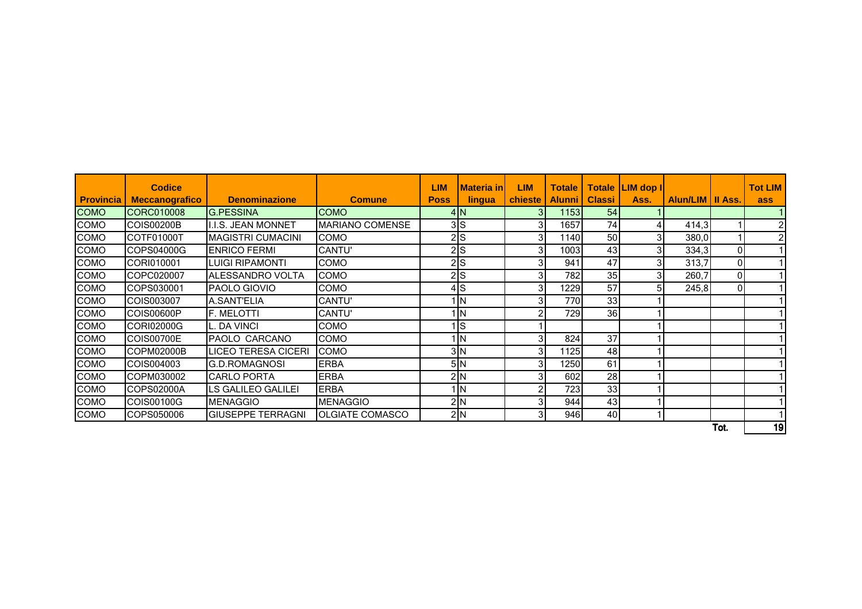|                  | <b>Codice</b>         |                            |                          | <b>LIM</b>  | <b>Materia in</b> | <b>LIM</b> | <b>Totale</b> |               | Totale LIM dop I |                    |      | <b>Tot LIM</b> |
|------------------|-----------------------|----------------------------|--------------------------|-------------|-------------------|------------|---------------|---------------|------------------|--------------------|------|----------------|
| <b>Provincia</b> | <b>Meccanografico</b> | <b>Denominazione</b>       | <b>Comune</b>            | <b>Poss</b> | lingua            | chieste    | <b>Alunni</b> | <b>Classi</b> | Ass.             | Alun/LIM   II Ass. |      | ass            |
| <b>COMO</b>      | ICORC010008           | <b>G.PESSINA</b>           | <b>COMO</b>              |             | 4N                | 31         | 1153          | 54            |                  |                    |      |                |
| <b>COMO</b>      | <b>COIS00200B</b>     | <b>I.I.S. JEAN MONNET</b>  | <b>MARIANO COMENSE</b>   |             | 3S                | 3          | 1657          | 74            |                  | 414,3              |      | $\overline{2}$ |
| <b>COMO</b>      | COTF01000T            | <b>MAGISTRI CUMACINI</b>   | <b>COMO</b>              |             | 2S                | 3          | 1140          | 50            | 3                | 380,0              |      | $\overline{2}$ |
| COMO             | COPS04000G            | <b>ENRICO FERMI</b>        | <b>CANTU'</b>            |             | $2\vert s \vert$  | 3          | 1003          | 43            | 3                | 334,3              | 01   |                |
| <b>COMO</b>      | CORI010001            | <b>LUIGI RIPAMONTI</b>     | <b>COMO</b>              |             | 2S                | 3          | 941           | 47            | 3                | 313,7              | 0    |                |
| <b>COMO</b>      | COPC020007            | ALESSANDRO VOLTA           | <b>COMO</b>              |             | 2S                | 3          | 782           | 35            |                  | 260,7              | 0    |                |
| COMO             | COPS030001            | <b>PAOLO GIOVIO</b>        | COMO                     |             | 4ls               | 3          | 1229          | 57            |                  | 245,8              | ΟI   |                |
| <b>COMO</b>      | COIS003007            | A.SANT'ELIA                | CANTU'                   |             | 1 IN              | 3          | 770           | 33            |                  |                    |      |                |
| COMO             | COIS00600P            | F. MELOTTI                 | <b>CANTU'</b>            |             | ۱N                | 2          | 729           | 36            |                  |                    |      |                |
| <b>COMO</b>      | CORI02000G            | L. DA VINCI                | <b>COMO</b>              |             | ls                |            |               |               |                  |                    |      |                |
| <b>COMO</b>      | <b>COIS00700E</b>     | PAOLO CARCANO              | <b>COMO</b>              |             | 1   N             | 3          | 824           | 37            |                  |                    |      |                |
| <b>COMO</b>      | COPM02000B            | <b>LICEO TERESA CICERI</b> | <b>COMO</b>              |             | 3N                | 3          | 1125          | 48            |                  |                    |      |                |
| <b>COMO</b>      | COIS004003            | IG.D.ROMAGNOSI             | <b>ERBA</b>              |             | 5N                | 3          | 1250          | 61            |                  |                    |      |                |
| <b>COMO</b>      | COPM030002            | <b>CARLO PORTA</b>         | <b>ERBA</b>              |             | 2N                | 3          | 602           | 28            |                  |                    |      |                |
| <b>COMO</b>      | COPS02000A            | <b>LS GALILEO GALILEI</b>  | <b>ERBA</b>              |             | 1 I N             | 2          | 723           | 33            |                  |                    |      |                |
| <b>COMO</b>      | COIS00100G            | <b>MENAGGIO</b>            | <b>MENAGGIO</b>          |             | 2N                | 3          | 944           | 43            |                  |                    |      |                |
| COMO             | COPS050006            | <b>GIUSEPPE TERRAGNI</b>   | <b>I</b> OLGIATE COMASCO |             | 2N                | 3          | 946           | 40            |                  |                    |      |                |
|                  |                       |                            |                          |             |                   |            |               |               |                  |                    | Tot. | 19             |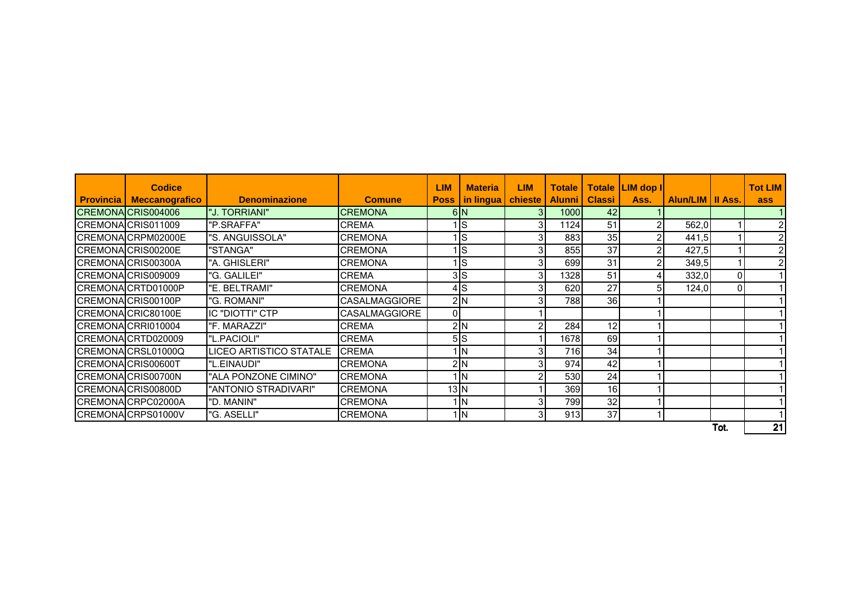|                  | <b>Codice</b>         |                         |                      | <b>LIM</b>        | <b>Materia</b>    | <b>LIM</b> | <b>Totale</b> |               | Totale LIM dop I |                    |      | <b>Tot LIM</b> |
|------------------|-----------------------|-------------------------|----------------------|-------------------|-------------------|------------|---------------|---------------|------------------|--------------------|------|----------------|
| <b>Provincia</b> | <b>Meccanografico</b> | <b>Denominazione</b>    | <b>Comune</b>        | <b>Poss</b>       | in lingua chieste |            | <b>Alunni</b> | <b>Classi</b> | Ass.             | Alun/LIM   II Ass. |      | ass            |
|                  | CREMONA CRIS004006    | "J. TORRIANI"           | <b>CREMONA</b>       |                   | 6N                |            | 1000          | 42            |                  |                    |      |                |
|                  | CREMONA CRIS011009    | "P.SRAFFA"              | <b>CREMA</b>         |                   | <b>S</b>          | 3          | 1124          | 51            |                  | 562,0              |      | $\overline{2}$ |
|                  | CREMONA CRPM02000E    | "S. ANGUISSOLA"         | <b>CREMONA</b>       |                   | ls                |            | 883           | 35            |                  | 441,5              |      | $\overline{2}$ |
|                  | CREMONA CRIS00200E    | "STANGA"                | <b>CREMONA</b>       |                   | ls                | 3          | 855           | 37            | 2                | 427,5              |      | $\overline{2}$ |
|                  | CREMONA CRIS00300A    | "A. GHISLERI"           | <b>CREMONA</b>       |                   | ls                |            | 699           | 31            | 2                | 349,5              |      | $\mathcal{P}$  |
|                  | CREMONA CRIS009009    | "G. GALILEI"            | <b>CREMA</b>         |                   | 3S                | 3          | 1328          | 51            |                  | 332,0              | 0    |                |
|                  | CREMONA CRTD01000P    | "E. BELTRAMI"           | <b>CREMONA</b>       |                   | $4$ S             |            | 620           | 27            | 5 <sub>1</sub>   | 124,0              | ΟI   |                |
|                  | CREMONA CRIS00100P    | "G. ROMANI"             | <b>CASALMAGGIORE</b> |                   | 2N                |            | 788           | 36            |                  |                    |      |                |
|                  | CREMONA CRIC80100E    | <b>IC "DIOTTI" CTP</b>  | <b>CASALMAGGIORE</b> | ΟI                |                   |            |               |               |                  |                    |      |                |
|                  | CREMONA CRRI010004    | "F. MARAZZI"            | <b>CREMA</b>         |                   | 2N                |            | 284           | 12            |                  |                    |      |                |
|                  | CREMONA CRTD020009    | "L.PACIOLI"             | <b>CREMA</b>         |                   | 5S                |            | 1678          | 69            |                  |                    |      |                |
|                  | CREMONA CRSL01000Q    | LICEO ARTISTICO STATALE | <b>CREMA</b>         |                   | ΠN                |            | 716           | 34            |                  |                    |      |                |
|                  | CREMONA CRIS00600T    | "L.EINAUDI"             | <b>CREMONA</b>       |                   | 2N                | 3          | 974           | 42            |                  |                    |      |                |
|                  | CREMONA CRIS00700N    | "ALA PONZONE CIMINO"    | <b>CREMONA</b>       |                   | <b>IN</b>         | 2          | 530           | 24            |                  |                    |      |                |
|                  | CREMONA CRIS00800D    | "ANTONIO STRADIVARI"    | <b>CREMONA</b>       | $13$ <sub>N</sub> |                   |            | 369           | 16            |                  |                    |      |                |
|                  | CREMONA CRPC02000A    | "D. MANIN"              | <b>CREMONA</b>       |                   | <b>IN</b>         |            | 799           | 32            |                  |                    |      |                |
|                  | CREMONA CRPS01000V    | "G. ASELLI"             | <b>CREMONA</b>       |                   | $1\vert N$        | 3          | 913           | 37            |                  |                    |      |                |
|                  |                       |                         |                      |                   |                   |            |               |               |                  |                    | Tot. | 21             |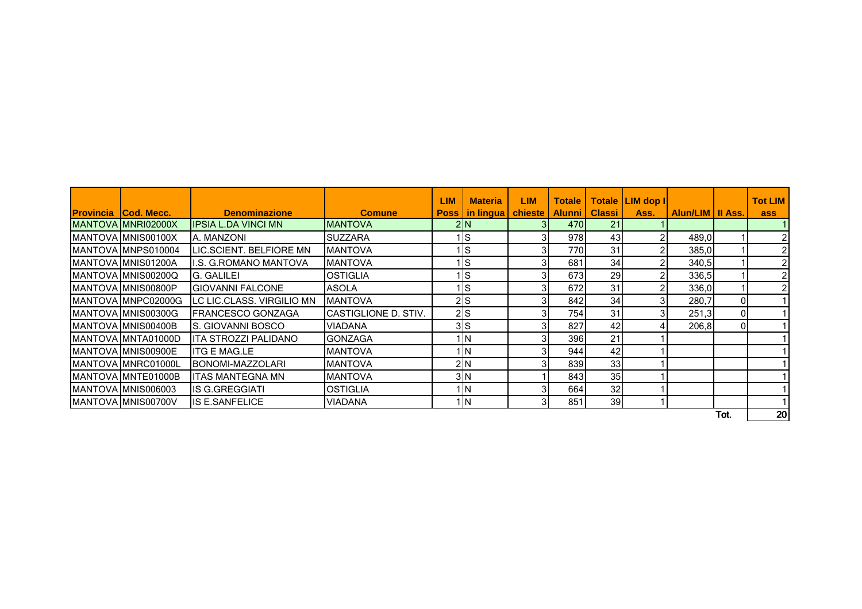|                               |                           |                       | <b>LIM</b>  | <b>Materia</b>    | <b>LIM</b> | <b>Totale</b>    |               | Totale   LIM dop |                   |      | <b>Tot LIM</b> |
|-------------------------------|---------------------------|-----------------------|-------------|-------------------|------------|------------------|---------------|------------------|-------------------|------|----------------|
| <b>IProvincia ICod. Mecc.</b> | <b>Denominazione</b>      | <b>Comune</b>         | <b>Poss</b> | in lingua chieste |            | <b>Alunni</b>    | <b>Classi</b> | Ass.             | Alun/LIM III Ass. |      | ass            |
| MANTOVA MNRI02000X            | IIPSIA L.DA VINCI MN      | IMANTOVA              |             | 2N                |            | 470 <sub>1</sub> | 21            |                  |                   |      |                |
| MANTOVA MNIS00100X            | A. MANZONI                | <b>SUZZARA</b>        |             | Is                |            | 978              | 43            |                  | 489,0             |      |                |
| MANTOVA MNPS010004            | LIC.SCIENT. BELFIORE MN   | <b>MANTOVA</b>        |             | Is                |            | 770              | 31            |                  | 385,0             |      |                |
| MANTOVA MNIS01200A            | I.S. G. ROMANO MANTOVA    | <b>MANTOVA</b>        |             | Is                |            | 681              | 34            |                  | 340,5             |      | 2              |
| MANTOVA MNIS00200Q            | G. GALILEI                | <b>OSTIGLIA</b>       |             | Is                |            | 673              | 29            | 2                | 336,5             |      | $\overline{2}$ |
| MANTOVA MNIS00800P            | <b>GIOVANNI FALCONE</b>   | <b>ASOLA</b>          |             | Is                |            | 672              | 31            | 2                | 336,0             |      |                |
| MANTOVA MNPC02000G            | LC LIC.CLASS. VIRGILIO MN | <b>MANTOVA</b>        |             | 2 S               |            | 842              | 34            | 3                | 280,7             | 01   |                |
| MANTOVA MNIS00300G            | FRANCESCO GONZAGA         | ICASTIGLIONE D. STIV. |             | $2$ <sub>S</sub>  |            | 754              | 31            | 3                | 251,3             | 01   |                |
| MANTOVA IMNIS00400B           | IS. GIOVANNI BOSCO        | <b>VIADANA</b>        |             | 3S                |            | 827              | 42            |                  | 206,8             | 01   |                |
| MANTOVA IMNTA01000D           | ITA STROZZI PALIDANO      | <b>GONZAGA</b>        |             | <b>IN</b>         |            | 396I             | 21            |                  |                   |      |                |
| MANTOVA MNIS00900E            | <b>ITG E MAG.LE</b>       | <b>MANTOVA</b>        |             | <b>IN</b>         |            | 944              | 42            |                  |                   |      |                |
| MANTOVA MNRC01000L            | BONOMI-MAZZOLARI          | <b>MANTOVA</b>        |             | 2N                |            | 839              | 33            |                  |                   |      |                |
| MANTOVA MNTE01000B            | <b>ITAS MANTEGNA MN</b>   | <b>MANTOVA</b>        |             | 3N                |            | 843              | 35            |                  |                   |      |                |
| MANTOVA MNIS006003            | <b>IS G.GREGGIATI</b>     | <b>OSTIGLIA</b>       |             | <b>IN</b>         |            | 664              | 32            |                  |                   |      |                |
| MANTOVA MNIS00700V            | <b>IS E.SANFELICE</b>     | <b>VIADANA</b>        |             | <b>IN</b>         | 31         | 851              | 39            |                  |                   |      |                |
|                               |                           |                       |             |                   |            |                  |               |                  |                   | Tot. | 20             |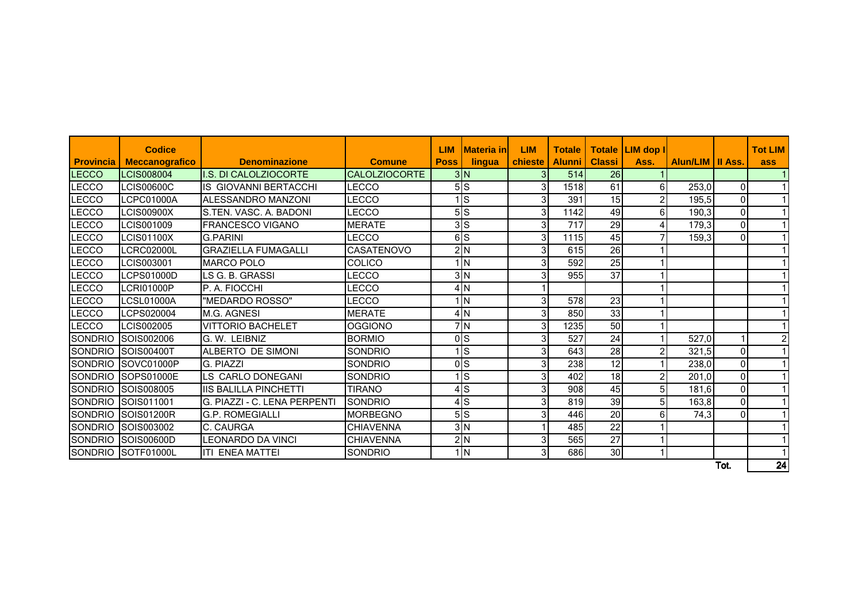| <b>Provincia</b> | <b>Codice</b><br><b>Meccanografico</b> | <b>Denominazione</b>         | <b>Comune</b>        | <b>LIM</b><br><b>Poss</b> | <b>Materia inl</b><br>lingua | <b>LIM</b><br><b>chieste</b> | <b>Totale</b><br><b>Alunni</b> | <b>Classi</b> | Totale LIM dop I<br>Ass. | Alun/LIM   II Ass. |          | <b>Tot LIM</b><br>ass |
|------------------|----------------------------------------|------------------------------|----------------------|---------------------------|------------------------------|------------------------------|--------------------------------|---------------|--------------------------|--------------------|----------|-----------------------|
| LECCO            | <b>LCIS008004</b>                      | I.S. DI CALOLZIOCORTE        | <b>CALOLZIOCORTE</b> |                           | 3N                           |                              | 514                            | 26            |                          |                    |          |                       |
| LECCO            | LCIS00600C                             | <b>IS GIOVANNI BERTACCHI</b> | LECCO                |                           | 5S                           | 3                            | 1518                           | 61            | 6                        | 253,0              | $\Omega$ |                       |
| LECCO            | LCPC01000A                             | ALESSANDRO MANZONI           | <b>LECCO</b>         |                           | Is                           | 3                            | 391                            | 15            | $\overline{2}$           | 195,5              | 0        |                       |
| LECCO            | <b>LCIS00900X</b>                      | S.TEN. VASC. A. BADONI       | <b>LECCO</b>         |                           | 5S                           | 3                            | 1142                           | 49            | 6                        | 190,3              | 0        |                       |
| LECCO            | LCIS001009                             | <b>FRANCESCO VIGANO</b>      | <b>MERATE</b>        |                           | 3S                           | 3                            | 717                            | 29            | 4                        | 179,3              | 0        |                       |
| LECCO            | <b>LCIS01100X</b>                      | <b>G.PARINI</b>              | <b>LECCO</b>         |                           | 6S                           | 3                            | 1115                           | 45            |                          | 159,3              | 0        |                       |
| <b>LECCO</b>     | LCRC02000L                             | <b>GRAZIELLA FUMAGALLI</b>   | <b>CASATENOVO</b>    |                           | 2N                           | 3 <sub>l</sub>               | 615                            | 26            |                          |                    |          |                       |
| LECCO            | LCIS003001                             | <b>MARCO POLO</b>            | <b>COLICO</b>        |                           | ۱N                           |                              | 592                            | 25            |                          |                    |          |                       |
| <b>LECCO</b>     | LCPS01000D                             | LS G. B. GRASSI              | LECCO                |                           | 3N                           |                              | 955                            | 37            |                          |                    |          |                       |
| LECCO            | LCRI01000P                             | P. A. FIOCCHI                | LECCO                |                           | 4N                           |                              |                                |               |                          |                    |          |                       |
| LECCO            | LCSL01000A                             | "MEDARDO ROSSO"              | <b>LECCO</b>         |                           | ۱lΝ                          | $\overline{3}$               | 578                            | 23            |                          |                    |          |                       |
| <b>LECCO</b>     | LCPS020004                             | <b>M.G. AGNESI</b>           | <b>MERATE</b>        |                           | 4N                           | 3 <sup>l</sup>               | 850                            | 33            |                          |                    |          |                       |
| <b>LECCO</b>     | LCIS002005                             | <b>VITTORIO BACHELET</b>     | <b>OGGIONO</b>       |                           | 7N                           | 3                            | 1235                           | 50            |                          |                    |          |                       |
| <b>SONDRIO</b>   | SOIS002006                             | G. W. LEIBNIZ                | <b>BORMIO</b>        |                           | 0 <sub>S</sub>               | 3                            | 527                            | 24            |                          | 527,0              |          | $\overline{2}$        |
| <b>SONDRIO</b>   | SOIS00400T                             | ALBERTO DE SIMONI            | SONDRIO              |                           | <sup>s</sup>                 | $\overline{3}$               | 643                            | 28            | 2                        | 321,5              | 0        |                       |
| <b>SONDRIO</b>   | SOVC01000P                             | G. PIAZZI                    | <b>SONDRIO</b>       |                           | 0 <sub>s</sub>               |                              | 238                            | 12            |                          | 238,0              | 0        |                       |
| <b>SONDRIO</b>   | <b>ISOPS01000E</b>                     | LS CARLO DONEGANI            | SONDRIO              |                           | $\vert$ S                    | 3                            | 402                            | 18            | $\overline{2}$           | 201,0              | 0        |                       |
| <b>SONDRIO</b>   | SOIS008005                             | <b>IIS BALILLA PINCHETTI</b> | <b>TIRANO</b>        |                           | 4S                           | 3                            | 908                            | 45            | 5                        | 181,6              | 0        |                       |
| <b>SONDRIO</b>   | SOIS011001                             | G. PIAZZI - C. LENA PERPENTI | <b>SONDRIO</b>       |                           | $4$ S                        |                              | 819                            | 39            | 5                        | 163,8              | 0        |                       |
| <b>SONDRIO</b>   | SOIS01200R                             | <b>G.P. ROMEGIALLI</b>       | <b>MORBEGNO</b>      |                           | 5S                           | 3                            | 446                            | 20            | 6                        | 74,3               | 0        |                       |
|                  | SONDRIO SOIS003002                     | C. CAURGA                    | <b>CHIAVENNA</b>     |                           | 3N                           |                              | 485                            | 22            |                          |                    |          |                       |
|                  | SONDRIO SOIS00600D                     | <b>LEONARDO DA VINCI</b>     | <b>CHIAVENNA</b>     |                           | 2N                           | 3                            | 565                            | 27            |                          |                    |          |                       |
| <b>SONDRIO</b>   | SOTF01000L                             | <b>ITI ENEA MATTEI</b>       | <b>SONDRIO</b>       |                           | 1 IN                         | $\mathbf{3}$                 | 686                            | 30            |                          |                    |          |                       |
|                  |                                        |                              |                      |                           |                              |                              |                                |               |                          |                    | Tot.     | 24                    |